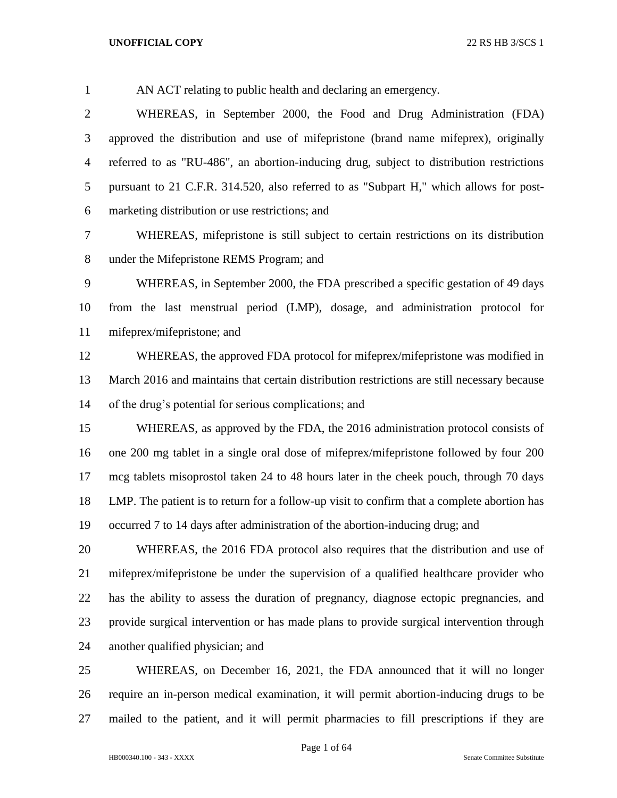# AN ACT relating to public health and declaring an emergency. WHEREAS, in September 2000, the Food and Drug Administration (FDA) approved the distribution and use of mifepristone (brand name mifeprex), originally referred to as "RU-486", an abortion-inducing drug, subject to distribution restrictions pursuant to 21 C.F.R. 314.520, also referred to as "Subpart H," which allows for post- marketing distribution or use restrictions; and WHEREAS, mifepristone is still subject to certain restrictions on its distribution under the Mifepristone REMS Program; and WHEREAS, in September 2000, the FDA prescribed a specific gestation of 49 days from the last menstrual period (LMP), dosage, and administration protocol for mifeprex/mifepristone; and WHEREAS, the approved FDA protocol for mifeprex/mifepristone was modified in March 2016 and maintains that certain distribution restrictions are still necessary because of the drug's potential for serious complications; and WHEREAS, as approved by the FDA, the 2016 administration protocol consists of one 200 mg tablet in a single oral dose of mifeprex/mifepristone followed by four 200 mcg tablets misoprostol taken 24 to 48 hours later in the cheek pouch, through 70 days

 LMP. The patient is to return for a follow-up visit to confirm that a complete abortion has occurred 7 to 14 days after administration of the abortion-inducing drug; and

 WHEREAS, the 2016 FDA protocol also requires that the distribution and use of mifeprex/mifepristone be under the supervision of a qualified healthcare provider who has the ability to assess the duration of pregnancy, diagnose ectopic pregnancies, and provide surgical intervention or has made plans to provide surgical intervention through another qualified physician; and

 WHEREAS, on December 16, 2021, the FDA announced that it will no longer require an in-person medical examination, it will permit abortion-inducing drugs to be mailed to the patient, and it will permit pharmacies to fill prescriptions if they are

Page 1 of 64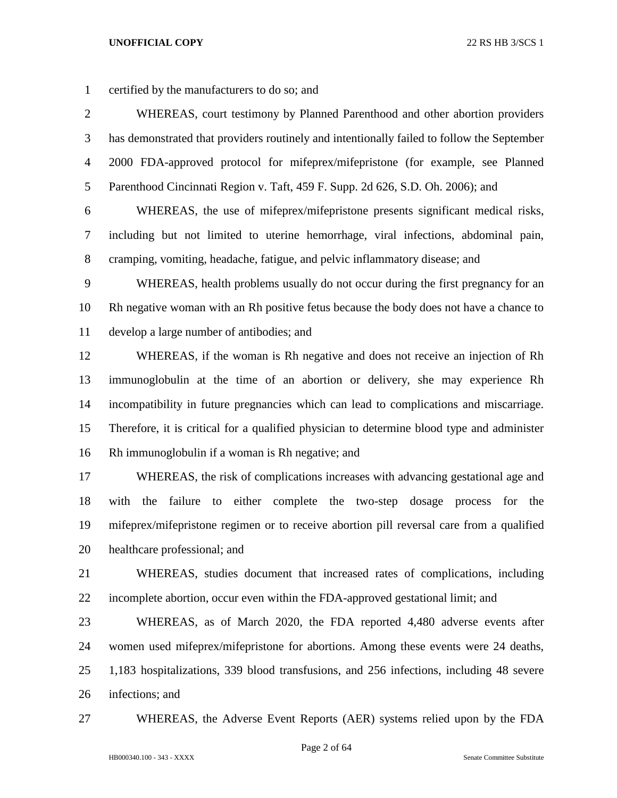| $\mathbf{1}$   | certified by the manufacturers to do so; and                                               |
|----------------|--------------------------------------------------------------------------------------------|
| $\overline{2}$ | WHEREAS, court testimony by Planned Parenthood and other abortion providers                |
| 3              | has demonstrated that providers routinely and intentionally failed to follow the September |
| $\overline{4}$ | 2000 FDA-approved protocol for mifeprex/mifepristone (for example, see Planned             |
| 5              | Parenthood Cincinnati Region v. Taft, 459 F. Supp. 2d 626, S.D. Oh. 2006); and             |
| 6              | WHEREAS, the use of mifeprex/mifepristone presents significant medical risks,              |
| 7              | including but not limited to uterine hemorrhage, viral infections, abdominal pain,         |
| 8              | cramping, vomiting, headache, fatigue, and pelvic inflammatory disease; and                |
| 9              | WHEREAS, health problems usually do not occur during the first pregnancy for an            |
| 10             | Rh negative woman with an Rh positive fetus because the body does not have a chance to     |
| 11             | develop a large number of antibodies; and                                                  |
| 12             | WHEREAS, if the woman is Rh negative and does not receive an injection of Rh               |
| 13             | immunoglobulin at the time of an abortion or delivery, she may experience Rh               |
| 14             | incompatibility in future pregnancies which can lead to complications and miscarriage.     |
| 15             | Therefore, it is critical for a qualified physician to determine blood type and administer |
| 16             | Rh immunoglobulin if a woman is Rh negative; and                                           |
| 17             | WHEREAS, the risk of complications increases with advancing gestational age and            |
| 18             | failure<br>either complete the two-step dosage<br>with<br>the<br>to<br>for the<br>process  |
| 19             | mifeprex/mifepristone regimen or to receive abortion pill reversal care from a qualified   |
| 20             | healthcare professional; and                                                               |
| 21             | WHEREAS, studies document that increased rates of complications, including                 |
| 22             | incomplete abortion, occur even within the FDA-approved gestational limit; and             |
| 23             | WHEREAS, as of March 2020, the FDA reported 4,480 adverse events after                     |
| 24             | women used mifeprex/mifepristone for abortions. Among these events were 24 deaths,         |
| 25             | 1,183 hospitalizations, 339 blood transfusions, and 256 infections, including 48 severe    |
| 26             | infections; and                                                                            |

WHEREAS, the Adverse Event Reports (AER) systems relied upon by the FDA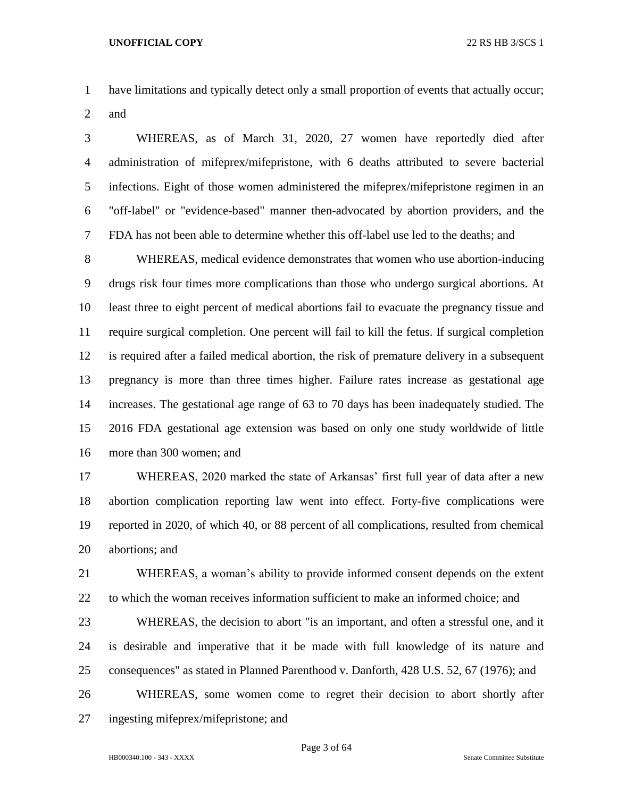- have limitations and typically detect only a small proportion of events that actually occur;
- and

 WHEREAS, as of March 31, 2020, 27 women have reportedly died after administration of mifeprex/mifepristone, with 6 deaths attributed to severe bacterial infections. Eight of those women administered the mifeprex/mifepristone regimen in an "off-label" or "evidence-based" manner then-advocated by abortion providers, and the FDA has not been able to determine whether this off-label use led to the deaths; and

 WHEREAS, medical evidence demonstrates that women who use abortion-inducing drugs risk four times more complications than those who undergo surgical abortions. At least three to eight percent of medical abortions fail to evacuate the pregnancy tissue and require surgical completion. One percent will fail to kill the fetus. If surgical completion is required after a failed medical abortion, the risk of premature delivery in a subsequent pregnancy is more than three times higher. Failure rates increase as gestational age increases. The gestational age range of 63 to 70 days has been inadequately studied. The 2016 FDA gestational age extension was based on only one study worldwide of little more than 300 women; and

 WHEREAS, 2020 marked the state of Arkansas' first full year of data after a new abortion complication reporting law went into effect. Forty-five complications were reported in 2020, of which 40, or 88 percent of all complications, resulted from chemical abortions; and

 WHEREAS, a woman's ability to provide informed consent depends on the extent to which the woman receives information sufficient to make an informed choice; and

 WHEREAS, the decision to abort "is an important, and often a stressful one, and it is desirable and imperative that it be made with full knowledge of its nature and consequences" as stated in Planned Parenthood v. Danforth, 428 U.S. 52, 67 (1976); and

 WHEREAS, some women come to regret their decision to abort shortly after ingesting mifeprex/mifepristone; and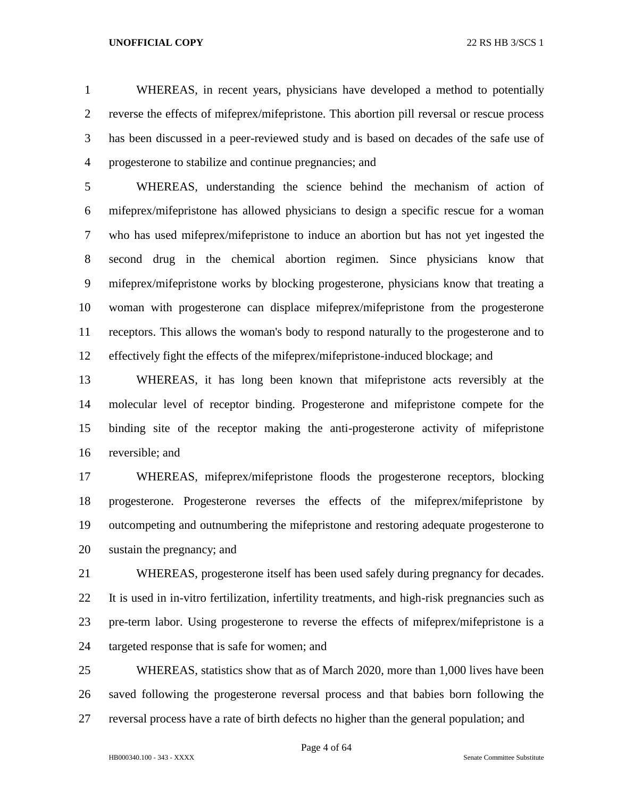WHEREAS, in recent years, physicians have developed a method to potentially reverse the effects of mifeprex/mifepristone. This abortion pill reversal or rescue process has been discussed in a peer-reviewed study and is based on decades of the safe use of progesterone to stabilize and continue pregnancies; and

 WHEREAS, understanding the science behind the mechanism of action of mifeprex/mifepristone has allowed physicians to design a specific rescue for a woman who has used mifeprex/mifepristone to induce an abortion but has not yet ingested the second drug in the chemical abortion regimen. Since physicians know that mifeprex/mifepristone works by blocking progesterone, physicians know that treating a woman with progesterone can displace mifeprex/mifepristone from the progesterone receptors. This allows the woman's body to respond naturally to the progesterone and to effectively fight the effects of the mifeprex/mifepristone-induced blockage; and

 WHEREAS, it has long been known that mifepristone acts reversibly at the molecular level of receptor binding. Progesterone and mifepristone compete for the binding site of the receptor making the anti-progesterone activity of mifepristone reversible; and

 WHEREAS, mifeprex/mifepristone floods the progesterone receptors, blocking progesterone. Progesterone reverses the effects of the mifeprex/mifepristone by outcompeting and outnumbering the mifepristone and restoring adequate progesterone to sustain the pregnancy; and

 WHEREAS, progesterone itself has been used safely during pregnancy for decades. It is used in in-vitro fertilization, infertility treatments, and high-risk pregnancies such as pre-term labor. Using progesterone to reverse the effects of mifeprex/mifepristone is a targeted response that is safe for women; and

 WHEREAS, statistics show that as of March 2020, more than 1,000 lives have been saved following the progesterone reversal process and that babies born following the reversal process have a rate of birth defects no higher than the general population; and

Page 4 of 64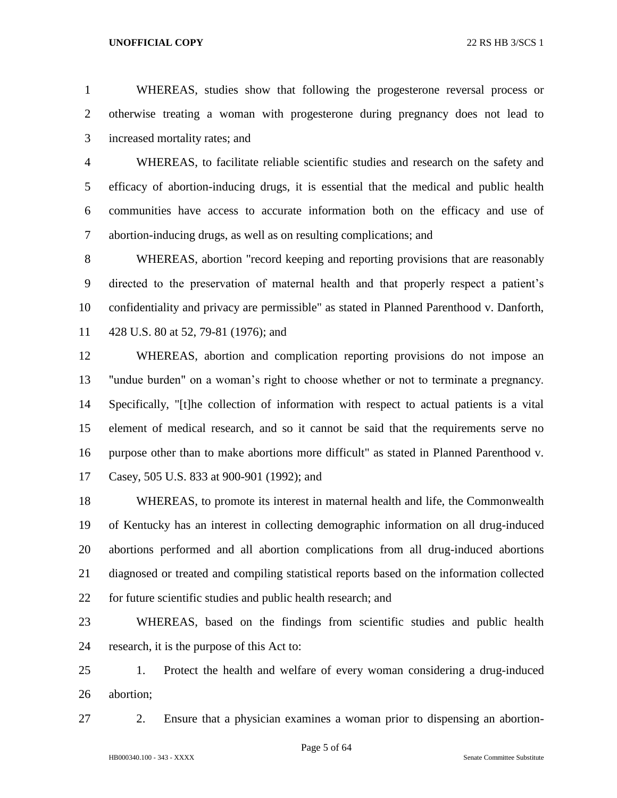WHEREAS, studies show that following the progesterone reversal process or otherwise treating a woman with progesterone during pregnancy does not lead to increased mortality rates; and

 WHEREAS, to facilitate reliable scientific studies and research on the safety and efficacy of abortion-inducing drugs, it is essential that the medical and public health communities have access to accurate information both on the efficacy and use of abortion-inducing drugs, as well as on resulting complications; and

 WHEREAS, abortion "record keeping and reporting provisions that are reasonably directed to the preservation of maternal health and that properly respect a patient's confidentiality and privacy are permissible" as stated in Planned Parenthood v. Danforth, 428 U.S. 80 at 52, 79-81 (1976); and

 WHEREAS, abortion and complication reporting provisions do not impose an "undue burden" on a woman's right to choose whether or not to terminate a pregnancy. Specifically, "[t]he collection of information with respect to actual patients is a vital element of medical research, and so it cannot be said that the requirements serve no purpose other than to make abortions more difficult" as stated in Planned Parenthood v. Casey, 505 U.S. 833 at 900-901 (1992); and

 WHEREAS, to promote its interest in maternal health and life, the Commonwealth of Kentucky has an interest in collecting demographic information on all drug-induced abortions performed and all abortion complications from all drug-induced abortions diagnosed or treated and compiling statistical reports based on the information collected for future scientific studies and public health research; and

 WHEREAS, based on the findings from scientific studies and public health research, it is the purpose of this Act to:

 1. Protect the health and welfare of every woman considering a drug-induced abortion;

2. Ensure that a physician examines a woman prior to dispensing an abortion-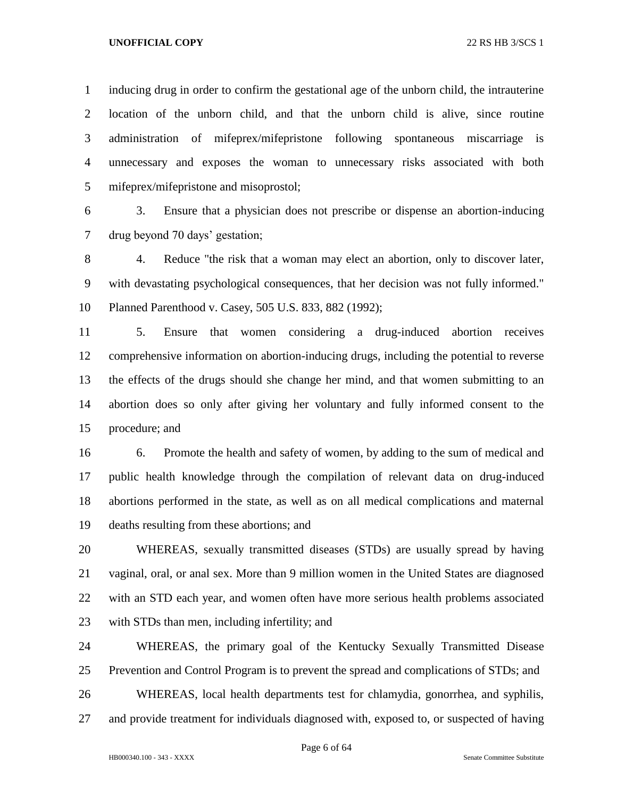inducing drug in order to confirm the gestational age of the unborn child, the intrauterine location of the unborn child, and that the unborn child is alive, since routine administration of mifeprex/mifepristone following spontaneous miscarriage is unnecessary and exposes the woman to unnecessary risks associated with both mifeprex/mifepristone and misoprostol;

 3. Ensure that a physician does not prescribe or dispense an abortion-inducing drug beyond 70 days' gestation;

 4. Reduce "the risk that a woman may elect an abortion, only to discover later, with devastating psychological consequences, that her decision was not fully informed." Planned Parenthood v. Casey, 505 U.S. 833, 882 (1992);

 5. Ensure that women considering a drug-induced abortion receives comprehensive information on abortion-inducing drugs, including the potential to reverse the effects of the drugs should she change her mind, and that women submitting to an abortion does so only after giving her voluntary and fully informed consent to the procedure; and

 6. Promote the health and safety of women, by adding to the sum of medical and public health knowledge through the compilation of relevant data on drug-induced abortions performed in the state, as well as on all medical complications and maternal deaths resulting from these abortions; and

 WHEREAS, sexually transmitted diseases (STDs) are usually spread by having vaginal, oral, or anal sex. More than 9 million women in the United States are diagnosed with an STD each year, and women often have more serious health problems associated with STDs than men, including infertility; and

 WHEREAS, the primary goal of the Kentucky Sexually Transmitted Disease Prevention and Control Program is to prevent the spread and complications of STDs; and

WHEREAS, local health departments test for chlamydia, gonorrhea, and syphilis,

and provide treatment for individuals diagnosed with, exposed to, or suspected of having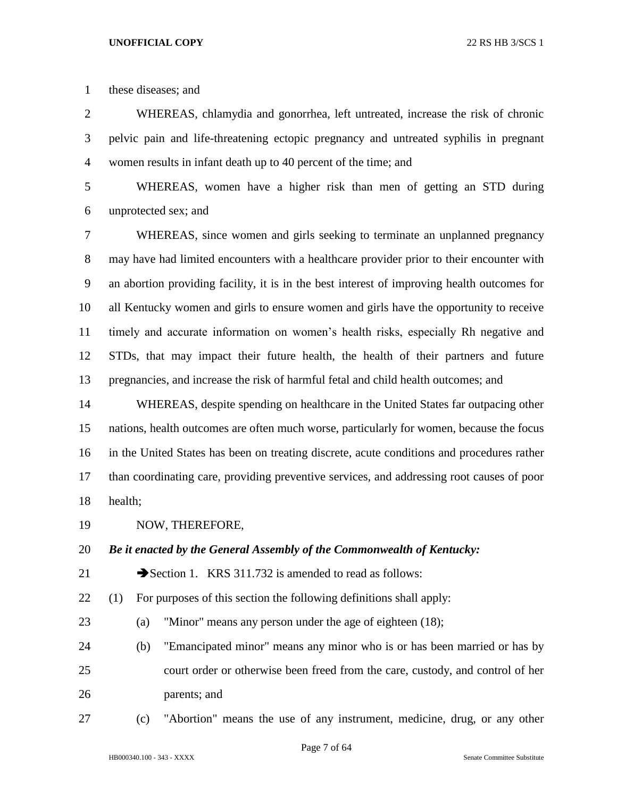these diseases; and

 WHEREAS, chlamydia and gonorrhea, left untreated, increase the risk of chronic pelvic pain and life-threatening ectopic pregnancy and untreated syphilis in pregnant women results in infant death up to 40 percent of the time; and

 WHEREAS, women have a higher risk than men of getting an STD during unprotected sex; and

 WHEREAS, since women and girls seeking to terminate an unplanned pregnancy may have had limited encounters with a healthcare provider prior to their encounter with an abortion providing facility, it is in the best interest of improving health outcomes for all Kentucky women and girls to ensure women and girls have the opportunity to receive timely and accurate information on women's health risks, especially Rh negative and STDs, that may impact their future health, the health of their partners and future pregnancies, and increase the risk of harmful fetal and child health outcomes; and

 WHEREAS, despite spending on healthcare in the United States far outpacing other nations, health outcomes are often much worse, particularly for women, because the focus in the United States has been on treating discrete, acute conditions and procedures rather than coordinating care, providing preventive services, and addressing root causes of poor health;

NOW, THEREFORE,

*Be it enacted by the General Assembly of the Commonwealth of Kentucky:*

21 Section 1. KRS 311.732 is amended to read as follows:

(1) For purposes of this section the following definitions shall apply:

- (a) "Minor" means any person under the age of eighteen (18);
- (b) "Emancipated minor" means any minor who is or has been married or has by court order or otherwise been freed from the care, custody, and control of her parents; and
- (c) "Abortion" means the use of any instrument, medicine, drug, or any other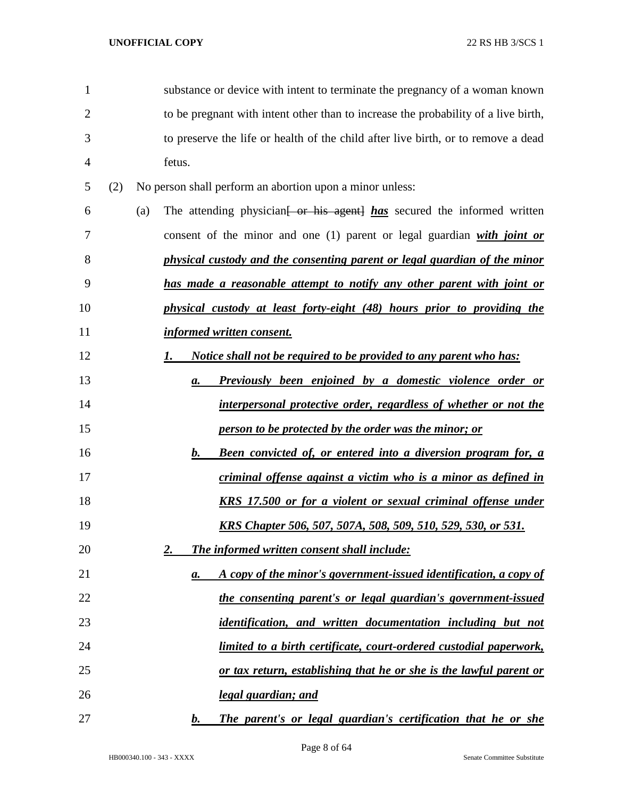| 1              |     |     |                 | substance or device with intent to terminate the pregnancy of a woman known         |
|----------------|-----|-----|-----------------|-------------------------------------------------------------------------------------|
| $\overline{2}$ |     |     |                 | to be pregnant with intent other than to increase the probability of a live birth,  |
| 3              |     |     |                 | to preserve the life or health of the child after live birth, or to remove a dead   |
| 4              |     |     | fetus.          |                                                                                     |
| 5              | (2) |     |                 | No person shall perform an abortion upon a minor unless:                            |
| 6              |     | (a) |                 | The attending physician <del>[ or his agent]</del> has secured the informed written |
| 7              |     |     |                 | consent of the minor and one $(1)$ parent or legal guardian with joint or           |
| 8              |     |     |                 | physical custody and the consenting parent or legal guardian of the minor           |
| 9              |     |     |                 | has made a reasonable attempt to notify any other parent with joint or              |
| 10             |     |     |                 | physical custody at least forty-eight (48) hours prior to providing the             |
| 11             |     |     |                 | informed written consent.                                                           |
| 12             |     |     | $1\overline{ }$ | <u>Notice shall not be required to be provided to any parent who has:</u>           |
| 13             |     |     | a.              | <b>Previously been enjoined by a domestic violence order or</b>                     |
| 14             |     |     |                 | interpersonal protective order, regardless of whether or not the                    |
| 15             |     |     |                 | person to be protected by the order was the minor; or                               |
| 16             |     |     | $\bm{b}$ .      | <b>Been convicted of, or entered into a diversion program for, a</b>                |
| 17             |     |     |                 | criminal offense against a victim who is a minor as defined in                      |
| 18             |     |     |                 | <b>KRS</b> 17.500 or for a violent or sexual criminal offense under                 |
| 19             |     |     |                 | <u>KRS Chapter 506, 507, 507A, 508, 509, 510, 529, 530, or 531.</u>                 |
| 20             |     |     | 2.              | The informed written consent shall include:                                         |
| 21             |     |     | а.              | A copy of the minor's government-issued identification, a copy of                   |
| 22             |     |     |                 | the consenting parent's or legal guardian's government-issued                       |
| 23             |     |     |                 | identification, and written documentation including but not                         |
| 24             |     |     |                 | limited to a birth certificate, court-ordered custodial paperwork,                  |
| 25             |     |     |                 | or tax return, establishing that he or she is the lawful parent or                  |
| 26             |     |     |                 | <u>legal guardian; and</u>                                                          |
| 27             |     |     | $\bm{b}$ .      | The parent's or legal guardian's certification that he or she                       |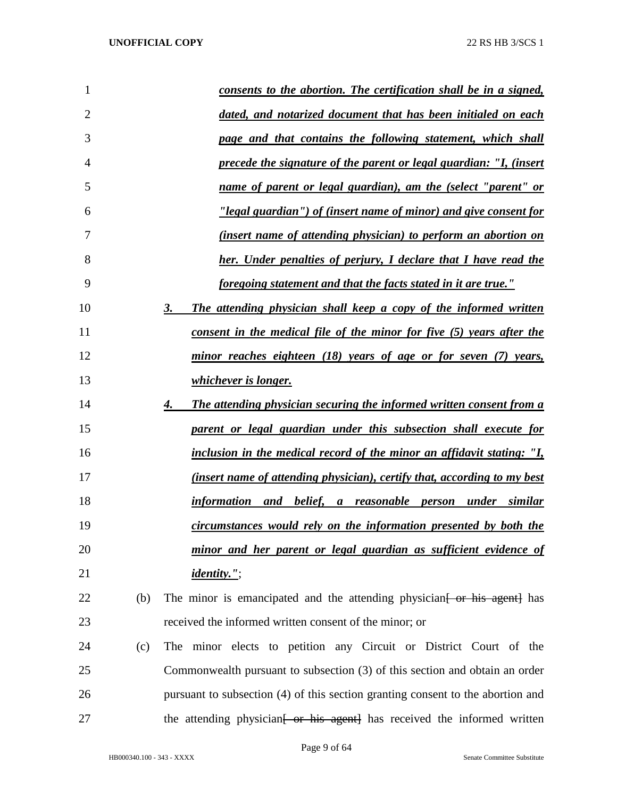| 1              | consents to the abortion. The certification shall be in a signed,                    |
|----------------|--------------------------------------------------------------------------------------|
| $\overline{2}$ | dated, and notarized document that has been initialed on each                        |
| 3              | page and that contains the following statement, which shall                          |
| 4              | precede the signature of the parent or legal guardian: "I, (insert                   |
| 5              | name of parent or legal guardian), am the (select "parent" or                        |
| 6              | "legal guardian") of (insert name of minor) and give consent for                     |
| 7              | <u>(insert name of attending physician) to perform an abortion on</u>                |
| 8              | her. Under penalties of perjury, I declare that I have read the                      |
| 9              | foregoing statement and that the facts stated in it are true."                       |
| 10             | The attending physician shall keep a copy of the informed written<br>3.              |
| 11             | consent in the medical file of the minor for five (5) years after the                |
| 12             | minor reaches eighteen (18) years of age or for seven (7) years,                     |
| 13             | <i>whichever is longer.</i>                                                          |
| 14             | The attending physician securing the informed written consent from a<br>4.           |
| 15             | parent or legal guardian under this subsection shall execute for                     |
| 16             | inclusion in the medical record of the minor an affidavit stating: "I,               |
| 17             | <i>(insert name of attending physician), certify that, according to my best</i>      |
| 18             | information and belief, a reasonable person under similar                            |
| 19             | circumstances would rely on the information presented by both the                    |
| 20             | minor and her parent or legal guardian as sufficient evidence of                     |
| 21             | <i>identity."</i> ;                                                                  |
| 22<br>(b)      | The minor is emancipated and the attending physician for his agent has               |
| 23             | received the informed written consent of the minor; or                               |
| 24<br>(c)      | The minor elects to petition any Circuit or District Court of the                    |
| 25             | Commonwealth pursuant to subsection (3) of this section and obtain an order          |
| 26             | pursuant to subsection (4) of this section granting consent to the abortion and      |
| 27             | the attending physician <del>[ or his agent]</del> has received the informed written |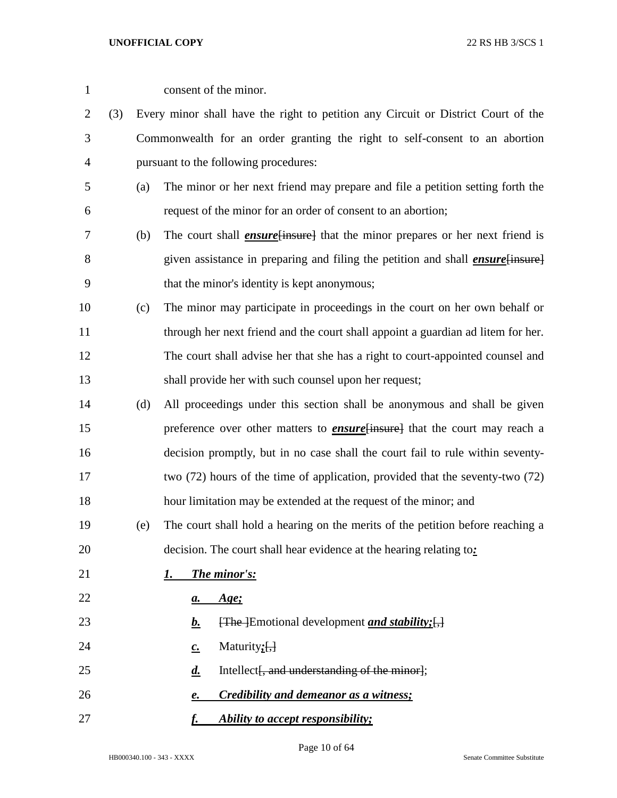| $\mathbf{1}$   |     |     | consent of the minor.                                                                            |
|----------------|-----|-----|--------------------------------------------------------------------------------------------------|
| 2              | (3) |     | Every minor shall have the right to petition any Circuit or District Court of the                |
| 3              |     |     | Commonwealth for an order granting the right to self-consent to an abortion                      |
| $\overline{4}$ |     |     | pursuant to the following procedures:                                                            |
| 5              |     | (a) | The minor or her next friend may prepare and file a petition setting forth the                   |
| 6              |     |     | request of the minor for an order of consent to an abortion;                                     |
| 7              |     | (b) | The court shall <i>ensure</i> [insure] that the minor prepares or her next friend is             |
| 8              |     |     | given assistance in preparing and filing the petition and shall <i>ensure</i> [insure]           |
| 9              |     |     | that the minor's identity is kept anonymous;                                                     |
| 10             |     | (c) | The minor may participate in proceedings in the court on her own behalf or                       |
| 11             |     |     | through her next friend and the court shall appoint a guardian ad litem for her.                 |
| 12             |     |     | The court shall advise her that she has a right to court-appointed counsel and                   |
| 13             |     |     | shall provide her with such counsel upon her request;                                            |
| 14             |     | (d) | All proceedings under this section shall be anonymous and shall be given                         |
| 15             |     |     | preference over other matters to <b>ensure</b> {insure} that the court may reach a               |
| 16             |     |     | decision promptly, but in no case shall the court fail to rule within seventy-                   |
| 17             |     |     | two (72) hours of the time of application, provided that the seventy-two (72)                    |
| 18             |     |     | hour limitation may be extended at the request of the minor; and                                 |
| 19             |     | (e) | The court shall hold a hearing on the merits of the petition before reaching a                   |
| 20             |     |     | decision. The court shall hear evidence at the hearing relating to:                              |
| 21             |     |     | The minor's:<br>1.                                                                               |
| 22             |     |     | <u>Age;</u><br>а.                                                                                |
| 23             |     |     | <u>b.</u><br>$\overline{f}$ [The ] Emotional development <i>and stability</i> ; $\overline{f}$ ] |
| 24             |     |     | Maturity $;$ $[$ , $]$<br>$c_{\cdot}$                                                            |
| 25             |     |     | $\boldsymbol{d.}$<br>Intellect, and understanding of the minor};                                 |
| 26             |     |     | <b>Credibility and demeanor as a witness;</b><br>e.                                              |
| 27             |     |     | Ability to accept responsibility;<br><u>f.</u>                                                   |

Page 10 of 64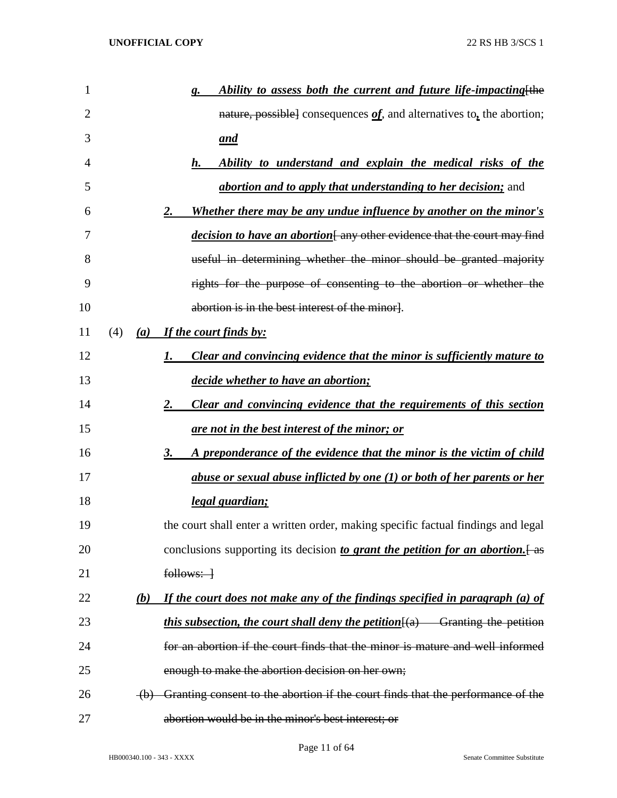| $\mathbf{1}$   |     |     | Ability to assess both the current and future life-impacting [the<br>g.                             |
|----------------|-----|-----|-----------------------------------------------------------------------------------------------------|
| $\overline{2}$ |     |     | nature, possible] consequences $of$ , and alternatives to, the abortion;                            |
| 3              |     |     | <u>and</u>                                                                                          |
| 4              |     |     | Ability to understand and explain the medical risks of the<br>$\boldsymbol{h}$ .                    |
| 5              |     |     | <i>abortion and to apply that understanding to her decision;</i> and                                |
| 6              |     |     | <u>Whether there may be any undue influence by another on the minor's</u><br>2.                     |
| 7              |     |     | <i>decision to have an abortion</i> [any other evidence that the court may find                     |
| 8              |     |     | useful in determining whether the minor should be granted majority                                  |
| 9              |     |     | rights for the purpose of consenting to the abortion or whether the                                 |
| 10             |     |     | abortion is in the best interest of the minor].                                                     |
| 11             | (4) |     | (a) If the court finds by:                                                                          |
| 12             |     |     | <b>Clear and convincing evidence that the minor is sufficiently mature to</b><br>1.                 |
| 13             |     |     | decide whether to have an abortion;                                                                 |
| 14             |     |     | Clear and convincing evidence that the requirements of this section<br>2.                           |
| 15             |     |     | <u>are not in the best interest of the minor; or</u>                                                |
| 16             |     |     | A preponderance of the evidence that the minor is the victim of child<br><u>3.</u>                  |
| 17             |     |     | abuse or sexual abuse inflicted by one (1) or both of her parents or her                            |
| 18             |     |     | <u>legal guardian;</u>                                                                              |
| 19             |     |     | the court shall enter a written order, making specific factual findings and legal                   |
| 20             |     |     | conclusions supporting its decision to grant the petition for an abortion. $[$ -as                  |
| 21             |     |     | $follows:$ $\rightarrow$                                                                            |
| 22             |     | (b) | If the court does not make any of the findings specified in paragraph (a) of                        |
| 23             |     |     | <i>this subsection, the court shall deny the petition</i> $\frac{f(a)}{g(a)}$ Granting the petition |
| 24             |     |     | for an abortion if the court finds that the minor is mature and well informed                       |
| 25             |     |     | enough to make the abortion decision on her own;                                                    |
| 26             |     |     | (b) Granting consent to the abortion if the court finds that the performance of the                 |
| 27             |     |     | abortion would be in the minor's best interest; or                                                  |

Page 11 of 64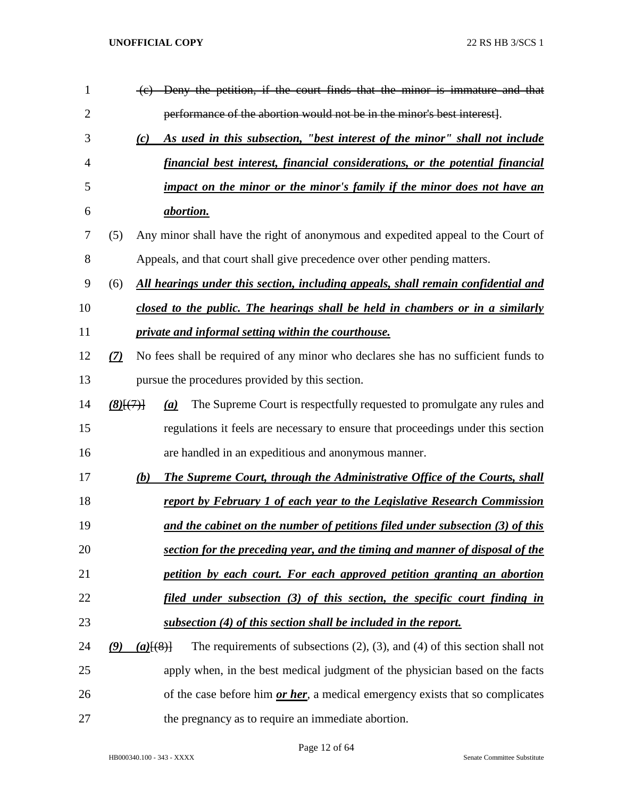| 1  |               |               | Deny the petition, if the court finds that the minor is immature and that             |
|----|---------------|---------------|---------------------------------------------------------------------------------------|
| 2  |               |               | performance of the abortion would not be in the minor's best interest.                |
| 3  |               | (c)           | As used in this subsection, "best interest of the minor" shall not include            |
| 4  |               |               | financial best interest, financial considerations, or the potential financial         |
| 5  |               |               | impact on the minor or the minor's family if the minor does not have an               |
| 6  |               |               | <i>abortion.</i>                                                                      |
| 7  | (5)           |               | Any minor shall have the right of anonymous and expedited appeal to the Court of      |
| 8  |               |               | Appeals, and that court shall give precedence over other pending matters.             |
| 9  | (6)           |               | All hearings under this section, including appeals, shall remain confidential and     |
| 10 |               |               | closed to the public. The hearings shall be held in chambers or in a similarly        |
| 11 |               |               | <i>private and informal setting within the courthouse.</i>                            |
| 12 | (7)           |               | No fees shall be required of any minor who declares she has no sufficient funds to    |
| 13 |               |               | pursue the procedures provided by this section.                                       |
| 14 | $(8)$ $\{7\}$ |               | The Supreme Court is respectfully requested to promulgate any rules and<br>(a)        |
| 15 |               |               | regulations it feels are necessary to ensure that proceedings under this section      |
| 16 |               |               | are handled in an expeditious and anonymous manner.                                   |
| 17 |               | (b)           | <b>The Supreme Court, through the Administrative Office of the Courts, shall</b>      |
| 18 |               |               | <u>report by February 1 of each year to the Legislative Research Commission</u>       |
| 19 |               |               | and the cabinet on the number of petitions filed under subsection (3) of this         |
| 20 |               |               | section for the preceding year, and the timing and manner of disposal of the          |
| 21 |               |               | petition by each court. For each approved petition granting an abortion               |
| 22 |               |               | filed under subsection (3) of this section, the specific court finding in             |
| 23 |               |               | <u>subsection (4) of this section shall be included in the report.</u>                |
| 24 | (9)           | $(a)$ $(8)$ } | The requirements of subsections $(2)$ , $(3)$ , and $(4)$ of this section shall not   |
| 25 |               |               | apply when, in the best medical judgment of the physician based on the facts          |
| 26 |               |               | of the case before him <i>or her</i> , a medical emergency exists that so complicates |
| 27 |               |               | the pregnancy as to require an immediate abortion.                                    |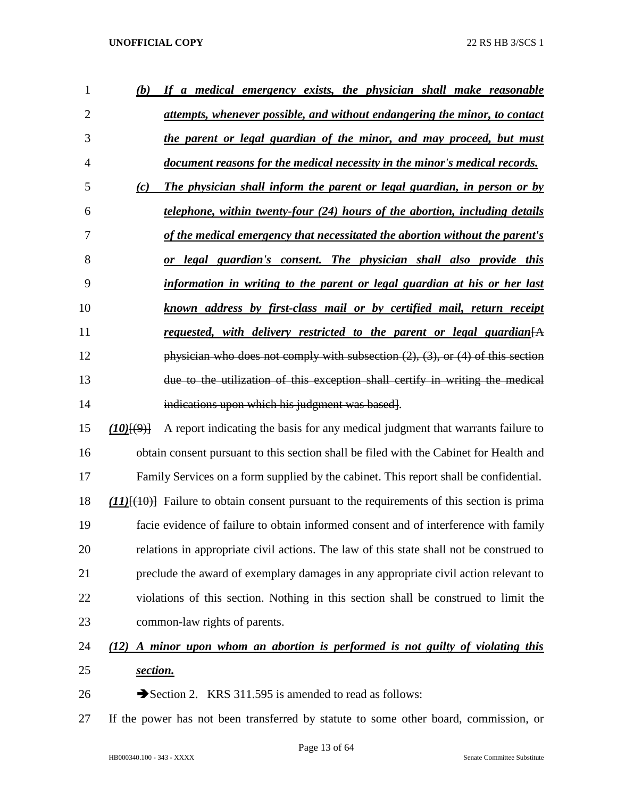| $\mathbf{1}$   | (b)     | If a medical emergency exists, the physician shall make reasonable                            |
|----------------|---------|-----------------------------------------------------------------------------------------------|
| $\overline{2}$ |         | attempts, whenever possible, and without endangering the minor, to contact                    |
| 3              |         | the parent or legal guardian of the minor, and may proceed, but must                          |
| 4              |         | document reasons for the medical necessity in the minor's medical records.                    |
| 5              | (c)     | The physician shall inform the parent or legal guardian, in person or by                      |
| 6              |         | telephone, within twenty-four (24) hours of the abortion, including details                   |
| 7              |         | of the medical emergency that necessitated the abortion without the parent's                  |
| 8              |         | or legal guardian's consent. The physician shall also provide this                            |
| 9              |         | information in writing to the parent or legal guardian at his or her last                     |
| 10             |         | known address by first-class mail or by certified mail, return receipt                        |
| 11             |         | requested, with delivery restricted to the parent or legal guardian $[A]$                     |
| 12             |         | physician who does not comply with subsection $(2)$ , $(3)$ , or $(4)$ of this section        |
| 13             |         | due to the utilization of this exception shall certify in writing the medical                 |
| 14             |         | indications upon which his judgment was based].                                               |
| 15             | (10)(9) | A report indicating the basis for any medical judgment that warrants failure to               |
| 16             |         | obtain consent pursuant to this section shall be filed with the Cabinet for Health and        |
| 17             |         | Family Services on a form supplied by the cabinet. This report shall be confidential.         |
| 18             |         | $(11)$ $(10)$ Failure to obtain consent pursuant to the requirements of this section is prima |
| 19             |         | facie evidence of failure to obtain informed consent and of interference with family          |
| 20             |         | relations in appropriate civil actions. The law of this state shall not be construed to       |
|                |         |                                                                                               |

 preclude the award of exemplary damages in any appropriate civil action relevant to violations of this section. Nothing in this section shall be construed to limit the common-law rights of parents.

# *(12) A minor upon whom an abortion is performed is not guilty of violating this section.*

- 26 Section 2. KRS 311.595 is amended to read as follows:
- If the power has not been transferred by statute to some other board, commission, or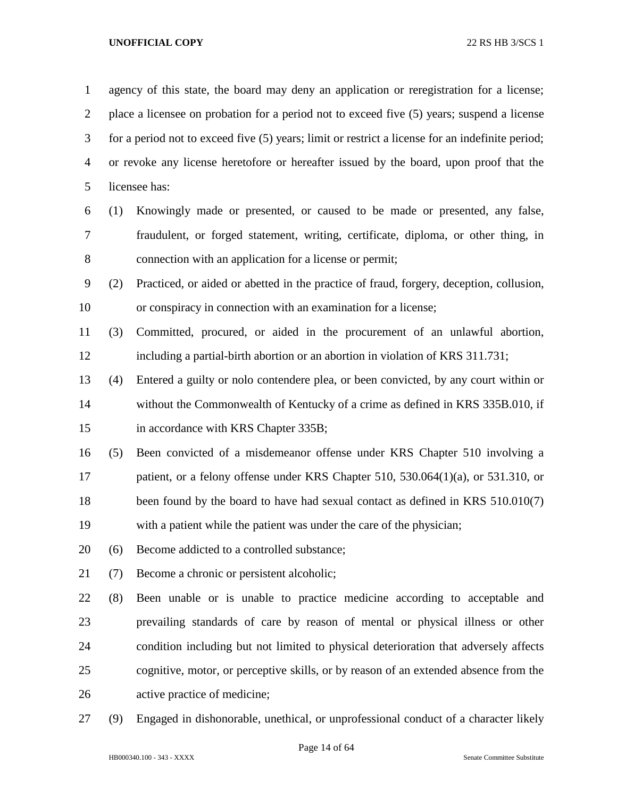agency of this state, the board may deny an application or reregistration for a license; place a licensee on probation for a period not to exceed five (5) years; suspend a license for a period not to exceed five (5) years; limit or restrict a license for an indefinite period; or revoke any license heretofore or hereafter issued by the board, upon proof that the licensee has: (1) Knowingly made or presented, or caused to be made or presented, any false, fraudulent, or forged statement, writing, certificate, diploma, or other thing, in connection with an application for a license or permit; (2) Practiced, or aided or abetted in the practice of fraud, forgery, deception, collusion, or conspiracy in connection with an examination for a license; (3) Committed, procured, or aided in the procurement of an unlawful abortion, including a partial-birth abortion or an abortion in violation of KRS 311.731; (4) Entered a guilty or nolo contendere plea, or been convicted, by any court within or without the Commonwealth of Kentucky of a crime as defined in KRS 335B.010, if 15 in accordance with KRS Chapter 335B; (5) Been convicted of a misdemeanor offense under KRS Chapter 510 involving a 17 patient, or a felony offense under KRS Chapter 510, 530.064(1)(a), or 531.310, or 18 been found by the board to have had sexual contact as defined in KRS 510.010(7) with a patient while the patient was under the care of the physician; (6) Become addicted to a controlled substance; (7) Become a chronic or persistent alcoholic; (8) Been unable or is unable to practice medicine according to acceptable and prevailing standards of care by reason of mental or physical illness or other condition including but not limited to physical deterioration that adversely affects cognitive, motor, or perceptive skills, or by reason of an extended absence from the active practice of medicine;

(9) Engaged in dishonorable, unethical, or unprofessional conduct of a character likely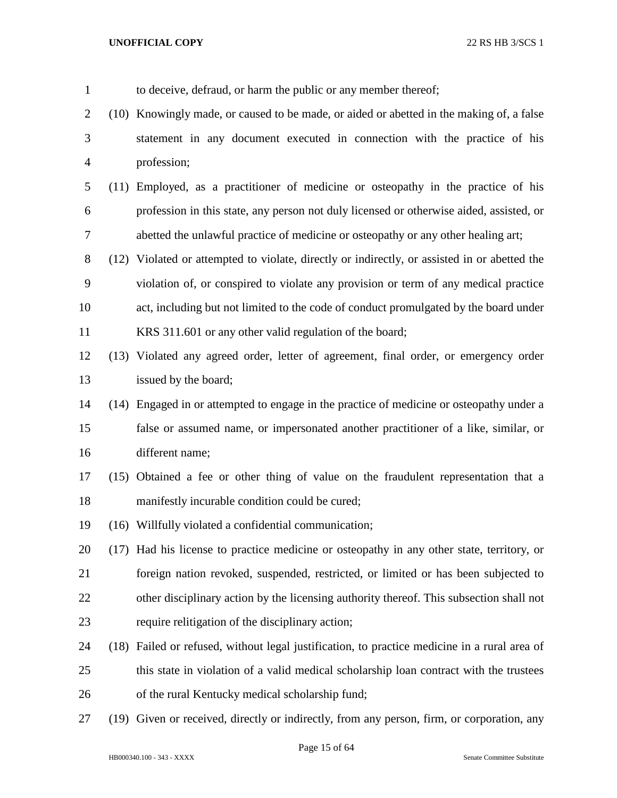to deceive, defraud, or harm the public or any member thereof; (10) Knowingly made, or caused to be made, or aided or abetted in the making of, a false statement in any document executed in connection with the practice of his profession; (11) Employed, as a practitioner of medicine or osteopathy in the practice of his profession in this state, any person not duly licensed or otherwise aided, assisted, or abetted the unlawful practice of medicine or osteopathy or any other healing art; (12) Violated or attempted to violate, directly or indirectly, or assisted in or abetted the violation of, or conspired to violate any provision or term of any medical practice act, including but not limited to the code of conduct promulgated by the board under KRS 311.601 or any other valid regulation of the board; (13) Violated any agreed order, letter of agreement, final order, or emergency order issued by the board; (14) Engaged in or attempted to engage in the practice of medicine or osteopathy under a false or assumed name, or impersonated another practitioner of a like, similar, or different name; (15) Obtained a fee or other thing of value on the fraudulent representation that a manifestly incurable condition could be cured; (16) Willfully violated a confidential communication; (17) Had his license to practice medicine or osteopathy in any other state, territory, or foreign nation revoked, suspended, restricted, or limited or has been subjected to other disciplinary action by the licensing authority thereof. This subsection shall not require relitigation of the disciplinary action; (18) Failed or refused, without legal justification, to practice medicine in a rural area of this state in violation of a valid medical scholarship loan contract with the trustees of the rural Kentucky medical scholarship fund; (19) Given or received, directly or indirectly, from any person, firm, or corporation, any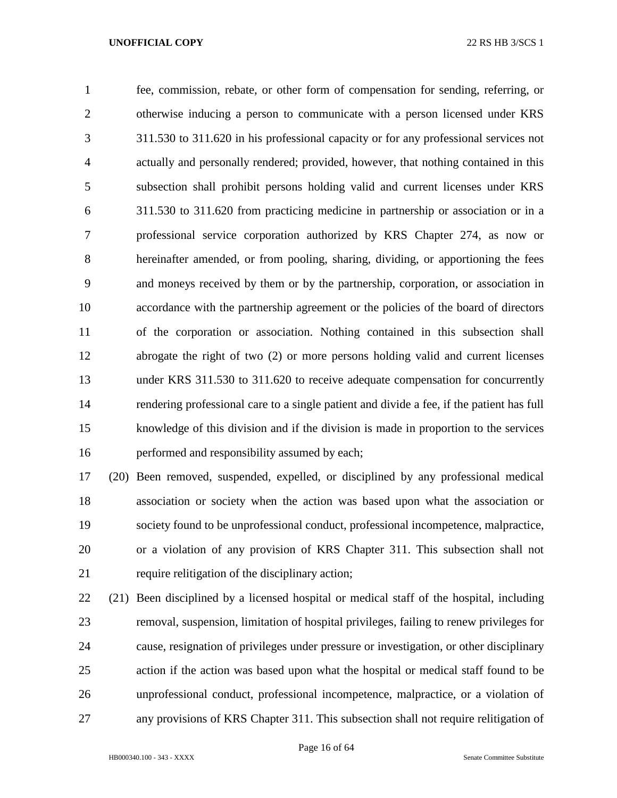fee, commission, rebate, or other form of compensation for sending, referring, or otherwise inducing a person to communicate with a person licensed under KRS 311.530 to 311.620 in his professional capacity or for any professional services not actually and personally rendered; provided, however, that nothing contained in this subsection shall prohibit persons holding valid and current licenses under KRS 311.530 to 311.620 from practicing medicine in partnership or association or in a professional service corporation authorized by KRS Chapter 274, as now or hereinafter amended, or from pooling, sharing, dividing, or apportioning the fees and moneys received by them or by the partnership, corporation, or association in accordance with the partnership agreement or the policies of the board of directors of the corporation or association. Nothing contained in this subsection shall abrogate the right of two (2) or more persons holding valid and current licenses under KRS 311.530 to 311.620 to receive adequate compensation for concurrently rendering professional care to a single patient and divide a fee, if the patient has full knowledge of this division and if the division is made in proportion to the services performed and responsibility assumed by each;

 (20) Been removed, suspended, expelled, or disciplined by any professional medical association or society when the action was based upon what the association or society found to be unprofessional conduct, professional incompetence, malpractice, or a violation of any provision of KRS Chapter 311. This subsection shall not require relitigation of the disciplinary action;

 (21) Been disciplined by a licensed hospital or medical staff of the hospital, including removal, suspension, limitation of hospital privileges, failing to renew privileges for cause, resignation of privileges under pressure or investigation, or other disciplinary action if the action was based upon what the hospital or medical staff found to be unprofessional conduct, professional incompetence, malpractice, or a violation of any provisions of KRS Chapter 311. This subsection shall not require relitigation of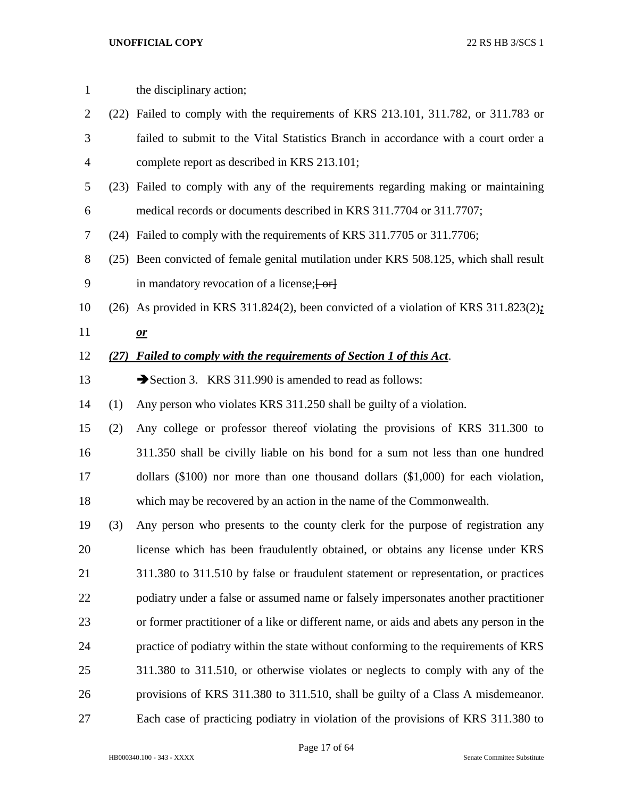| $\mathbf{1}$ |      | the disciplinary action;                                                                |
|--------------|------|-----------------------------------------------------------------------------------------|
| 2            |      | (22) Failed to comply with the requirements of KRS 213.101, 311.782, or 311.783 or      |
| 3            |      | failed to submit to the Vital Statistics Branch in accordance with a court order a      |
| 4            |      | complete report as described in KRS 213.101;                                            |
| 5            |      | (23) Failed to comply with any of the requirements regarding making or maintaining      |
| 6            |      | medical records or documents described in KRS 311.7704 or 311.7707;                     |
| 7            |      | (24) Failed to comply with the requirements of KRS 311.7705 or 311.7706;                |
| 8            |      | (25) Been convicted of female genital mutilation under KRS 508.125, which shall result  |
| 9            |      | in mandatory revocation of a license; [-or]                                             |
| 10           |      | (26) As provided in KRS 311.824(2), been convicted of a violation of KRS 311.823(2):    |
| 11           |      | $\mathbf{\underline{or}}$                                                               |
| 12           | (27) | Failed to comply with the requirements of Section 1 of this Act.                        |
| 13           |      | Section 3. KRS 311.990 is amended to read as follows:                                   |
| 14           | (1)  | Any person who violates KRS 311.250 shall be guilty of a violation.                     |
| 15           | (2)  | Any college or professor thereof violating the provisions of KRS 311.300 to             |
| 16           |      | 311.350 shall be civilly liable on his bond for a sum not less than one hundred         |
| 17           |      | dollars $(\$100)$ nor more than one thousand dollars $(\$1,000)$ for each violation,    |
| 18           |      | which may be recovered by an action in the name of the Commonwealth.                    |
| 19           | (3)  | Any person who presents to the county clerk for the purpose of registration any         |
| 20           |      | license which has been fraudulently obtained, or obtains any license under KRS          |
| 21           |      | 311.380 to 311.510 by false or fraudulent statement or representation, or practices     |
| 22           |      | podiatry under a false or assumed name or falsely impersonates another practitioner     |
| 23           |      | or former practitioner of a like or different name, or aids and abets any person in the |
| 24           |      | practice of podiatry within the state without conforming to the requirements of KRS     |
| 25           |      | 311.380 to 311.510, or otherwise violates or neglects to comply with any of the         |
| 26           |      | provisions of KRS 311.380 to 311.510, shall be guilty of a Class A misdemeanor.         |
| 27           |      | Each case of practicing podiatry in violation of the provisions of KRS 311.380 to       |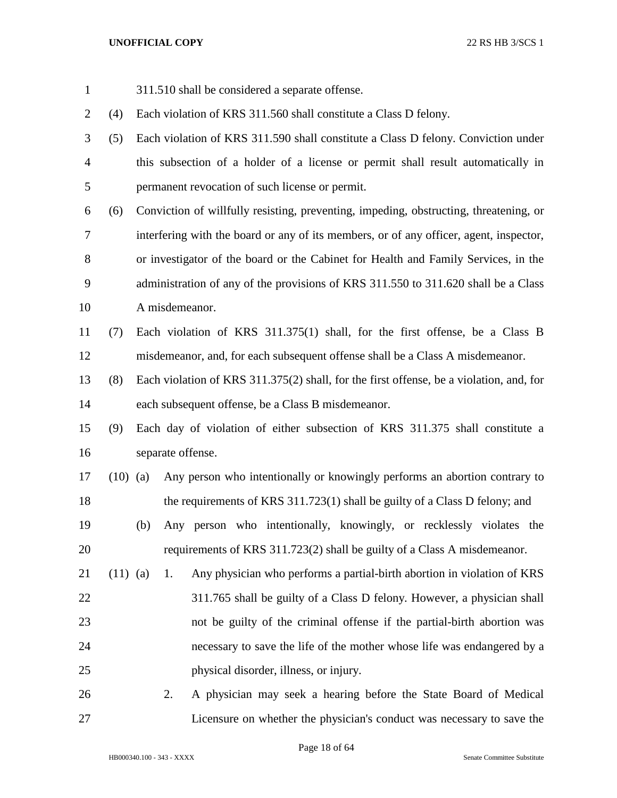311.510 shall be considered a separate offense. (4) Each violation of KRS 311.560 shall constitute a Class D felony. (5) Each violation of KRS 311.590 shall constitute a Class D felony. Conviction under this subsection of a holder of a license or permit shall result automatically in permanent revocation of such license or permit. (6) Conviction of willfully resisting, preventing, impeding, obstructing, threatening, or interfering with the board or any of its members, or of any officer, agent, inspector, or investigator of the board or the Cabinet for Health and Family Services, in the administration of any of the provisions of KRS 311.550 to 311.620 shall be a Class A misdemeanor. (7) Each violation of KRS 311.375(1) shall, for the first offense, be a Class B misdemeanor, and, for each subsequent offense shall be a Class A misdemeanor. (8) Each violation of KRS 311.375(2) shall, for the first offense, be a violation, and, for each subsequent offense, be a Class B misdemeanor. (9) Each day of violation of either subsection of KRS 311.375 shall constitute a separate offense. (10) (a) Any person who intentionally or knowingly performs an abortion contrary to the requirements of KRS 311.723(1) shall be guilty of a Class D felony; and (b) Any person who intentionally, knowingly, or recklessly violates the requirements of KRS 311.723(2) shall be guilty of a Class A misdemeanor. (11) (a) 1. Any physician who performs a partial-birth abortion in violation of KRS 311.765 shall be guilty of a Class D felony. However, a physician shall not be guilty of the criminal offense if the partial-birth abortion was necessary to save the life of the mother whose life was endangered by a physical disorder, illness, or injury. 2. A physician may seek a hearing before the State Board of Medical Licensure on whether the physician's conduct was necessary to save the

Page 18 of 64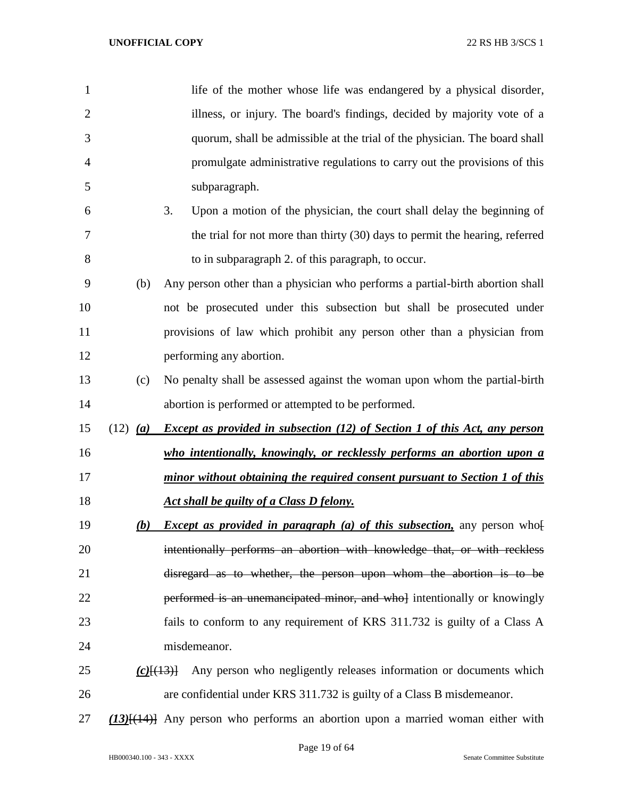| $\mathbf{1}$   |                     | life of the mother whose life was endangered by a physical disorder,                   |
|----------------|---------------------|----------------------------------------------------------------------------------------|
| $\overline{2}$ |                     | illness, or injury. The board's findings, decided by majority vote of a                |
| 3              |                     | quorum, shall be admissible at the trial of the physician. The board shall             |
| $\overline{4}$ |                     | promulgate administrative regulations to carry out the provisions of this              |
| 5              |                     | subparagraph.                                                                          |
| 6              |                     | Upon a motion of the physician, the court shall delay the beginning of<br>3.           |
| 7              |                     | the trial for not more than thirty (30) days to permit the hearing, referred           |
| 8              |                     | to in subparagraph 2. of this paragraph, to occur.                                     |
| 9              | (b)                 | Any person other than a physician who performs a partial-birth abortion shall          |
| 10             |                     | not be prosecuted under this subsection but shall be prosecuted under                  |
| 11             |                     | provisions of law which prohibit any person other than a physician from                |
| 12             |                     | performing any abortion.                                                               |
| 13             | (c)                 | No penalty shall be assessed against the woman upon whom the partial-birth             |
| 14             |                     | abortion is performed or attempted to be performed.                                    |
| 15             | $(12)$ ( <i>a</i> ) | <b>Except as provided in subsection (12) of Section 1 of this Act, any person</b>      |
| 16             |                     | who intentionally, knowingly, or recklessly performs an abortion upon a                |
| 17             |                     | minor without obtaining the required consent pursuant to Section 1 of this             |
| 18             |                     | Act shall be guilty of a Class D felony.                                               |
| 19             | (b)                 | <i>Except as provided in paragraph (a) of this subsection</i> , any person who[        |
| 20             |                     | intentionally performs an abortion with knowledge that, or with reckless               |
| 21             |                     | disregard as to whether, the person upon whom the abortion is to be                    |
| 22             |                     | performed is an unemancipated minor, and whol intentionally or knowingly               |
| 23             |                     | fails to conform to any requirement of KRS 311.732 is guilty of a Class A              |
| 24             |                     | misdemeanor.                                                                           |
| 25             |                     | Any person who negligently releases information or documents which<br>$(c)$ $\{ (13)$  |
| 26             |                     | are confidential under KRS 311.732 is guilty of a Class B misdemeanor.                 |
| 27             |                     | $(13)$ [ $(14)$ ] Any person who performs an abortion upon a married woman either with |

HB000340.100 - 343 - XXXX Senate Committee Substitute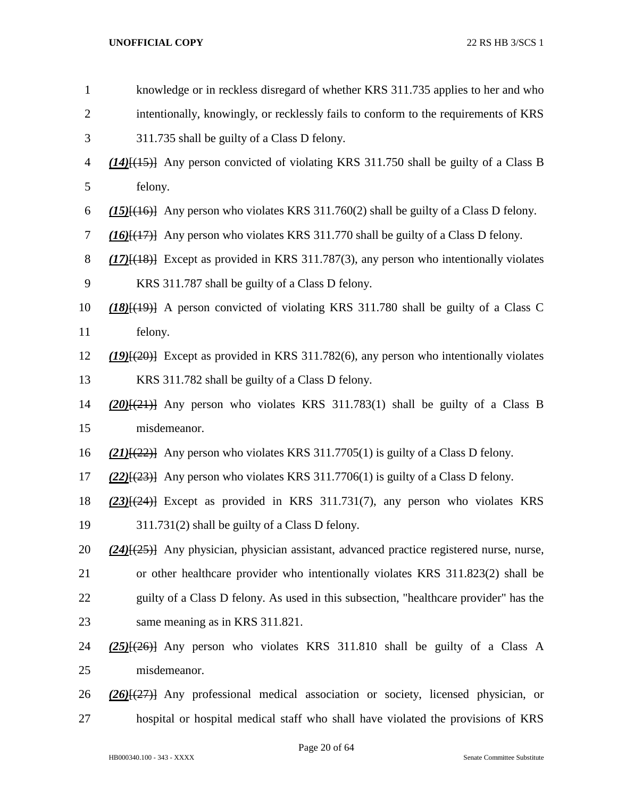| $\mathbf{1}$   | knowledge or in reckless disregard of whether KRS 311.735 applies to her and who                 |
|----------------|--------------------------------------------------------------------------------------------------|
| $\overline{2}$ | intentionally, knowingly, or recklessly fails to conform to the requirements of KRS              |
| 3              | 311.735 shall be guilty of a Class D felony.                                                     |
| $\overline{4}$ | $(14)$ { $(15)$ } Any person convicted of violating KRS 311.750 shall be guilty of a Class B     |
| 5              | felony.                                                                                          |
| 6              | $(15)$ { $(16)$ } Any person who violates KRS 311.760(2) shall be guilty of a Class D felony.    |
| 7              | $(16)$ $(17)$ } Any person who violates KRS 311.770 shall be guilty of a Class D felony.         |
| 8              | $(17)$ [ $(18)$ ] Except as provided in KRS 311.787(3), any person who intentionally violates    |
| 9              | KRS 311.787 shall be guilty of a Class D felony.                                                 |
| 10             | $(18)$ $(19)$ A person convicted of violating KRS 311.780 shall be guilty of a Class C           |
| 11             | felony.                                                                                          |
| 12             | $(19)(20)$ Except as provided in KRS 311.782(6), any person who intentionally violates           |
| 13             | KRS 311.782 shall be guilty of a Class D felony.                                                 |
| 14             | $(20)(21)$ Any person who violates KRS 311.783(1) shall be guilty of a Class B                   |
| 15             | misdemeanor.                                                                                     |
| 16             | $(21)$ [ $(22)$ ] Any person who violates KRS 311.7705(1) is guilty of a Class D felony.         |
| 17             | $(22)$ { $(23)$ } Any person who violates KRS 311.7706(1) is guilty of a Class D felony.         |
| 18             | $(23)$ [ $(24)$ ] Except as provided in KRS 311.731(7), any person who violates KRS              |
| 19             | 311.731(2) shall be guilty of a Class D felony.                                                  |
| 20             | $(24)$ { $(25)$ } Any physician, physician assistant, advanced practice registered nurse, nurse, |
| 21             | or other healthcare provider who intentionally violates KRS 311.823(2) shall be                  |
| 22             | guilty of a Class D felony. As used in this subsection, "healthcare provider" has the            |
| 23             | same meaning as in KRS 311.821.                                                                  |
| 24             | $(25)$ { $(26)$ } Any person who violates KRS 311.810 shall be guilty of a Class A               |
| 25             | misdemeanor.                                                                                     |
| 26             | $(26)$ $(27)$ Any professional medical association or society, licensed physician, or            |
| 27             | hospital or hospital medical staff who shall have violated the provisions of KRS                 |
|                |                                                                                                  |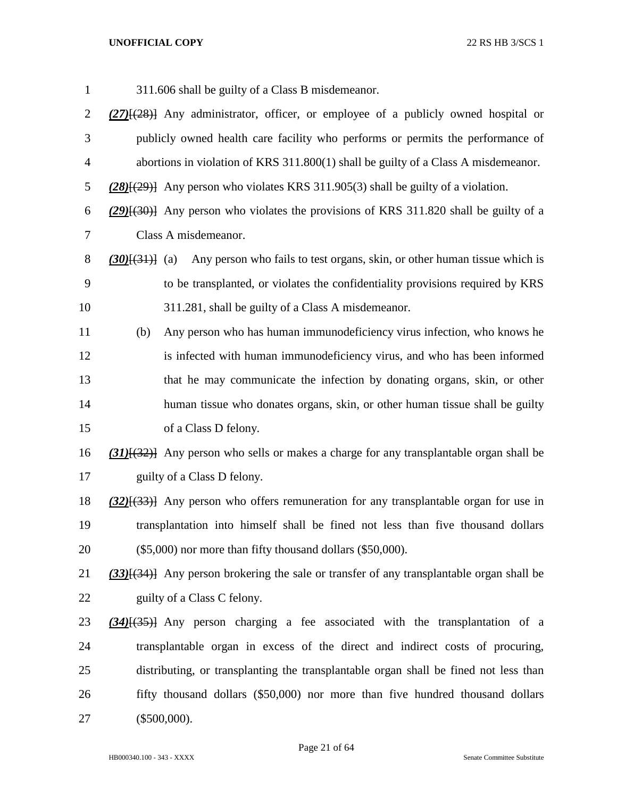311.606 shall be guilty of a Class B misdemeanor. *(27)*[(28)] Any administrator, officer, or employee of a publicly owned hospital or publicly owned health care facility who performs or permits the performance of abortions in violation of KRS 311.800(1) shall be guilty of a Class A misdemeanor. *(28)*[(29)] Any person who violates KRS 311.905(3) shall be guilty of a violation. *(29)*[(30)] Any person who violates the provisions of KRS 311.820 shall be guilty of a Class A misdemeanor. *(30)*[(31)] (a) Any person who fails to test organs, skin, or other human tissue which is to be transplanted, or violates the confidentiality provisions required by KRS 311.281, shall be guilty of a Class A misdemeanor. (b) Any person who has human immunodeficiency virus infection, who knows he 12 is infected with human immunodeficiency virus, and who has been informed that he may communicate the infection by donating organs, skin, or other human tissue who donates organs, skin, or other human tissue shall be guilty of a Class D felony. *(31)*[(32)] Any person who sells or makes a charge for any transplantable organ shall be guilty of a Class D felony. *(32)*[(33)] Any person who offers remuneration for any transplantable organ for use in transplantation into himself shall be fined not less than five thousand dollars (\$5,000) nor more than fifty thousand dollars (\$50,000). *(33)*[(34)] Any person brokering the sale or transfer of any transplantable organ shall be 22 guilty of a Class C felony. *(34)*[(35)] Any person charging a fee associated with the transplantation of a transplantable organ in excess of the direct and indirect costs of procuring, distributing, or transplanting the transplantable organ shall be fined not less than fifty thousand dollars (\$50,000) nor more than five hundred thousand dollars (\$500,000).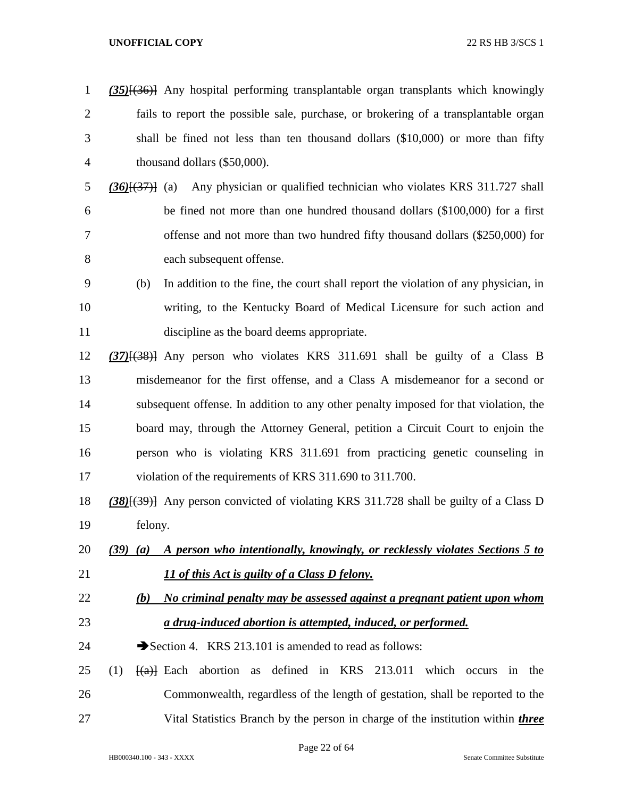| $\mathbf{1}$   | (35) <sup>{(36)}</sup> Any hospital performing transplantable organ transplants which knowingly                                  |
|----------------|----------------------------------------------------------------------------------------------------------------------------------|
| $\overline{2}$ | fails to report the possible sale, purchase, or brokering of a transplantable organ                                              |
| 3              | shall be fined not less than ten thousand dollars (\$10,000) or more than fifty                                                  |
| $\overline{4}$ | thousand dollars (\$50,000).                                                                                                     |
| 5              | Any physician or qualified technician who violates KRS 311.727 shall<br>$(36)(37)$ (a)                                           |
| 6              | be fined not more than one hundred thousand dollars (\$100,000) for a first                                                      |
| 7              | offense and not more than two hundred fifty thousand dollars (\$250,000) for                                                     |
| 8              | each subsequent offense.                                                                                                         |
| 9              | In addition to the fine, the court shall report the violation of any physician, in<br>(b)                                        |
| 10             | writing, to the Kentucky Board of Medical Licensure for such action and                                                          |
| 11             | discipline as the board deems appropriate.                                                                                       |
| 12             | $(37)$ $(38)$ } Any person who violates KRS 311.691 shall be guilty of a Class B                                                 |
| 13             | misdemeanor for the first offense, and a Class A misdemeanor for a second or                                                     |
| 14             | subsequent offense. In addition to any other penalty imposed for that violation, the                                             |
| 15             | board may, through the Attorney General, petition a Circuit Court to enjoin the                                                  |
| 16             | person who is violating KRS 311.691 from practicing genetic counseling in                                                        |
| 17             | violation of the requirements of KRS 311.690 to 311.700.                                                                         |
| 18             | (38)[(39)] Any person convicted of violating KRS 311.728 shall be guilty of a Class D                                            |
| 19             | felony.                                                                                                                          |
| 20             | A person who intentionally, knowingly, or recklessly violates Sections 5 to<br>$(39)$ $(a)$                                      |
| 21             | 11 of this Act is guilty of a Class D felony.                                                                                    |
| 22             | No criminal penalty may be assessed against a pregnant patient upon whom<br>(b)                                                  |
| 23             | a drug-induced abortion is attempted, induced, or performed.                                                                     |
| 24             | Section 4. KRS 213.101 is amended to read as follows:                                                                            |
| 25             | defined in KRS<br>213.011<br>(1)<br>abortion<br>which<br>$\left\{ \left( \alpha \right) \right\}$ Each<br>in the<br>as<br>occurs |
| 26             | Commonwealth, regardless of the length of gestation, shall be reported to the                                                    |
| 27             | Vital Statistics Branch by the person in charge of the institution within <i>three</i>                                           |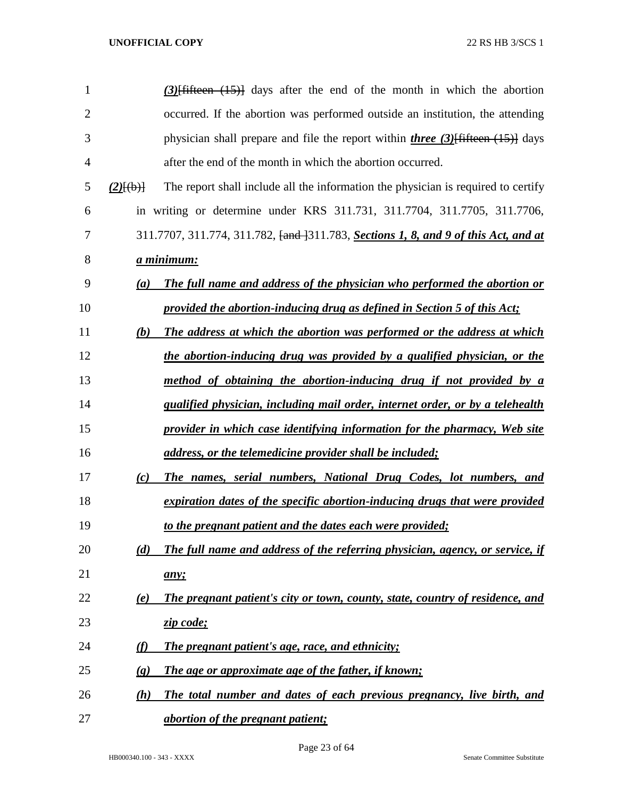| $\mathbf{1}$   |                            | $(3)$ [fifteen $(15)$ ] days after the end of the month in which the abortion                          |
|----------------|----------------------------|--------------------------------------------------------------------------------------------------------|
| $\overline{2}$ |                            | occurred. If the abortion was performed outside an institution, the attending                          |
| 3              |                            | physician shall prepare and file the report within <i>three</i> $(3)$ fifteen $(15)$ days              |
| 4              |                            | after the end of the month in which the abortion occurred.                                             |
| 5              | $(2)$ $\{(\pm)\}$          | The report shall include all the information the physician is required to certify                      |
| 6              |                            | in writing or determine under KRS 311.731, 311.7704, 311.7705, 311.7706,                               |
| 7              |                            | 311.7707, 311.774, 311.782, <del>[and ]</del> 311.783, <b>Sections 1, 8, and 9 of this Act, and at</b> |
| 8              | <u>a minimum:</u>          |                                                                                                        |
| 9              | (a)                        | The full name and address of the physician who performed the abortion or                               |
| 10             |                            | provided the abortion-inducing drug as defined in Section 5 of this Act;                               |
| 11             | (b)                        | The address at which the abortion was performed or the address at which                                |
| 12             |                            | the abortion-inducing drug was provided by a qualified physician, or the                               |
| 13             |                            | method of obtaining the abortion-inducing drug if not provided by a                                    |
| 14             |                            | qualified physician, including mail order, internet order, or by a telehealth                          |
| 15             |                            | provider in which case identifying information for the pharmacy, Web site                              |
| 16             |                            | address, or the telemedicine provider shall be included;                                               |
| 17             | (c)                        | The names, serial numbers, National Drug Codes, lot numbers, and                                       |
| 18             |                            | expiration dates of the specific abortion-inducing drugs that were provided                            |
| 19             |                            | to the pregnant patient and the dates each were provided;                                              |
| 20             | (d)                        | The full name and address of the referring physician, agency, or service, if                           |
| 21             |                            | any;                                                                                                   |
| 22             | <u>(e)</u>                 | The pregnant patient's city or town, county, state, country of residence, and                          |
| 23             |                            | zip code;                                                                                              |
| 24             | (f)                        | <b>The pregnant patient's age, race, and ethnicity;</b>                                                |
| 25             | $\left( \mathbf{g}\right)$ | The age or approximate age of the father, if known;                                                    |
| 26             | (h)                        | The total number and dates of each previous pregnancy, live birth, and                                 |
| 27             |                            | <i><u>abortion of the pregnant patient;</u></i>                                                        |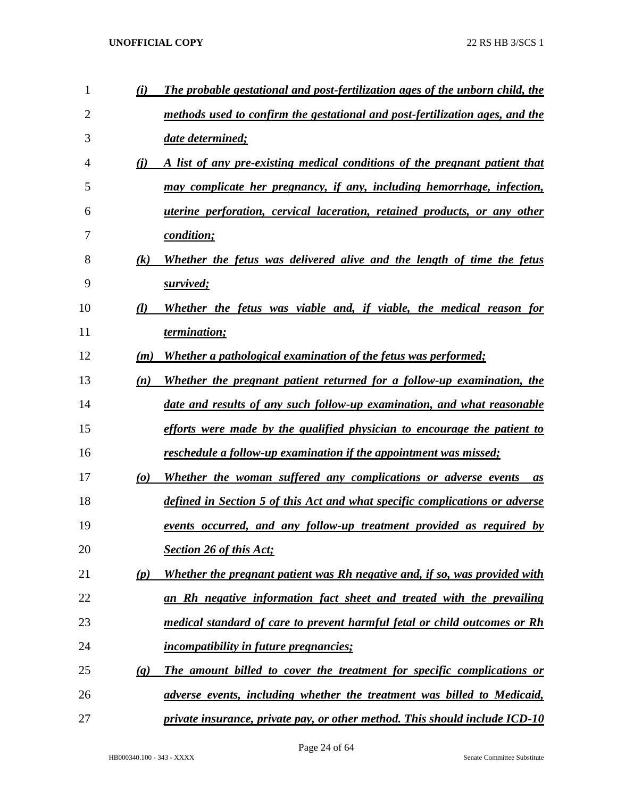| 1              | (i)                             | The probable gestational and post-fertilization ages of the unborn child, the |
|----------------|---------------------------------|-------------------------------------------------------------------------------|
| $\overline{2}$ |                                 | methods used to confirm the gestational and post-fertilization ages, and the  |
| 3              |                                 | date determined;                                                              |
| 4              | (i)                             | A list of any pre-existing medical conditions of the pregnant patient that    |
| 5              |                                 | may complicate her pregnancy, if any, including hemorrhage, infection,        |
| 6              |                                 | uterine perforation, cervical laceration, retained products, or any other     |
| 7              |                                 | condition;                                                                    |
| 8              | (k)                             | Whether the fetus was delivered alive and the length of time the fetus        |
| 9              |                                 | survived;                                                                     |
| 10             | (l)                             | Whether the fetus was viable and, if viable, the medical reason for           |
| 11             |                                 | termination;                                                                  |
| 12             | (m)                             | Whether a pathological examination of the fetus was performed;                |
| 13             | (n)                             | Whether the pregnant patient returned for a follow-up examination, the        |
| 14             |                                 | date and results of any such follow-up examination, and what reasonable       |
| 15             |                                 | efforts were made by the qualified physician to encourage the patient to      |
| 16             |                                 | reschedule a follow-up examination if the appointment was missed;             |
| 17             | $\boldsymbol{(\boldsymbol{o})}$ | Whether the woman suffered any complications or adverse events<br><i>as</i>   |
| 18             |                                 | defined in Section 5 of this Act and what specific complications or adverse   |
| 19             |                                 | <u>events occurred, and any follow-up treatment provided as required by</u>   |
| 20             |                                 | <b>Section 26 of this Act;</b>                                                |
| 21             | (p)                             | Whether the pregnant patient was Rh negative and, if so, was provided with    |
| 22             |                                 | an Rh negative information fact sheet and treated with the prevailing         |
| 23             |                                 | medical standard of care to prevent harmful fetal or child outcomes or Rh     |
| 24             |                                 | <i>incompatibility in future pregnancies;</i>                                 |
| 25             | $\left(\mathbf{q}\right)$       | The amount billed to cover the treatment for specific complications or        |
| 26             |                                 | adverse events, including whether the treatment was billed to Medicaid,       |
| 27             |                                 | private insurance, private pay, or other method. This should include ICD-10   |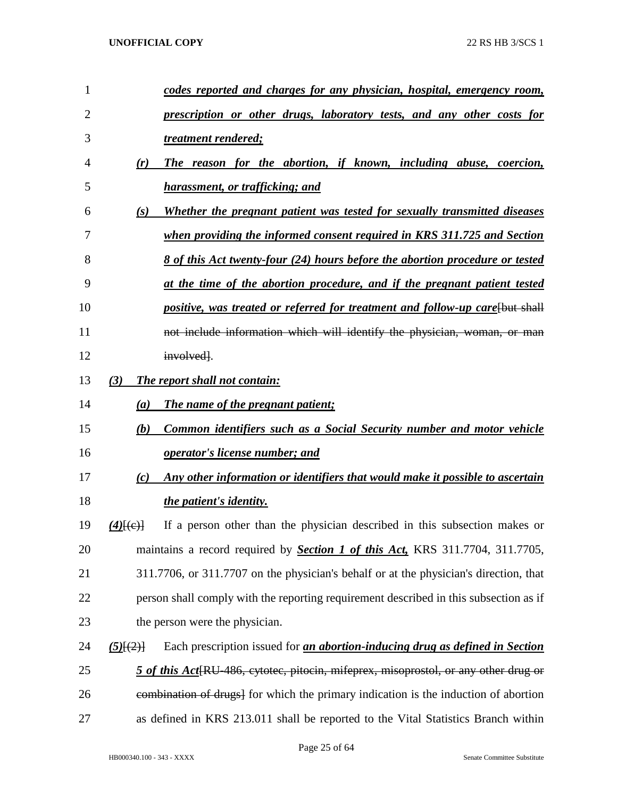| 1  |                        | codes reported and charges for any physician, hospital, emergency room,                          |
|----|------------------------|--------------------------------------------------------------------------------------------------|
| 2  |                        | <u>prescription or other drugs, laboratory tests, and any other costs for</u>                    |
| 3  |                        | treatment rendered;                                                                              |
| 4  | (r)                    | The reason for the abortion, if known, including abuse, coercion,                                |
| 5  |                        | harassment, or trafficking; and                                                                  |
| 6  | (s)                    | Whether the pregnant patient was tested for sexually transmitted diseases                        |
| 7  |                        | when providing the informed consent required in KRS 311.725 and Section                          |
| 8  |                        | <u>8 of this Act twenty-four (24) hours before the abortion procedure or tested</u>              |
| 9  |                        | at the time of the abortion procedure, and if the pregnant patient tested                        |
| 10 |                        | positive, was treated or referred for treatment and follow-up care [but shall                    |
| 11 |                        | not include information which will identify the physician, woman, or man                         |
| 12 |                        | involved.                                                                                        |
| 13 | (3)                    | The report shall not contain:                                                                    |
| 14 | (a)                    | The name of the pregnant patient;                                                                |
| 15 | (b)                    | <b>Common identifiers such as a Social Security number and motor vehicle</b>                     |
| 16 |                        | <i>operator's license number; and</i>                                                            |
| 17 | (c)                    | Any other information or identifiers that would make it possible to ascertain                    |
| 18 |                        | the patient's identity.                                                                          |
| 19 | $(4)$ $(e)$ $\uparrow$ | If a person other than the physician described in this subsection makes or                       |
| 20 |                        | maintains a record required by <b>Section 1 of this Act</b> , KRS 311.7704, 311.7705,            |
| 21 |                        | 311.7706, or 311.7707 on the physician's behalf or at the physician's direction, that            |
| 22 |                        | person shall comply with the reporting requirement described in this subsection as if            |
| 23 |                        | the person were the physician.                                                                   |
| 24 | $(5)$ $(2)$            | Each prescription issued for <i>an abortion-inducing drug as defined in Section</i>              |
| 25 |                        | 5 of this Act <sup>[RU-486</sup> , cytotec, pitocin, mifeprex, misoprostol, or any other drug or |
| 26 |                        | eombination of drugs] for which the primary indication is the induction of abortion              |
| 27 |                        | as defined in KRS 213.011 shall be reported to the Vital Statistics Branch within                |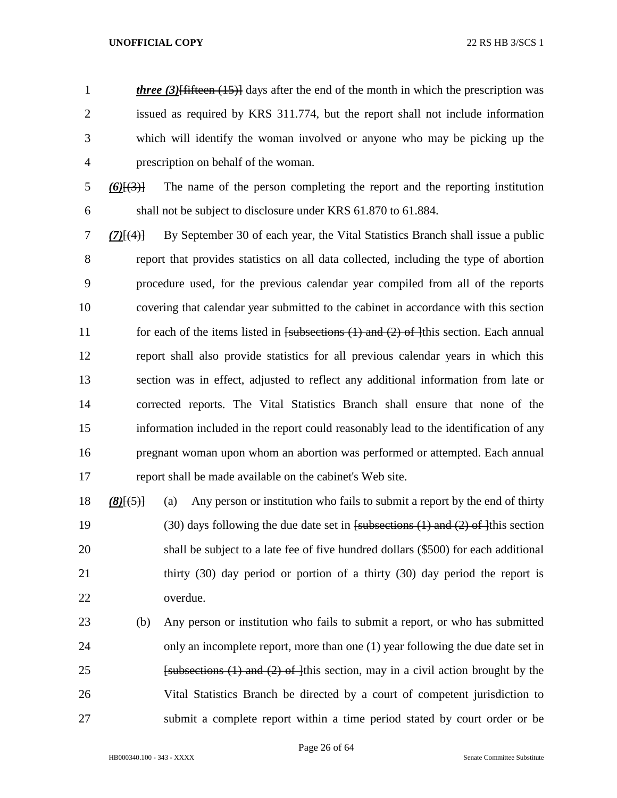*three (3)*<sup>[fifteen (15)]</sup> days after the end of the month in which the prescription was issued as required by KRS 311.774, but the report shall not include information which will identify the woman involved or anyone who may be picking up the prescription on behalf of the woman.

 $\frac{6}{6}$   $\frac{6}{3}$  The name of the person completing the report and the reporting institution shall not be subject to disclosure under KRS 61.870 to 61.884.

 *(7)*[(4)] By September 30 of each year, the Vital Statistics Branch shall issue a public report that provides statistics on all data collected, including the type of abortion procedure used, for the previous calendar year compiled from all of the reports covering that calendar year submitted to the cabinet in accordance with this section 11 for each of the items listed in [subsections (1) and (2) of ]this section. Each annual report shall also provide statistics for all previous calendar years in which this section was in effect, adjusted to reflect any additional information from late or corrected reports. The Vital Statistics Branch shall ensure that none of the information included in the report could reasonably lead to the identification of any pregnant woman upon whom an abortion was performed or attempted. Each annual report shall be made available on the cabinet's Web site.

 *(8)*[(5)] (a) Any person or institution who fails to submit a report by the end of thirty 19 (30) days following the due date set in  $f$ subsections (1) and (2) of 1<sup>this</sup> section shall be subject to a late fee of five hundred dollars (\$500) for each additional thirty (30) day period or portion of a thirty (30) day period the report is overdue.

 (b) Any person or institution who fails to submit a report, or who has submitted only an incomplete report, more than one (1) year following the due date set in **Example 1 Example 1 Example 1 Example 1 Example 1 Example 1 Example 1 Example 1 Example 1 Example 1 Example 1 Example 1 Example 1 Example 1 Example 1 Example 1 Example 1 Example 1 Ex**  Vital Statistics Branch be directed by a court of competent jurisdiction to submit a complete report within a time period stated by court order or be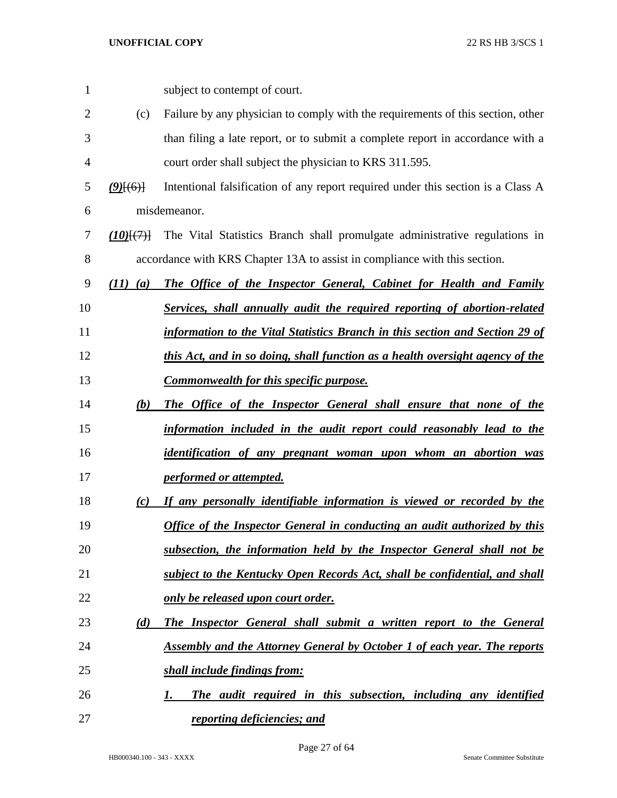| 1              |              | subject to contempt of court.                                                    |
|----------------|--------------|----------------------------------------------------------------------------------|
| $\overline{2}$ | (c)          | Failure by any physician to comply with the requirements of this section, other  |
| 3              |              | than filing a late report, or to submit a complete report in accordance with a   |
| 4              |              | court order shall subject the physician to KRS 311.595.                          |
| 5              | $(9)$ [(6)]  | Intentional falsification of any report required under this section is a Class A |
| 6              |              | misdemeanor.                                                                     |
| 7              | (10)(7)      | The Vital Statistics Branch shall promulgate administrative regulations in       |
| 8              |              | accordance with KRS Chapter 13A to assist in compliance with this section.       |
| 9              | $(11)$ $(a)$ | The Office of the Inspector General, Cabinet for Health and Family               |
| 10             |              | Services, shall annually audit the required reporting of abortion-related        |
| 11             |              | information to the Vital Statistics Branch in this section and Section 29 of     |
| 12             |              | this Act, and in so doing, shall function as a health oversight agency of the    |
| 13             |              | <b>Commonwealth for this specific purpose.</b>                                   |
| 14             | (b)          | The Office of the Inspector General shall ensure that none of the                |
| 15             |              | information included in the audit report could reasonably lead to the            |
| 16             |              | identification of any pregnant woman upon whom an abortion was                   |
| 17             |              | performed or attempted.                                                          |
| 18             | (c)          | If any personally identifiable information is viewed or recorded by the          |
| 19             |              | <b>Office of the Inspector General in conducting an audit authorized by this</b> |
| 20             |              | subsection, the information held by the Inspector General shall not be           |
| 21             |              | subject to the Kentucky Open Records Act, shall be confidential, and shall       |
| 22             |              | only be released upon court order.                                               |
| 23             | (d)          | The Inspector General shall submit a written report to the General               |
| 24             |              | <b>Assembly and the Attorney General by October 1 of each year. The reports</b>  |
| 25             |              | shall include findings from:                                                     |
| 26             |              | The audit required in this subsection, including any identified<br>1.            |
| 27             |              | reporting deficiencies; and                                                      |

HB000340.100 - 343 - XXXX Senate Committee Substitute

Page 27 of 64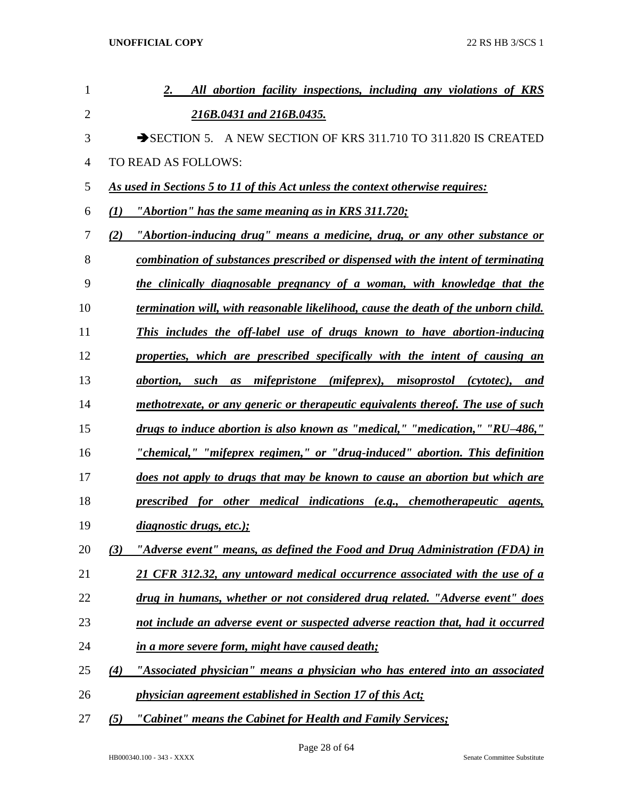| $\mathbf{1}$   |     | 2.<br>All abortion facility inspections, including any violations of KRS           |
|----------------|-----|------------------------------------------------------------------------------------|
| $\overline{2}$ |     | 216B.0431 and 216B.0435.                                                           |
| 3              |     | SECTION 5. A NEW SECTION OF KRS 311.710 TO 311.820 IS CREATED                      |
| 4              |     | TO READ AS FOLLOWS:                                                                |
| 5              |     | As used in Sections 5 to 11 of this Act unless the context otherwise requires:     |
| 6              | (I) | "Abortion" has the same meaning as in KRS 311.720;                                 |
| 7              | (2) | "Abortion-inducing drug" means a medicine, drug, or any other substance or         |
| 8              |     | combination of substances prescribed or dispensed with the intent of terminating   |
| 9              |     | the clinically diagnosable pregnancy of a woman, with knowledge that the           |
| 10             |     | termination will, with reasonable likelihood, cause the death of the unborn child. |
| 11             |     | This includes the off-label use of drugs known to have abortion-inducing           |
| 12             |     | properties, which are prescribed specifically with the intent of causing an        |
| 13             |     | abortion, such as mifepristone (mifeprex), misoprostol (cytotec), and              |
| 14             |     | methotrexate, or any generic or therapeutic equivalents thereof. The use of such   |
| 15             |     | drugs to induce abortion is also known as "medical," "medication," "RU-486,"       |
| 16             |     | <u>"chemical," "mifeprex regimen," or "drug-induced" abortion. This definition</u> |
| 17             |     | does not apply to drugs that may be known to cause an abortion but which are       |
| 18             |     | prescribed for other medical indications (e.g., chemotherapeutic agents,           |
| 19             |     | diagnostic drugs, etc.);                                                           |
| 20             | (3) | "Adverse event" means, as defined the Food and Drug Administration (FDA) in        |
| 21             |     | 21 CFR 312.32, any untoward medical occurrence associated with the use of a        |
| 22             |     | drug in humans, whether or not considered drug related. "Adverse event" does       |
| 23             |     | not include an adverse event or suspected adverse reaction that, had it occurred   |
| 24             |     | in a more severe form, might have caused death;                                    |
| 25             | (4) | "Associated physician" means a physician who has entered into an associated        |
| 26             |     | physician agreement established in Section 17 of this Act;                         |
| 27             | (5) | "Cabinet" means the Cabinet for Health and Family Services;                        |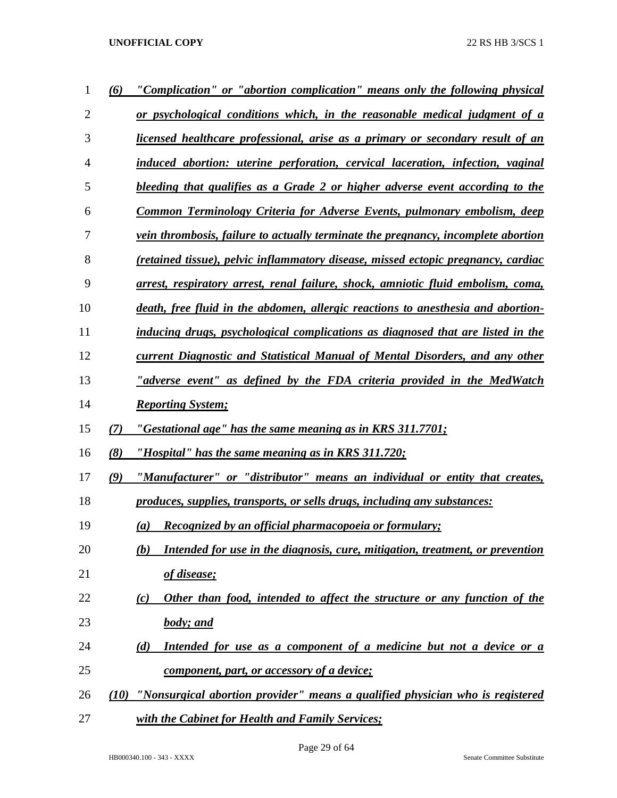| 1              | (6)  | "Complication" or "abortion complication" means only the following physical          |
|----------------|------|--------------------------------------------------------------------------------------|
| $\overline{2}$ |      | or psychological conditions which, in the reasonable medical judgment of a           |
| 3              |      | licensed healthcare professional, arise as a primary or secondary result of an       |
| 4              |      | induced abortion: uterine perforation, cervical laceration, infection, vaginal       |
| 5              |      | bleeding that qualifies as a Grade 2 or higher adverse event according to the        |
| 6              |      | <b>Common Terminology Criteria for Adverse Events, pulmonary embolism, deep</b>      |
| 7              |      | vein thrombosis, failure to actually terminate the pregnancy, incomplete abortion    |
| 8              |      | (retained tissue), pelvic inflammatory disease, missed ectopic pregnancy, cardiac    |
| 9              |      | arrest, respiratory arrest, renal failure, shock, amniotic fluid embolism, coma,     |
| 10             |      | death, free fluid in the abdomen, allergic reactions to anesthesia and abortion-     |
| 11             |      | inducing drugs, psychological complications as diagnosed that are listed in the      |
| 12             |      | <b>current Diagnostic and Statistical Manual of Mental Disorders, and any other</b>  |
| 13             |      | "adverse event" as defined by the FDA criteria provided in the MedWatch              |
| 14             |      | <b>Reporting System;</b>                                                             |
| 15             | (7)  | "Gestational age" has the same meaning as in KRS 311.7701;                           |
| 16             | (8)  | "Hospital" has the same meaning as in KRS 311.720;                                   |
| 17             | (9)  | "Manufacturer" or "distributor" means an individual or entity that creates,          |
| 18             |      | produces, supplies, transports, or sells drugs, including any substances:            |
| 19             |      | Recognized by an official pharmacopoeia or formulary;<br>$\left( a\right)$           |
| 20             |      | Intended for use in the diagnosis, cure, mitigation, treatment, or prevention<br>(b) |
| 21             |      | <u>of disease;</u>                                                                   |
| 22             |      | Other than food, intended to affect the structure or any function of the<br>(c)      |
| 23             |      | <b>body</b> ; and                                                                    |
| 24             |      | Intended for use as a component of a medicine but not a device or a<br>(d)           |
| 25             |      | <u>component, part, or accessory of a device;</u>                                    |
| 26             | (10) | "Nonsurgical abortion provider" means a qualified physician who is registered        |
| 27             |      | with the Cabinet for Health and Family Services;                                     |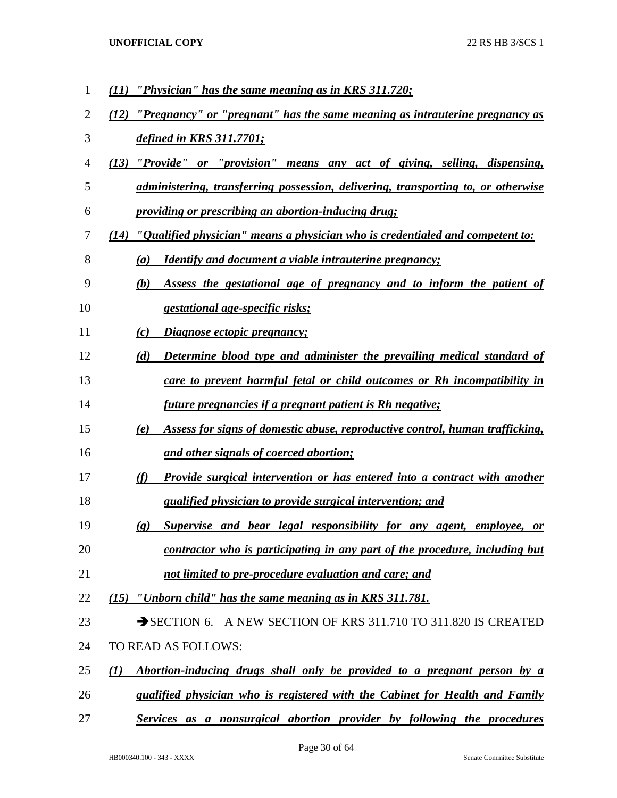| 1              | "Physician" has the same meaning as in KRS 311.720;                                                |
|----------------|----------------------------------------------------------------------------------------------------|
| $\overline{2}$ | "Pregnancy" or "pregnant" has the same meaning as intrauterine pregnancy as<br>(12)                |
| 3              | defined in KRS 311.7701;                                                                           |
| 4              | "Provide" or "provision" means any act of giving, selling, dispensing,<br>(13)                     |
| 5              | administering, transferring possession, delivering, transporting to, or otherwise                  |
| 6              | <i>providing or prescribing an abortion-inducing drug;</i>                                         |
| 7              | $(14)$ "Qualified physician" means a physician who is credentialed and competent to:               |
| 8              | <i>Identify and document a viable intrauterine pregnancy;</i><br>(a)                               |
| 9              | Assess the gestational age of pregnancy and to inform the patient of<br>(b)                        |
| 10             | gestational age-specific risks;                                                                    |
| 11             | Diagnose ectopic pregnancy;<br>(c)                                                                 |
| 12             | Determine blood type and administer the prevailing medical standard of<br>(d)                      |
| 13             | care to prevent harmful fetal or child outcomes or Rh incompatibility in                           |
| 14             | <i>future pregnancies if a pregnant patient is Rh negative;</i>                                    |
| 15             | Assess for signs of domestic abuse, reproductive control, human trafficking,<br>(e)                |
| 16             | and other signals of coerced abortion;                                                             |
| 17             | (f)<br><b>Provide surgical intervention or has entered into a contract with another</b>            |
| 18             | qualified physician to provide surgical intervention; and                                          |
| 19             | Supervise and bear legal responsibility for any agent, employee, or<br>$\left( \mathbf{g} \right)$ |
| 20             | contractor who is participating in any part of the procedure, including but                        |
| 21             | not limited to pre-procedure evaluation and care; and                                              |
| 22             | $(15)$ "Unborn child" has the same meaning as in KRS 311.781.                                      |
| 23             | SECTION 6. A NEW SECTION OF KRS 311.710 TO 311.820 IS CREATED                                      |
| 24             | TO READ AS FOLLOWS:                                                                                |
| 25             | Abortion-inducing drugs shall only be provided to a pregnant person by a<br>(I)                    |
| 26             | qualified physician who is registered with the Cabinet for Health and Family                       |
| 27             | Services as a nonsurgical abortion provider by following the procedures                            |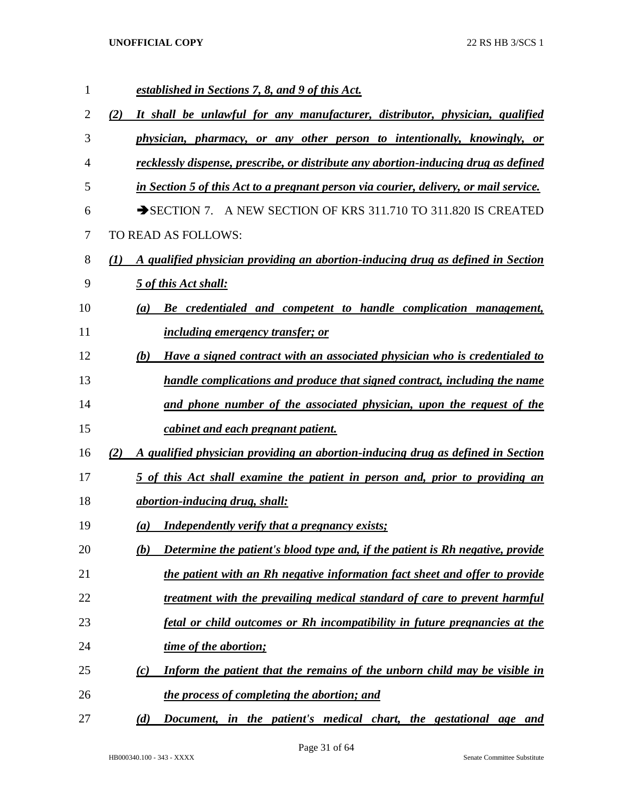| 1  | established in Sections 7, 8, and 9 of this Act.                                       |
|----|----------------------------------------------------------------------------------------|
| 2  | It shall be unlawful for any manufacturer, distributor, physician, qualified<br>(2)    |
| 3  | physician, pharmacy, or any other person to intentionally, knowingly, or               |
| 4  | recklessly dispense, prescribe, or distribute any abortion-inducing drug as defined    |
| 5  | in Section 5 of this Act to a pregnant person via courier, delivery, or mail service.  |
| 6  | SECTION 7. A NEW SECTION OF KRS 311.710 TO 311.820 IS CREATED                          |
| 7  | TO READ AS FOLLOWS:                                                                    |
| 8  | A qualified physician providing an abortion-inducing drug as defined in Section<br>(I) |
| 9  | 5 of this Act shall:                                                                   |
| 10 | Be credentialed and competent to handle complication management,<br>(a)                |
| 11 | <u>including emergency transfer; or</u>                                                |
| 12 | Have a signed contract with an associated physician who is credentialed to<br>(b)      |
| 13 | handle complications and produce that signed contract, including the name              |
| 14 | and phone number of the associated physician, upon the request of the                  |
| 15 | cabinet and each pregnant patient.                                                     |
| 16 | A qualified physician providing an abortion-inducing drug as defined in Section<br>(2) |
| 17 | 5 of this Act shall examine the patient in person and, prior to providing an           |
| 18 | abortion-inducing drug, shall:                                                         |
| 19 | <b>Independently verify that a pregnancy exists;</b><br>(a)                            |
| 20 | Determine the patient's blood type and, if the patient is Rh negative, provide<br>(b)  |
| 21 | the patient with an Rh negative information fact sheet and offer to provide            |
| 22 | treatment with the prevailing medical standard of care to prevent harmful              |
| 23 | fetal or child outcomes or Rh incompatibility in future pregnancies at the             |
| 24 | time of the abortion;                                                                  |
| 25 | Inform the patient that the remains of the unborn child may be visible in<br>(c)       |
| 26 | the process of completing the abortion; and                                            |
| 27 | Document, in the patient's medical chart, the gestational age and<br>(d)               |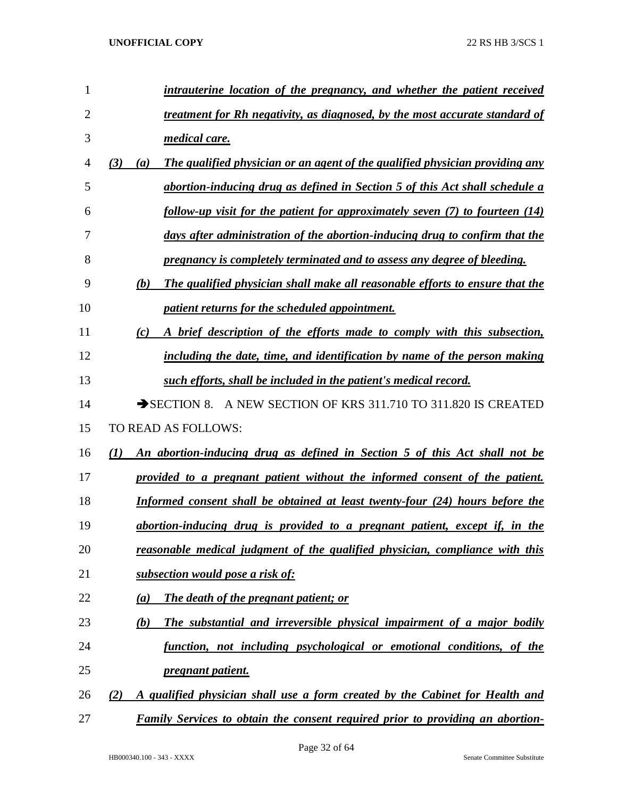| 1              | intrauterine location of the pregnancy, and whether the patient received                   |
|----------------|--------------------------------------------------------------------------------------------|
| $\overline{2}$ | treatment for Rh negativity, as diagnosed, by the most accurate standard of                |
| 3              | medical care.                                                                              |
| 4              | The qualified physician or an agent of the qualified physician providing any<br>(3)<br>(a) |
| 5              | abortion-inducing drug as defined in Section 5 of this Act shall schedule a                |
| 6              | follow-up visit for the patient for approximately seven (7) to fourteen (14)               |
| 7              | days after administration of the abortion-inducing drug to confirm that the                |
| 8              | pregnancy is completely terminated and to assess any degree of bleeding.                   |
| 9              | The qualified physician shall make all reasonable efforts to ensure that the<br>(b)        |
| 10             | patient returns for the scheduled appointment.                                             |
| 11             | A brief description of the efforts made to comply with this subsection,<br>(c)             |
| 12             | including the date, time, and identification by name of the person making                  |
| 13             | such efforts, shall be included in the patient's medical record.                           |
| 14             | SECTION 8. A NEW SECTION OF KRS 311.710 TO 311.820 IS CREATED                              |
| 15             | TO READ AS FOLLOWS:                                                                        |
| 16             | An abortion-inducing drug as defined in Section 5 of this Act shall not be<br>(I)          |
| 17             | provided to a pregnant patient without the informed consent of the patient.                |
| 18             | Informed consent shall be obtained at least twenty-four (24) hours before the              |
| 19             | abortion-inducing drug is provided to a pregnant patient, except if, in the                |
| 20             | reasonable medical judgment of the qualified physician, compliance with this               |
| 21             | subsection would pose a risk of:                                                           |
| 22             | The death of the pregnant patient; or<br>(a)                                               |
| 23             | The substantial and irreversible physical impairment of a major bodily<br>(b)              |
| 24             | function, not including psychological or emotional conditions, of the                      |
| 25             | <i>pregnant patient.</i>                                                                   |
| 26             | A qualified physician shall use a form created by the Cabinet for Health and<br>(2)        |
| 27             | <b>Family Services to obtain the consent required prior to providing an abortion-</b>      |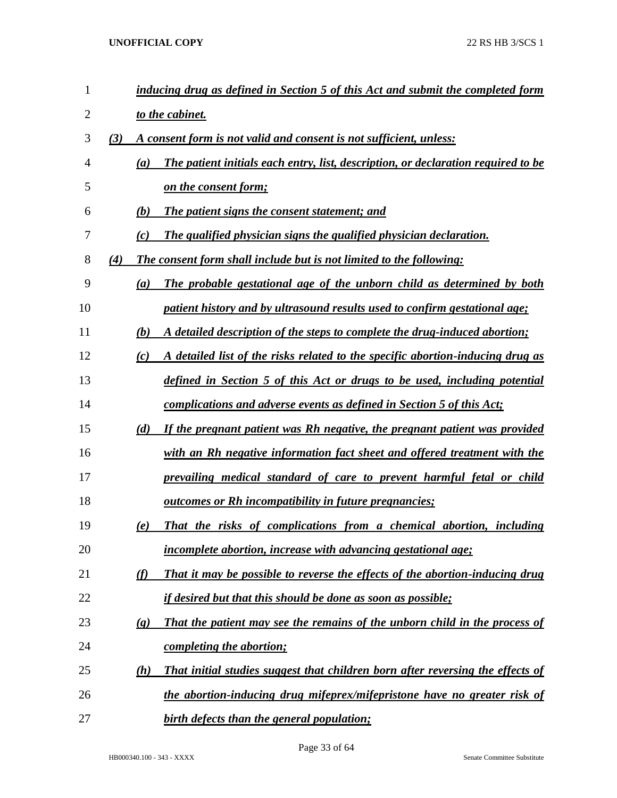| $\mathbf{1}$   |                             | inducing drug as defined in Section 5 of this Act and submit the completed form   |
|----------------|-----------------------------|-----------------------------------------------------------------------------------|
| $\overline{2}$ |                             | to the cabinet.                                                                   |
| 3              | (3)                         | A consent form is not valid and consent is not sufficient, unless:                |
| 4              | (a)                         | The patient initials each entry, list, description, or declaration required to be |
| 5              |                             | <u>on the consent form;</u>                                                       |
| 6              | (b)                         | The patient signs the consent statement; and                                      |
| 7              | (c)                         | The qualified physician signs the qualified physician declaration.                |
| 8              | (4)                         | The consent form shall include but is not limited to the following:               |
| 9              | (a)                         | The probable gestational age of the unborn child as determined by both            |
| 10             |                             | patient history and by ultrasound results used to confirm gestational age;        |
| 11             | (b)                         | A detailed description of the steps to complete the drug-induced abortion;        |
| 12             | (c)                         | A detailed list of the risks related to the specific abortion-inducing drug as    |
| 13             |                             | defined in Section 5 of this Act or drugs to be used, including potential         |
| 14             |                             | complications and adverse events as defined in Section 5 of this Act;             |
| 15             | (d)                         | If the pregnant patient was Rh negative, the pregnant patient was provided        |
| 16             |                             | with an Rh negative information fact sheet and offered treatment with the         |
| 17             |                             | prevailing medical standard of care to prevent harmful fetal or child             |
| 18             |                             | <u><b>outcomes or Rh incompatibility in future pregnancies;</b></u>               |
| 19             | (e)                         | That the risks of complications from a chemical abortion, including               |
| 20             |                             | <i>incomplete abortion, increase with advancing gestational age;</i>              |
| 21             | (f)                         | That it may be possible to reverse the effects of the abortion-inducing drug      |
| 22             |                             | <i>if desired but that this should be done as soon as possible;</i>               |
| 23             | $\left( \mathbf{g} \right)$ | That the patient may see the remains of the unborn child in the process of        |
| 24             |                             | completing the abortion;                                                          |
| 25             | (h)                         | That initial studies suggest that children born after reversing the effects of    |
| 26             |                             | the abortion-inducing drug mifeprex/mifepristone have no greater risk of          |
| 27             |                             | birth defects than the general population;                                        |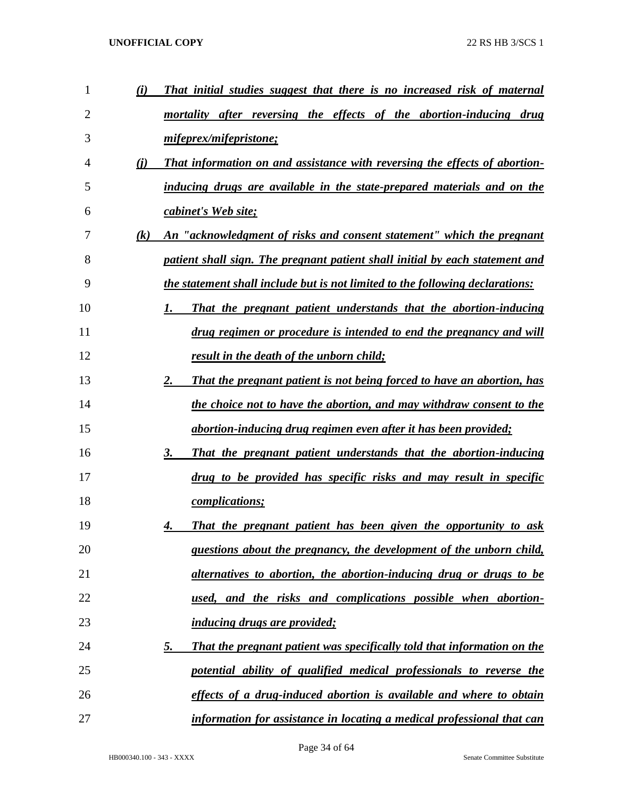| 1  | (i)               | That initial studies suggest that there is no increased risk of maternal             |
|----|-------------------|--------------------------------------------------------------------------------------|
| 2  |                   | mortality after reversing the effects of the abortion-inducing drug                  |
| 3  |                   | mifeprex/mifepristone;                                                               |
| 4  | (i)               | That information on and assistance with reversing the effects of abortion-           |
| 5  |                   | inducing drugs are available in the state-prepared materials and on the              |
| 6  |                   | cabinet's Web site;                                                                  |
| 7  | $\left( k\right)$ | An "acknowledgment of risks and consent statement" which the pregnant                |
| 8  |                   | patient shall sign. The pregnant patient shall initial by each statement and         |
| 9  |                   | the statement shall include but is not limited to the following declarations:        |
| 10 |                   | That the pregnant patient understands that the abortion-inducing                     |
| 11 |                   | drug regimen or procedure is intended to end the pregnancy and will                  |
| 12 |                   | result in the death of the unborn child;                                             |
| 13 |                   | That the pregnant patient is not being forced to have an abortion, has<br>2.         |
| 14 |                   | the choice not to have the abortion, and may withdraw consent to the                 |
| 15 |                   | abortion-inducing drug regimen even after it has been provided;                      |
| 16 |                   | That the pregnant patient understands that the abortion-inducing<br>3.               |
| 17 |                   | drug to be provided has specific risks and may result in specific                    |
| 18 |                   | <i>complications;</i>                                                                |
| 19 |                   | That the pregnant patient has been given the opportunity to ask<br>4.                |
| 20 |                   | questions about the pregnancy, the development of the unborn child,                  |
| 21 |                   | alternatives to abortion, the abortion-inducing drug or drugs to be                  |
| 22 |                   | used, and the risks and complications possible when abortion-                        |
| 23 |                   | <i>inducing drugs are provided;</i>                                                  |
| 24 |                   | <u>5.</u><br>That the pregnant patient was specifically told that information on the |
| 25 |                   | potential ability of qualified medical professionals to reverse the                  |
| 26 |                   | effects of a drug-induced abortion is available and where to obtain                  |
| 27 |                   | information for assistance in locating a medical professional that can               |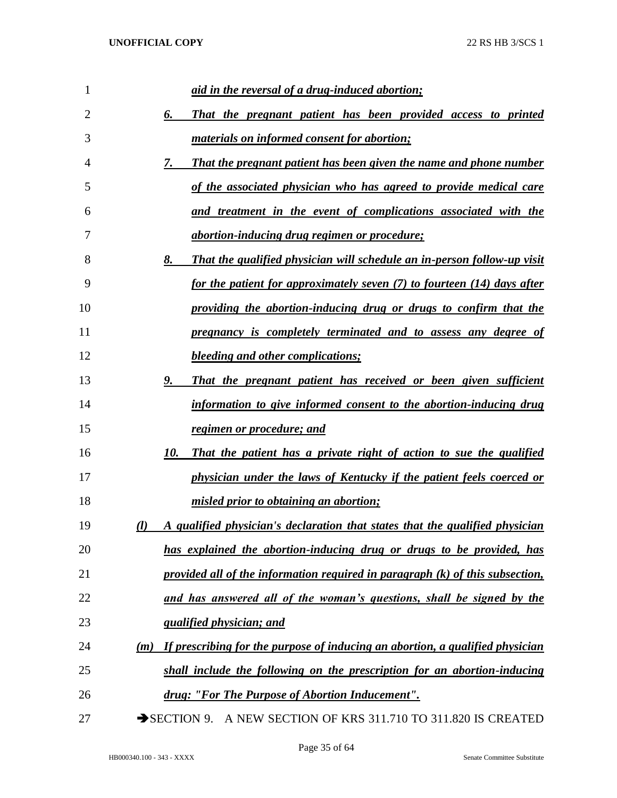| 1  | <u>aid in the reversal of a drug-induced abortion;</u>                                        |
|----|-----------------------------------------------------------------------------------------------|
| 2  | 6.<br>That the pregnant patient has been provided access to printed                           |
| 3  | <i>materials on informed consent for abortion;</i>                                            |
| 4  | <b>That the pregnant patient has been given the name and phone number</b><br>7.               |
| 5  | of the associated physician who has agreed to provide medical care                            |
| 6  | and treatment in the event of complications associated with the                               |
| 7  | <i><u>abortion-inducing drug regimen or procedure;</u></i>                                    |
| 8  | 8.<br><b>That the qualified physician will schedule an in-person follow-up visit</b>          |
| 9  | for the patient for approximately seven (7) to fourteen (14) days after                       |
| 10 | providing the abortion-inducing drug or drugs to confirm that the                             |
| 11 | pregnancy is completely terminated and to assess any degree of                                |
| 12 | <b>bleeding and other complications;</b>                                                      |
| 13 | 9.<br>That the pregnant patient has received or been given sufficient                         |
| 14 | information to give informed consent to the abortion-inducing drug                            |
| 15 | regimen or procedure; and                                                                     |
| 16 | That the patient has a private right of action to sue the qualified<br>10.                    |
| 17 | physician under the laws of Kentucky if the patient feels coerced or                          |
| 18 | misled prior to obtaining an abortion;                                                        |
| 19 | A qualified physician's declaration that states that the qualified physician<br>$\mathcal{U}$ |
| 20 | has explained the abortion-inducing drug or drugs to be provided, has                         |
| 21 | provided all of the information required in paragraph (k) of this subsection,                 |
| 22 | and has answered all of the woman's questions, shall be signed by the                         |
| 23 | <i><u><b>qualified physician; and</b></u></i>                                                 |
| 24 | If prescribing for the purpose of inducing an abortion, a qualified physician<br>(m)          |
| 25 | shall include the following on the prescription for an abortion-inducing                      |
| 26 | drug: "For The Purpose of Abortion Inducement".                                               |
| 27 | SECTION 9. A NEW SECTION OF KRS 311.710 TO 311.820 IS CREATED                                 |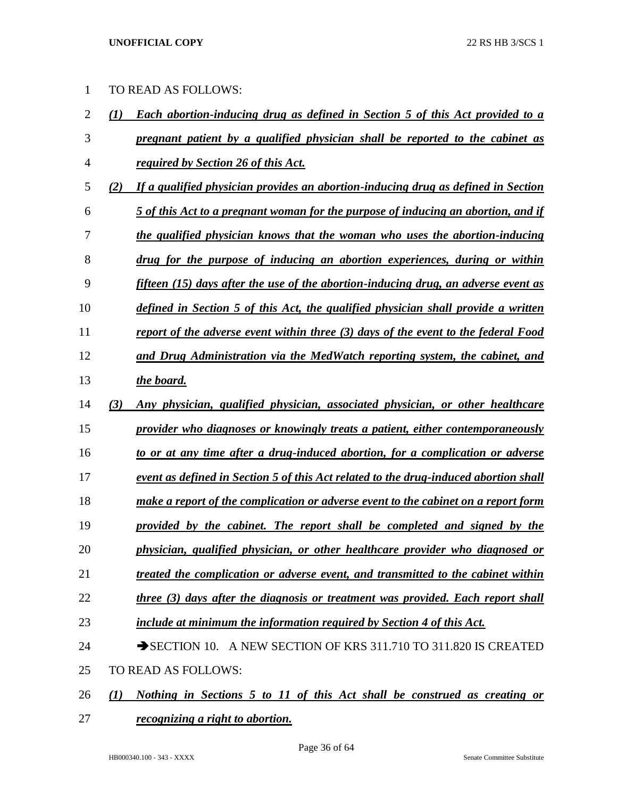| 1  |                  | TO READ AS FOLLOWS:                                                                    |
|----|------------------|----------------------------------------------------------------------------------------|
| 2  | (1)              | Each abortion-inducing drug as defined in Section 5 of this Act provided to a          |
| 3  |                  | pregnant patient by a qualified physician shall be reported to the cabinet as          |
| 4  |                  | required by Section 26 of this Act.                                                    |
| 5  | (2)              | If a qualified physician provides an abortion-inducing drug as defined in Section      |
| 6  |                  | 5 of this Act to a pregnant woman for the purpose of inducing an abortion, and if      |
| 7  |                  | the qualified physician knows that the woman who uses the abortion-inducing            |
| 8  |                  | drug for the purpose of inducing an abortion experiences, during or within             |
| 9  |                  | fifteen (15) days after the use of the abortion-inducing drug, an adverse event as     |
| 10 |                  | defined in Section 5 of this Act, the qualified physician shall provide a written      |
| 11 |                  | report of the adverse event within three (3) days of the event to the federal Food     |
| 12 |                  | and Drug Administration via the MedWatch reporting system, the cabinet, and            |
| 13 |                  | the board.                                                                             |
| 14 | (3)              | Any physician, qualified physician, associated physician, or other healthcare          |
| 15 |                  | provider who diagnoses or knowingly treats a patient, either contemporaneously         |
| 16 |                  | to or at any time after a drug-induced abortion, for a complication or adverse         |
| 17 |                  | event as defined in Section 5 of this Act related to the drug-induced abortion shall   |
| 18 |                  | make a report of the complication or adverse event to the cabinet on a report form     |
| 19 |                  | provided by the cabinet. The report shall be completed and signed by the               |
| 20 |                  | physician, qualified physician, or other healthcare provider who diagnosed or          |
| 21 |                  | treated the complication or adverse event, and transmitted to the cabinet within       |
| 22 |                  | <u>three (3) days after the diagnosis or treatment was provided. Each report shall</u> |
| 23 |                  | include at minimum the information required by Section 4 of this Act.                  |
| 24 |                  | SECTION 10. A NEW SECTION OF KRS 311.710 TO 311.820 IS CREATED                         |
| 25 |                  | TO READ AS FOLLOWS:                                                                    |
| 26 | $\mathcal{L}(I)$ | Nothing in Sections 5 to 11 of this Act shall be construed as creating or              |

*recognizing a right to abortion.*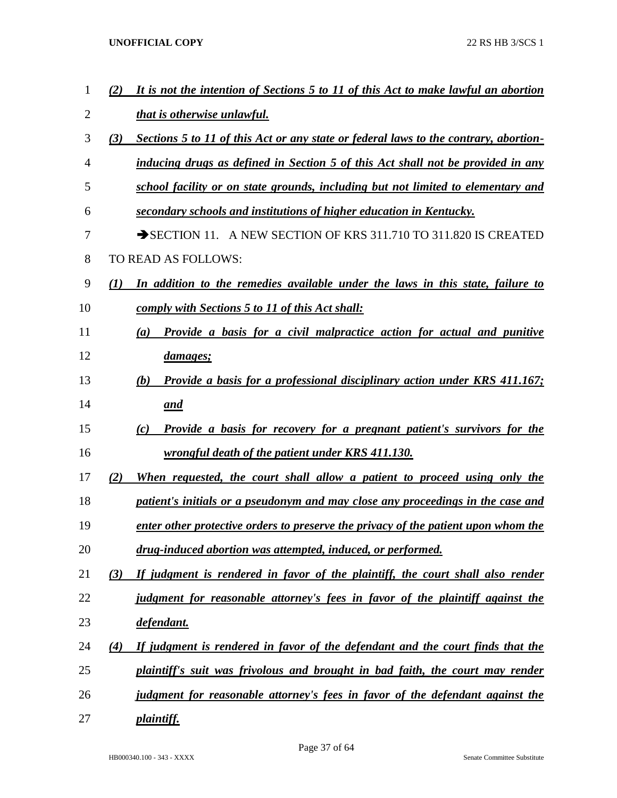| $\mathbf{1}$ | It is not the intention of Sections 5 to 11 of this Act to make lawful an abortion<br>(2)   |
|--------------|---------------------------------------------------------------------------------------------|
| 2            | that is otherwise unlawful.                                                                 |
| 3            | Sections 5 to 11 of this Act or any state or federal laws to the contrary, abortion-<br>(3) |
| 4            | inducing drugs as defined in Section 5 of this Act shall not be provided in any             |
| 5            | school facility or on state grounds, including but not limited to elementary and            |
| 6            | secondary schools and institutions of higher education in Kentucky.                         |
| 7            | SECTION 11. A NEW SECTION OF KRS 311.710 TO 311.820 IS CREATED                              |
| 8            | TO READ AS FOLLOWS:                                                                         |
| 9            | In addition to the remedies available under the laws in this state, failure to<br>(1)       |
| 10           | comply with Sections 5 to 11 of this Act shall:                                             |
| 11           | Provide a basis for a civil malpractice action for actual and punitive<br>(a)               |
| 12           | <i>damages;</i>                                                                             |
| 13           | Provide a basis for a professional disciplinary action under KRS 411.167;<br>(b)            |
| 14           | and                                                                                         |
| 15           | <b>Provide a basis for recovery for a pregnant patient's survivors for the</b><br>(c)       |
| 16           | wrongful death of the patient under KRS 411.130.                                            |
| 17           | When requested, the court shall allow a patient to proceed using only the<br>(2)            |
| 18           | patient's initials or a pseudonym and may close any proceedings in the case and             |
| 19           | enter other protective orders to preserve the privacy of the patient upon whom the          |
| 20           | drug-induced abortion was attempted, induced, or performed.                                 |
| 21           | If judgment is rendered in favor of the plaintiff, the court shall also render<br>(3)       |
| 22           | judgment for reasonable attorney's fees in favor of the plaintiff against the               |
| 23           | defendant.                                                                                  |
| 24           | If judgment is rendered in favor of the defendant and the court finds that the<br>(4)       |
| 25           | plaintiff's suit was frivolous and brought in bad faith, the court may render               |
| 26           | judgment for reasonable attorney's fees in favor of the defendant against the               |
| 27           | <i>plaintiff.</i>                                                                           |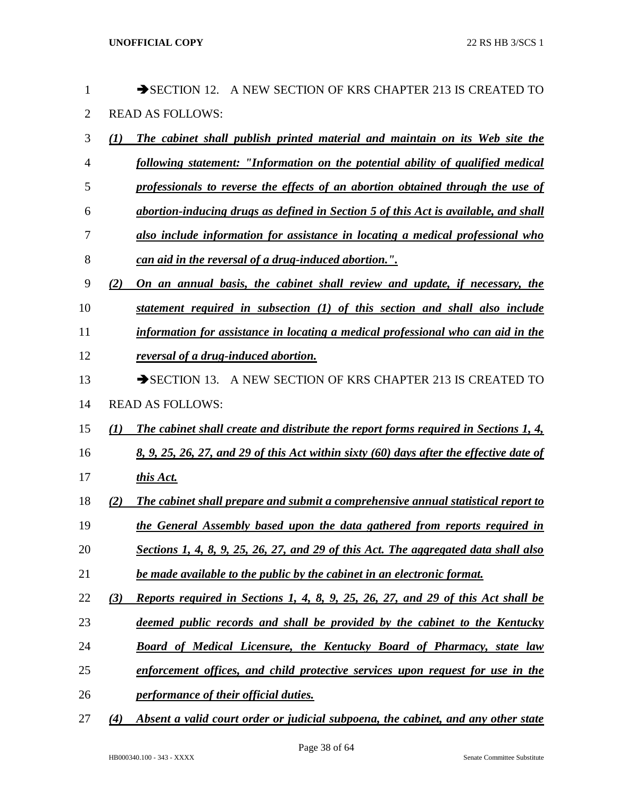| 1              |                  | A NEW SECTION OF KRS CHAPTER 213 IS CREATED TO<br>$\rightarrow$ SECTION 12.             |
|----------------|------------------|-----------------------------------------------------------------------------------------|
| $\overline{2}$ |                  | <b>READ AS FOLLOWS:</b>                                                                 |
| 3              | $\mathcal{L}(I)$ | <b>The cabinet shall publish printed material and maintain on its Web site the</b>      |
| 4              |                  | following statement: "Information on the potential ability of qualified medical         |
| 5              |                  | professionals to reverse the effects of an abortion obtained through the use of         |
| 6              |                  | abortion-inducing drugs as defined in Section 5 of this Act is available, and shall     |
| 7              |                  | also include information for assistance in locating a medical professional who          |
| 8              |                  | can aid in the reversal of a drug-induced abortion.".                                   |
| 9              | (2)              | On an annual basis, the cabinet shall review and update, if necessary, the              |
| 10             |                  | statement required in subsection (1) of this section and shall also include             |
| 11             |                  | information for assistance in locating a medical professional who can aid in the        |
| 12             |                  | reversal of a drug-induced abortion.                                                    |
| 13             |                  | A NEW SECTION OF KRS CHAPTER 213 IS CREATED TO<br>$\rightarrow$ SECTION 13.             |
| 14             |                  | <b>READ AS FOLLOWS:</b>                                                                 |
| 15             | $\mathbf{U}$     | The cabinet shall create and distribute the report forms required in Sections 1, 4,     |
| 16             |                  | 8, 9, 25, 26, 27, and 29 of this Act within sixty (60) days after the effective date of |
| 17             |                  | this Act.                                                                               |
| 18             | (2)              | The cabinet shall prepare and submit a comprehensive annual statistical report to       |
| 19             |                  | the General Assembly based upon the data gathered from reports required in              |
| 20             |                  | Sections 1, 4, 8, 9, 25, 26, 27, and 29 of this Act. The aggregated data shall also     |
| 21             |                  | be made available to the public by the cabinet in an electronic format.                 |
| 22             | (3)              | Reports required in Sections 1, 4, 8, 9, 25, 26, 27, and 29 of this Act shall be        |
| 23             |                  | deemed public records and shall be provided by the cabinet to the Kentucky              |
| 24             |                  | Board of Medical Licensure, the Kentucky Board of Pharmacy, state law                   |
| 25             |                  | enforcement offices, and child protective services upon request for use in the          |
| 26             |                  | performance of their official duties.                                                   |
| 27             | (4)              | Absent a valid court order or judicial subpoena, the cabinet, and any other state       |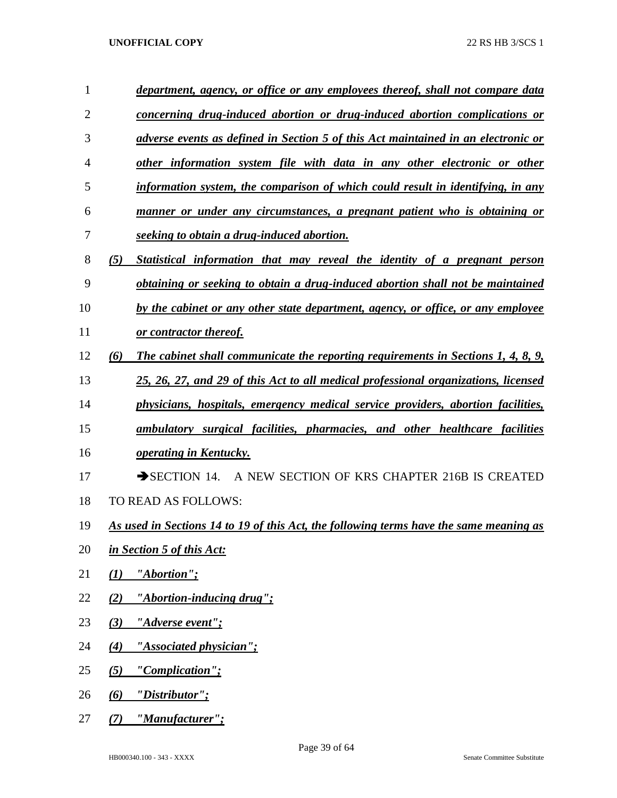| 1              | department, agency, or office or any employees thereof, shall not compare data          |
|----------------|-----------------------------------------------------------------------------------------|
| $\overline{2}$ | concerning drug-induced abortion or drug-induced abortion complications or              |
| 3              | adverse events as defined in Section 5 of this Act maintained in an electronic or       |
| 4              | other information system file with data in any other electronic or other                |
| 5              | information system, the comparison of which could result in identifying, in any         |
| 6              | manner or under any circumstances, a pregnant patient who is obtaining or               |
| 7              | seeking to obtain a drug-induced abortion.                                              |
| 8              | Statistical information that may reveal the identity of a pregnant person<br>(5)        |
| 9              | obtaining or seeking to obtain a drug-induced abortion shall not be maintained          |
| 10             | by the cabinet or any other state department, agency, or office, or any employee        |
| 11             | or contractor thereof.                                                                  |
| 12             | (6)<br>The cabinet shall communicate the reporting requirements in Sections 1, 4, 8, 9, |
| 13             | 25, 26, 27, and 29 of this Act to all medical professional organizations, licensed      |
| 14             | physicians, hospitals, emergency medical service providers, abortion facilities,        |
| 15             | ambulatory surgical facilities, pharmacies, and other healthcare facilities             |
| 16             | <i><b><u>operating in Kentucky.</u></b></i>                                             |
| 17             | A NEW SECTION OF KRS CHAPTER 216B IS CREATED<br>$\rightarrow$ SECTION 14.               |
| 18             | TO READ AS FOLLOWS:                                                                     |
| 19             | As used in Sections 14 to 19 of this Act, the following terms have the same meaning as  |
| 20             | in Section 5 of this Act:                                                               |
| 21             | "Abortion";<br>(1)                                                                      |
| 22             | "Abortion-inducing drug";<br>(2)                                                        |
| 23             | "Adverse event";<br>(3)                                                                 |
| 24             | "Associated physician";<br>(4)                                                          |
| 25             | "Complication";<br>(5)                                                                  |
| 26             | "Distributor";<br>(6)                                                                   |
| 27             | "Manufacturer";<br>(7)                                                                  |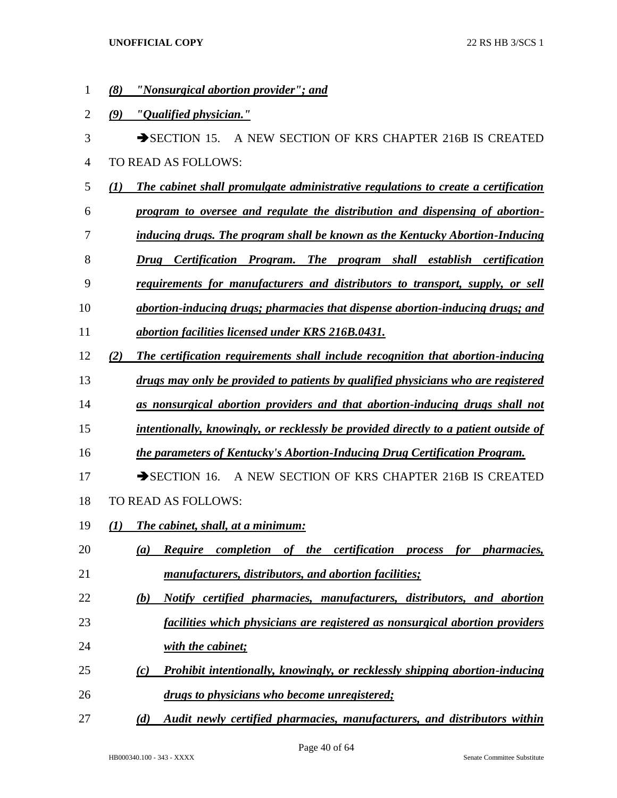*(8) "Nonsurgical abortion provider"; and (9) "Qualified physician."* 3 SECTION 15. A NEW SECTION OF KRS CHAPTER 216B IS CREATED TO READ AS FOLLOWS: *(1) The cabinet shall promulgate administrative regulations to create a certification program to oversee and regulate the distribution and dispensing of abortion- inducing drugs. The program shall be known as the Kentucky Abortion-Inducing Drug Certification Program. The program shall establish certification requirements for manufacturers and distributors to transport, supply, or sell abortion-inducing drugs; pharmacies that dispense abortion-inducing drugs; and abortion facilities licensed under KRS 216B.0431. (2) The certification requirements shall include recognition that abortion-inducing drugs may only be provided to patients by qualified physicians who are registered as nonsurgical abortion providers and that abortion-inducing drugs shall not intentionally, knowingly, or recklessly be provided directly to a patient outside of the parameters of Kentucky's Abortion-Inducing Drug Certification Program.* 17 SECTION 16. A NEW SECTION OF KRS CHAPTER 216B IS CREATED TO READ AS FOLLOWS: *(1) The cabinet, shall, at a minimum: (a) Require completion of the certification process for pharmacies, manufacturers, distributors, and abortion facilities; (b) Notify certified pharmacies, manufacturers, distributors, and abortion facilities which physicians are registered as nonsurgical abortion providers with the cabinet; (c) Prohibit intentionally, knowingly, or recklessly shipping abortion-inducing drugs to physicians who become unregistered;*

*(d) Audit newly certified pharmacies, manufacturers, and distributors within*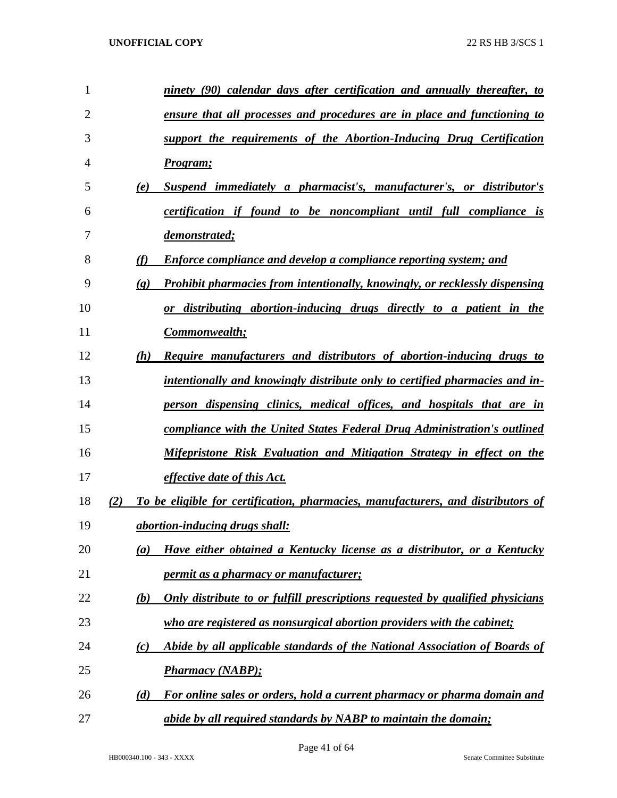| 1              |                             | ninety (90) calendar days after certification and annually thereafter, to              |
|----------------|-----------------------------|----------------------------------------------------------------------------------------|
| $\overline{2}$ |                             | ensure that all processes and procedures are in place and functioning to               |
| 3              |                             | support the requirements of the Abortion-Inducing Drug Certification                   |
| 4              |                             | Program;                                                                               |
| 5              | (e)                         | Suspend immediately a pharmacist's, manufacturer's, or distributor's                   |
| 6              |                             | <i>certification if found to be noncompliant until full compliance is</i>              |
| 7              |                             | demonstrated;                                                                          |
| 8              | (f)                         | <b>Enforce compliance and develop a compliance reporting system; and</b>               |
| 9              | $\left( \mathbf{g} \right)$ | Prohibit pharmacies from intentionally, knowingly, or recklessly dispensing            |
| 10             |                             | distributing abortion-inducing drugs directly to a patient in the<br>$\boldsymbol{or}$ |
| 11             |                             | Commonwealth;                                                                          |
| 12             | (h)                         | Require manufacturers and distributors of abortion-inducing drugs to                   |
| 13             |                             | intentionally and knowingly distribute only to certified pharmacies and in-            |
| 14             |                             | person dispensing clinics, medical offices, and hospitals that are in                  |
| 15             |                             | compliance with the United States Federal Drug Administration's outlined               |
| 16             |                             | Mifepristone Risk Evaluation and Mitigation Strategy in effect on the                  |
| 17             |                             | <i>effective date of this Act.</i>                                                     |
| 18             | (2)                         | To be eligible for certification, pharmacies, manufacturers, and distributors of       |
| 19             |                             | <i>abortion-inducing drugs shall:</i>                                                  |
| 20             | (a)                         | Have either obtained a Kentucky license as a distributor, or a Kentucky                |
| 21             |                             | <i>permit as a pharmacy or manufacturer;</i>                                           |
| 22             | (b)                         | Only distribute to or fulfill prescriptions requested by qualified physicians          |
| 23             |                             | who are registered as nonsurgical abortion providers with the cabinet;                 |
| 24             | (c)                         | Abide by all applicable standards of the National Association of Boards of             |
| 25             |                             | <b>Pharmacy (NABP);</b>                                                                |
| 26             | (d)                         | For online sales or orders, hold a current pharmacy or pharma domain and               |
| 27             |                             | abide by all required standards by NABP to maintain the domain;                        |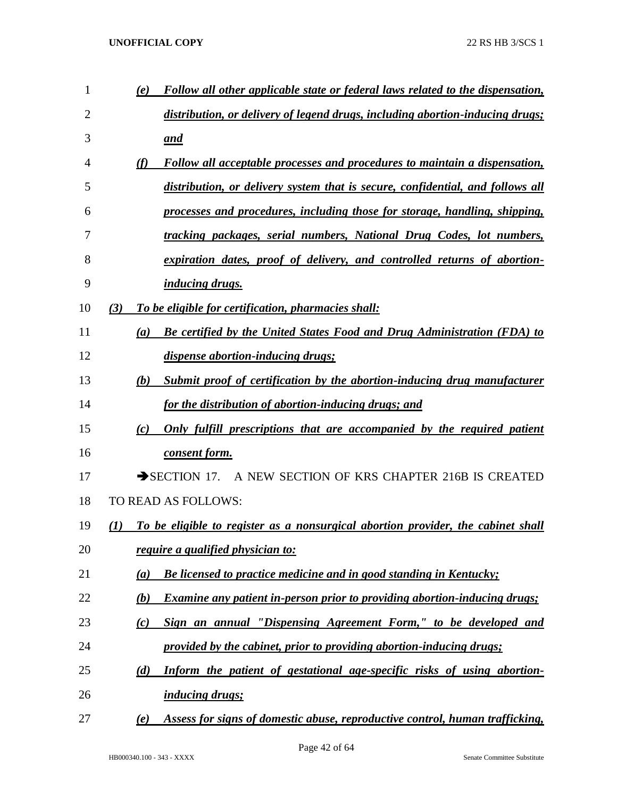| 1  | Follow all other applicable state or federal laws related to the dispensation,<br>(e)              |
|----|----------------------------------------------------------------------------------------------------|
| 2  | distribution, or delivery of legend drugs, including abortion-inducing drugs;                      |
| 3  | and                                                                                                |
| 4  | <b>Follow all acceptable processes and procedures to maintain a dispensation,</b><br>(f)           |
| 5  | distribution, or delivery system that is secure, confidential, and follows all                     |
| 6  | processes and procedures, including those for storage, handling, shipping,                         |
| 7  | tracking packages, serial numbers, National Drug Codes, lot numbers,                               |
| 8  | expiration dates, proof of delivery, and controlled returns of abortion-                           |
| 9  | <i>inducing drugs.</i>                                                                             |
| 10 | To be eligible for certification, pharmacies shall:<br>(3)                                         |
| 11 | <b>Be certified by the United States Food and Drug Administration (FDA) to</b><br>$\left(a\right)$ |
| 12 | dispense abortion-inducing drugs;                                                                  |
| 13 | Submit proof of certification by the abortion-inducing drug manufacturer<br>(b)                    |
| 14 | for the distribution of abortion-inducing drugs; and                                               |
| 15 | Only fulfill prescriptions that are accompanied by the required patient<br>(c)                     |
| 16 | consent form.                                                                                      |
| 17 | $\rightarrow$ SECTION 17.<br>A NEW SECTION OF KRS CHAPTER 216B IS CREATED                          |
| 18 | TO READ AS FOLLOWS:                                                                                |
| 19 | To be eligible to register as a nonsurgical abortion provider, the cabinet shall<br>(I)            |
| 20 | <i>require a qualified physician to:</i>                                                           |
| 21 | Be licensed to practice medicine and in good standing in Kentucky;<br>(a)                          |
| 22 | Examine any patient in-person prior to providing abortion-inducing drugs;<br>(b)                   |
| 23 | Sign an annual "Dispensing Agreement Form," to be developed and<br>(c)                             |
| 24 | provided by the cabinet, prior to providing abortion-inducing drugs;                               |
| 25 | Inform the patient of gestational age-specific risks of using abortion-<br>(d)                     |
| 26 | <i>inducing drugs;</i>                                                                             |
| 27 | Assess for signs of domestic abuse, reproductive control, human trafficking,<br>(e)                |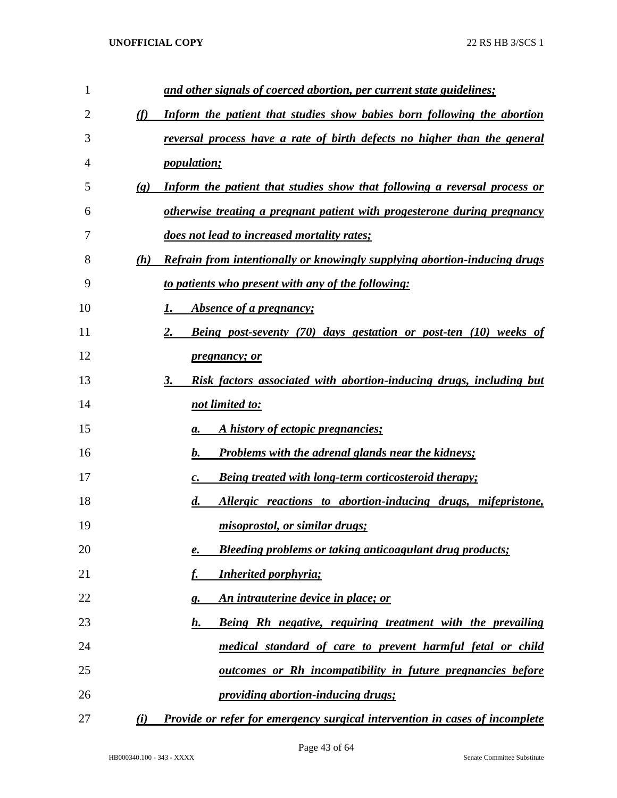| 1  |                             | and other signals of coerced abortion, per current state guidelines;               |
|----|-----------------------------|------------------------------------------------------------------------------------|
| 2  | (f)                         | Inform the patient that studies show babies born following the abortion            |
| 3  |                             | reversal process have a rate of birth defects no higher than the general           |
| 4  |                             | <i>population;</i>                                                                 |
| 5  | $\left( \mathbf{g} \right)$ | Inform the patient that studies show that following a reversal process or          |
| 6  |                             | otherwise treating a pregnant patient with progesterone during pregnancy           |
| 7  |                             | does not lead to increased mortality rates;                                        |
| 8  | (h)                         | Refrain from intentionally or knowingly supplying abortion-inducing drugs          |
| 9  |                             | to patients who present with any of the following:                                 |
| 10 |                             | <i><b>Absence of a pregnancy;</b></i><br>1.                                        |
| 11 |                             | <b>Being post-seventy (70) days gestation or post-ten (10) weeks of</b><br>2.      |
| 12 |                             | <i>pregnancy; or</i>                                                               |
| 13 |                             | Risk factors associated with abortion-inducing drugs, including but<br>3.          |
| 14 |                             | not limited to:                                                                    |
| 15 |                             | A history of ectopic pregnancies;<br>а.                                            |
| 16 |                             | <b>Problems with the adrenal glands near the kidneys;</b><br>b.                    |
| 17 |                             | Being treated with long-term corticosteroid therapy;<br>$\mathcal{C}$ .            |
| 18 |                             | Allergic reactions to abortion-inducing drugs, mifepristone,<br>$\boldsymbol{d}$ . |
| 19 |                             | misoprostol, or similar drugs;                                                     |
| 20 |                             | Bleeding problems or taking anticoagulant drug products;<br>e.                     |
| 21 |                             | <b>Inherited porphyria;</b><br><u>f.</u>                                           |
| 22 |                             | An intrauterine device in place; or<br><u>g.</u>                                   |
| 23 |                             | Being Rh negative, requiring treatment with the prevailing<br>h.                   |
| 24 |                             | medical standard of care to prevent harmful fetal or child                         |
| 25 |                             | outcomes or Rh incompatibility in future pregnancies before                        |
| 26 |                             | providing abortion-inducing drugs;                                                 |
| 27 | (i)                         | Provide or refer for emergency surgical intervention in cases of incomplete        |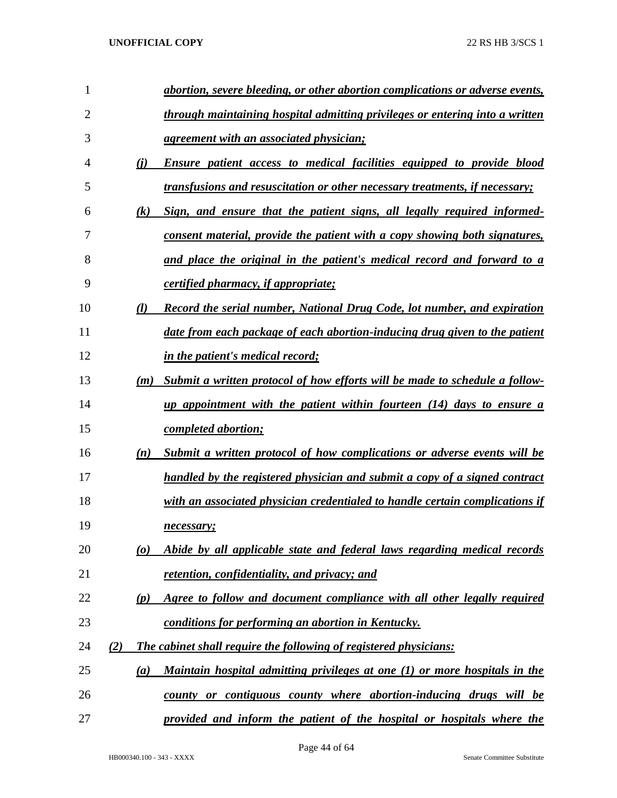| 1              |                                 | abortion, severe bleeding, or other abortion complications or adverse events,       |
|----------------|---------------------------------|-------------------------------------------------------------------------------------|
| $\overline{2}$ |                                 | <u>through maintaining hospital admitting privileges or entering into a written</u> |
| 3              |                                 | <u>agreement with an associated physician;</u>                                      |
| 4              | (i)                             | Ensure patient access to medical facilities equipped to provide blood               |
| 5              |                                 | <i>transfusions and resuscitation or other necessary treatments, if necessary;</i>  |
| 6              | (k)                             | Sign, and ensure that the patient signs, all legally required informed-             |
| 7              |                                 | consent material, provide the patient with a copy showing both signatures,          |
| 8              |                                 | and place the original in the patient's medical record and forward to a             |
| 9              |                                 | <i>certified pharmacy, if appropriate;</i>                                          |
| 10             | (l)                             | <b>Record the serial number, National Drug Code, lot number, and expiration</b>     |
| 11             |                                 | date from each package of each abortion-inducing drug given to the patient          |
| 12             |                                 | <i>in the patient's medical record;</i>                                             |
| 13             | (m)                             | Submit a written protocol of how efforts will be made to schedule a follow-         |
| 14             |                                 | up appointment with the patient within fourteen (14) days to ensure a               |
| 15             |                                 | <i>completed abortion;</i>                                                          |
| 16             | (n)                             | Submit a written protocol of how complications or adverse events will be            |
| 17             |                                 | handled by the registered physician and submit a copy of a signed contract          |
| 18             |                                 | with an associated physician credentialed to handle certain complications if        |
| 19             |                                 | necessary;                                                                          |
| 20             | $\boldsymbol{\left( o \right)}$ | Abide by all applicable state and federal laws regarding medical records            |
| 21             |                                 | <u>retention, confidentiality, and privacy; and</u>                                 |
| 22             | (p)                             | Agree to follow and document compliance with all other legally required             |
| 23             |                                 | conditions for performing an abortion in Kentucky.                                  |
| 24             | (2)                             | <b>The cabinet shall require the following of registered physicians:</b>            |
| 25             | (a)                             | Maintain hospital admitting privileges at one (1) or more hospitals in the          |
| 26             |                                 | county or contiguous county where abortion-inducing drugs will be                   |
| 27             |                                 | provided and inform the patient of the hospital or hospitals where the              |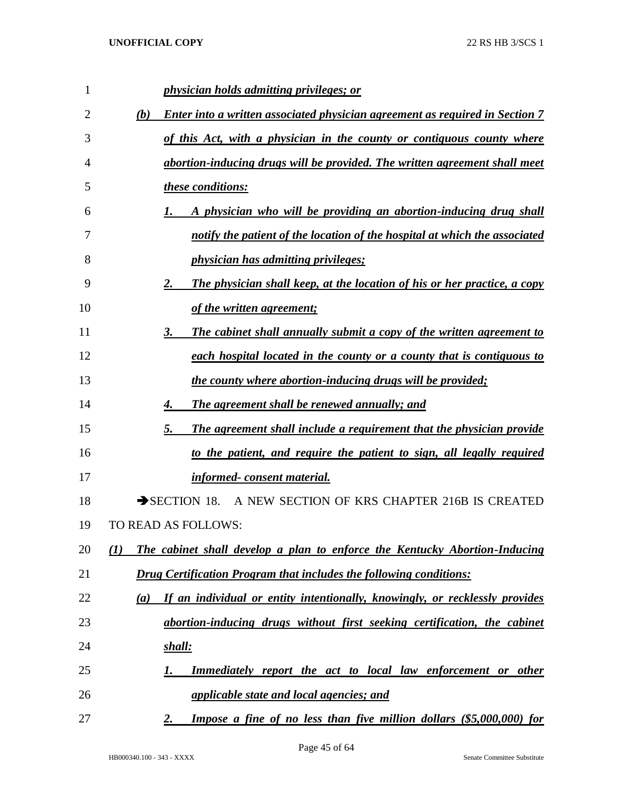| 1  | physician holds admitting privileges; or                                                   |
|----|--------------------------------------------------------------------------------------------|
| 2  | <b>Enter into a written associated physician agreement as required in Section 7</b><br>(b) |
| 3  | of this Act, with a physician in the county or contiguous county where                     |
| 4  | abortion-inducing drugs will be provided. The written agreement shall meet                 |
| 5  | these conditions:                                                                          |
| 6  | A physician who will be providing an abortion-inducing drug shall<br>1.                    |
| 7  | notify the patient of the location of the hospital at which the associated                 |
| 8  | <i>physician has admitting privileges;</i>                                                 |
| 9  | The physician shall keep, at the location of his or her practice, a copy<br>2.             |
| 10 | of the written agreement;                                                                  |
| 11 | The cabinet shall annually submit a copy of the written agreement to<br>3.                 |
| 12 | each hospital located in the county or a county that is contiguous to                      |
| 13 | <u>the county where abortion-inducing drugs will be provided;</u>                          |
| 14 | The agreement shall be renewed annually; and<br>4.                                         |
| 15 | The agreement shall include a requirement that the physician provide<br>5.                 |
| 16 | to the patient, and require the patient to sign, all legally required                      |
| 17 | informed-consent material.                                                                 |
| 18 | $\rightarrow$ SECTION 18.<br>A NEW SECTION OF KRS CHAPTER 216B IS CREATED                  |
| 19 | TO READ AS FOLLOWS:                                                                        |
| 20 | The cabinet shall develop a plan to enforce the Kentucky Abortion-Inducing<br>(1)          |
| 21 | <b>Drug Certification Program that includes the following conditions:</b>                  |
| 22 | If an individual or entity intentionally, knowingly, or recklessly provides<br>(a)         |
| 23 | abortion-inducing drugs without first seeking certification, the cabinet                   |
| 24 | shall:                                                                                     |
| 25 | Immediately report the act to local law enforcement or other<br>1.                         |
| 26 | <i>applicable state and local agencies; and</i>                                            |
| 27 | <b>Impose a fine of no less than five million dollars (\$5,000,000) for</b><br>2.          |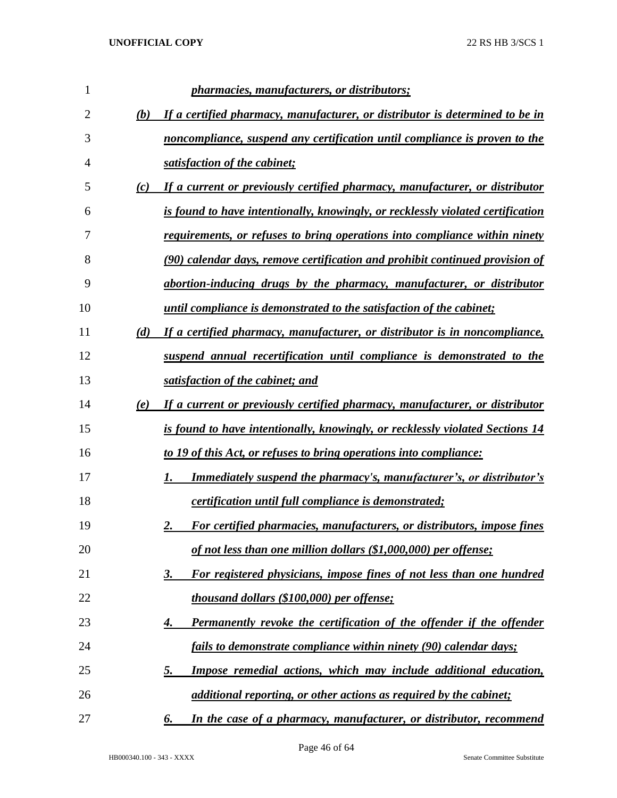| 1  |     | <i>pharmacies, manufacturers, or distributors;</i>                                   |
|----|-----|--------------------------------------------------------------------------------------|
| 2  | (b) | If a certified pharmacy, manufacturer, or distributor is determined to be in         |
| 3  |     | noncompliance, suspend any certification until compliance is proven to the           |
| 4  |     | satisfaction of the cabinet;                                                         |
| 5  | (c) | If a current or previously certified pharmacy, manufacturer, or distributor          |
| 6  |     | is found to have intentionally, knowingly, or recklessly violated certification      |
| 7  |     | <u>requirements, or refuses to bring operations into compliance within ninety</u>    |
| 8  |     | (90) calendar days, remove certification and prohibit continued provision of         |
| 9  |     | abortion-inducing drugs by the pharmacy, manufacturer, or distributor                |
| 10 |     | <i>until compliance is demonstrated to the satisfaction of the cabinet;</i>          |
| 11 | (d) | If a certified pharmacy, manufacturer, or distributor is in noncompliance,           |
| 12 |     | suspend annual recertification until compliance is demonstrated to the               |
| 13 |     | satisfaction of the cabinet; and                                                     |
| 14 | (e) | If a current or previously certified pharmacy, manufacturer, or distributor          |
| 15 |     | <u>is found to have intentionally, knowingly, or recklessly violated Sections 14</u> |
| 16 |     | to 19 of this Act, or refuses to bring operations into compliance:                   |
| 17 |     | <b>Immediately suspend the pharmacy's, manufacturer's, or distributor's</b>          |
| 18 |     | certification until full compliance is demonstrated;                                 |
| 19 |     | For certified pharmacies, manufacturers, or distributors, impose fines<br>2.         |
| 20 |     | of not less than one million dollars (\$1,000,000) per offense;                      |
| 21 |     | For registered physicians, impose fines of not less than one hundred<br>3.           |
| 22 |     | thousand dollars (\$100,000) per offense;                                            |
| 23 |     | Permanently revoke the certification of the offender if the offender<br>4.           |
| 24 |     | fails to demonstrate compliance within ninety (90) calendar days;                    |
| 25 |     | Impose remedial actions, which may include additional education,<br><u>5.</u>        |
| 26 |     | additional reporting, or other actions as required by the cabinet;                   |
| 27 |     | In the case of a pharmacy, manufacturer, or distributor, recommend<br>6.             |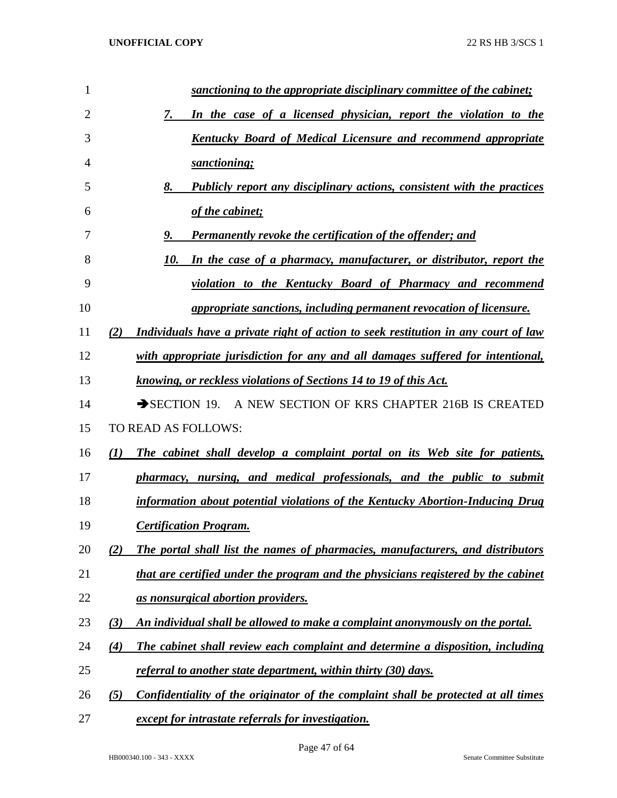| $\mathbf{1}$   | sanctioning to the appropriate disciplinary committee of the cabinet;                     |
|----------------|-------------------------------------------------------------------------------------------|
| $\overline{2}$ | In the case of a licensed physician, report the violation to the<br>7.                    |
| 3              | <b>Kentucky Board of Medical Licensure and recommend appropriate</b>                      |
| $\overline{4}$ | sanctioning;                                                                              |
| 5              | 8.<br><b>Publicly report any disciplinary actions, consistent with the practices</b>      |
| 6              | of the cabinet;                                                                           |
| 7              | <b>Permanently revoke the certification of the offender; and</b><br>9.                    |
| 8              | In the case of a pharmacy, manufacturer, or distributor, report the<br>10.                |
| 9              | violation to the Kentucky Board of Pharmacy and recommend                                 |
| 10             | appropriate sanctions, including permanent revocation of licensure.                       |
| 11             | Individuals have a private right of action to seek restitution in any court of law<br>(2) |
| 12             | with appropriate jurisdiction for any and all damages suffered for intentional,           |
| 13             | knowing, or reckless violations of Sections 14 to 19 of this Act.                         |
| 14             | SECTION 19. A NEW SECTION OF KRS CHAPTER 216B IS CREATED                                  |
| 15             | TO READ AS FOLLOWS:                                                                       |
| 16             | The cabinet shall develop a complaint portal on its Web site for patients,<br>(I)         |
| 17             | pharmacy, nursing, and medical professionals, and the public to submit                    |
| 18             | information about potential violations of the Kentucky Abortion-Inducing Drug             |
| 19             | <b>Certification Program.</b>                                                             |
| 20             | The portal shall list the names of pharmacies, manufacturers, and distributors<br>(2)     |
| 21             | that are certified under the program and the physicians registered by the cabinet         |
| 22             | <u>as nonsurgical abortion providers.</u>                                                 |
| 23             | An individual shall be allowed to make a complaint anonymously on the portal.<br>(3)      |
| 24             | The cabinet shall review each complaint and determine a disposition, including<br>(4)     |
| 25             | referral to another state department, within thirty (30) days.                            |
| 26             | Confidentiality of the originator of the complaint shall be protected at all times<br>(5) |
| 27             | except for intrastate referrals for investigation.                                        |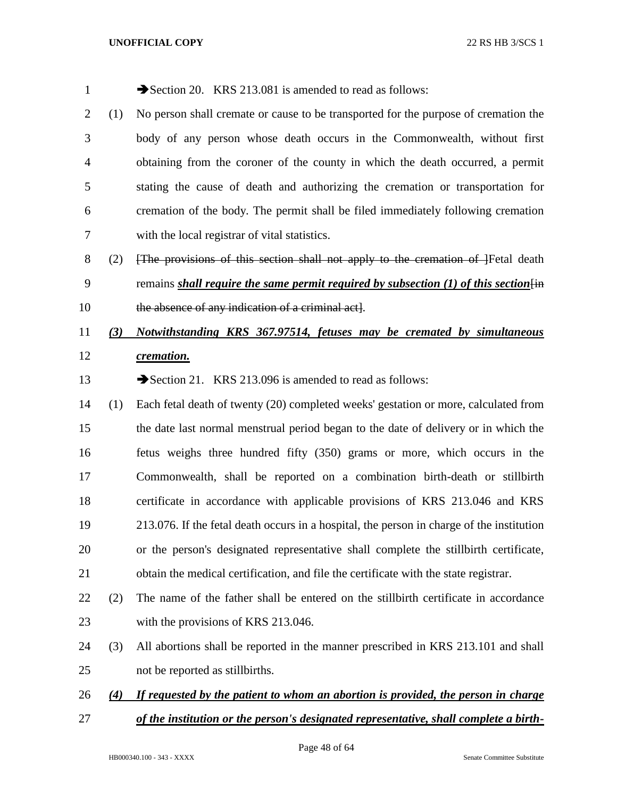| $\mathbf{1}$   |                   | Section 20. KRS 213.081 is amended to read as follows:                                          |
|----------------|-------------------|-------------------------------------------------------------------------------------------------|
| $\overline{2}$ | (1)               | No person shall cremate or cause to be transported for the purpose of cremation the             |
| 3              |                   | body of any person whose death occurs in the Commonwealth, without first                        |
| 4              |                   | obtaining from the coroner of the county in which the death occurred, a permit                  |
| 5              |                   | stating the cause of death and authorizing the cremation or transportation for                  |
| 6              |                   | cremation of the body. The permit shall be filed immediately following cremation                |
| 7              |                   | with the local registrar of vital statistics.                                                   |
| 8              | (2)               | [The provisions of this section shall not apply to the cremation of ]Fetal death                |
| 9              |                   | remains shall require the same permit required by subsection (1) of this section $\overline{f}$ |
| 10             |                   | the absence of any indication of a criminal act.                                                |
| 11             | (3)               | Notwithstanding KRS 367.97514, fetuses may be cremated by simultaneous                          |
| 12             |                   | cremation.                                                                                      |
| 13             |                   | Section 21. KRS 213.096 is amended to read as follows:                                          |
| 14             | (1)               | Each fetal death of twenty (20) completed weeks' gestation or more, calculated from             |
| 15             |                   | the date last normal menstrual period began to the date of delivery or in which the             |
| 16             |                   | fetus weighs three hundred fifty (350) grams or more, which occurs in the                       |
| 17             |                   | Commonwealth, shall be reported on a combination birth-death or stillbirth                      |
| 18             |                   | certificate in accordance with applicable provisions of KRS 213.046 and KRS                     |
| 19             |                   | 213.076. If the fetal death occurs in a hospital, the person in charge of the institution       |
| 20             |                   | or the person's designated representative shall complete the still birth certificate,           |
| 21             |                   | obtain the medical certification, and file the certificate with the state registrar.            |
| 22             | (2)               | The name of the father shall be entered on the stillbirth certificate in accordance             |
| 23             |                   | with the provisions of KRS 213.046.                                                             |
| 24             | (3)               | All abortions shall be reported in the manner prescribed in KRS 213.101 and shall               |
| 25             |                   | not be reported as stillbirths.                                                                 |
| 26             | $\left( 4\right)$ | If requested by the patient to whom an abortion is provided, the person in charge               |
| 27             |                   | of the institution or the person's designated representative, shall complete a birth-           |
|                |                   |                                                                                                 |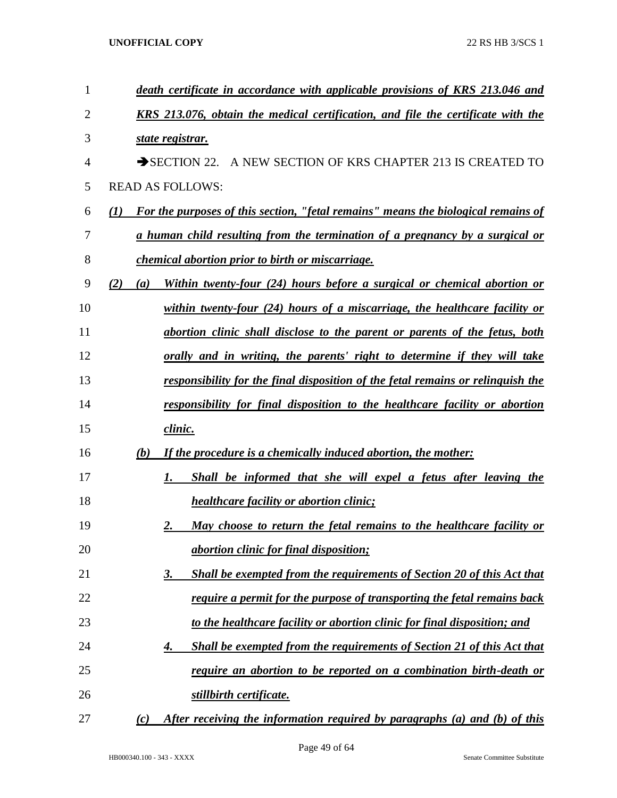| 1              | death certificate in accordance with applicable provisions of KRS 213.046 and              |
|----------------|--------------------------------------------------------------------------------------------|
| $\overline{2}$ | KRS 213.076, obtain the medical certification, and file the certificate with the           |
| 3              | state registrar.                                                                           |
| 4              | SECTION 22. A NEW SECTION OF KRS CHAPTER 213 IS CREATED TO                                 |
| 5              | <b>READ AS FOLLOWS:</b>                                                                    |
| 6              | For the purposes of this section, "fetal remains" means the biological remains of<br>(I)   |
| 7              | <u>a human child resulting from the termination of a pregnancy by a surgical or</u>        |
| 8              | <i>chemical abortion prior to birth or miscarriage.</i>                                    |
| 9              | Within twenty-four (24) hours before a surgical or chemical abortion or<br>(2)<br>(a)      |
| 10             | within twenty-four $(24)$ hours of a miscarriage, the healthcare facility or               |
| 11             | abortion clinic shall disclose to the parent or parents of the fetus, both                 |
| 12             | <u>orally and in writing, the parents' right to determine if they will take</u>            |
| 13             | responsibility for the final disposition of the fetal remains or relinquish the            |
| 14             | responsibility for final disposition to the healthcare facility or abortion                |
| 15             | <u>clinic.</u>                                                                             |
| 16             | If the procedure is a chemically induced abortion, the mother:<br>(b)                      |
| 17             | Shall be informed that she will expel a fetus after leaving the<br>1.                      |
| 18             | <i>healthcare facility or abortion clinic;</i>                                             |
| 19             | May choose to return the fetal remains to the healthcare facility or<br>2.                 |
| 20             | <i><u>abortion clinic for final disposition;</u></i>                                       |
| 21             | <b>Shall be exempted from the requirements of Section 20 of this Act that</b><br><u>3.</u> |
| 22             | require a permit for the purpose of transporting the fetal remains back                    |
| 23             | to the healthcare facility or abortion clinic for final disposition; and                   |
| 24             | <b>Shall be exempted from the requirements of Section 21 of this Act that</b><br>4.        |
| 25             | require an abortion to be reported on a combination birth-death or                         |
| 26             | stillbirth certificate.                                                                    |
| 27             | After receiving the information required by paragraphs (a) and (b) of this<br>(c)          |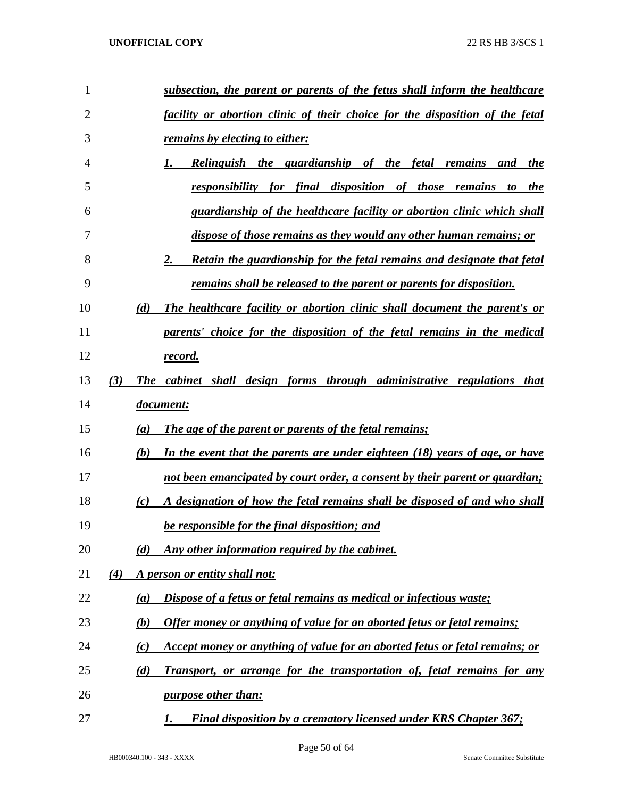| 1              | <u>subsection, the parent or parents of the fetus shall inform the healthcare</u>  |
|----------------|------------------------------------------------------------------------------------|
| $\overline{2}$ | facility or abortion clinic of their choice for the disposition of the fetal       |
| 3              | <u>remains by electing to either:</u>                                              |
| 4              | <b>Relinguish the guardianship of the fetal remains and</b><br>the<br>1.           |
| 5              | responsibility for final disposition of those remains<br><u>the</u><br>to          |
| 6              | guardianship of the healthcare facility or abortion clinic which shall             |
| 7              | dispose of those remains as they would any other human remains; or                 |
| 8              | Retain the guardianship for the fetal remains and designate that fetal<br>2.       |
| 9              | remains shall be released to the parent or parents for disposition.                |
| 10             | The healthcare facility or abortion clinic shall document the parent's or<br>(d)   |
| 11             | parents' choice for the disposition of the fetal remains in the medical            |
| 12             | <u>record.</u>                                                                     |
| 13             | (3)<br>The cabinet shall design forms through administrative regulations that      |
| 14             | document:                                                                          |
| 15             | <b>The age of the parent or parents of the fetal remains;</b><br>(a)               |
| 16             | In the event that the parents are under eighteen (18) years of age, or have<br>(b) |
| 17             | not been emancipated by court order, a consent by their parent or guardian;        |
| 18             | A designation of how the fetal remains shall be disposed of and who shall<br>(c)   |
| 19             | be responsible for the final disposition; and                                      |
| 20             | Any other information required by the cabinet.<br>(d)                              |
| 21             | A person or entity shall not:<br>(4)                                               |
| 22             | Dispose of a fetus or fetal remains as medical or infectious waste;<br>(a)         |
| 23             | Offer money or anything of value for an aborted fetus or fetal remains;<br>(b)     |
| 24             | Accept money or anything of value for an aborted fetus or fetal remains; or<br>(c) |
| 25             | Transport, or arrange for the transportation of, fetal remains for any<br>(d)      |
| 26             | purpose other than:                                                                |
| 27             | Final disposition by a crematory licensed under KRS Chapter 367;<br>1.             |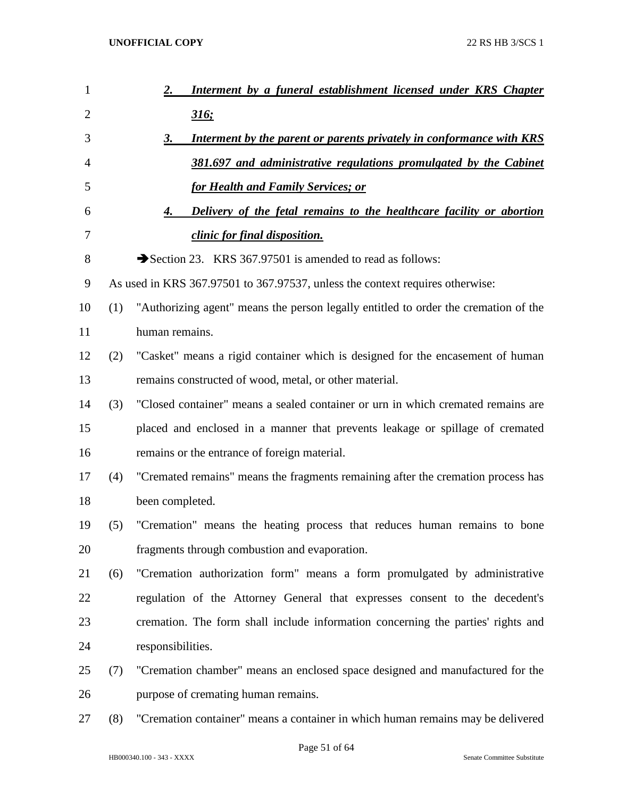| 1              |     | Interment by a funeral establishment licensed under KRS Chapter<br>2.               |
|----------------|-----|-------------------------------------------------------------------------------------|
| $\overline{2}$ |     | <u>316;</u>                                                                         |
| 3              |     | Interment by the parent or parents privately in conformance with KRS<br>3.          |
| 4              |     | 381.697 and administrative regulations promulgated by the Cabinet                   |
| 5              |     | <b>for Health and Family Services; or</b>                                           |
| 6              |     | Delivery of the fetal remains to the healthcare facility or abortion<br>4.          |
| 7              |     | clinic for final disposition.                                                       |
| 8              |     | Section 23. KRS 367.97501 is amended to read as follows:                            |
| 9              |     | As used in KRS 367.97501 to 367.97537, unless the context requires otherwise:       |
| 10             | (1) | "Authorizing agent" means the person legally entitled to order the cremation of the |
| 11             |     | human remains.                                                                      |
| 12             | (2) | "Casket" means a rigid container which is designed for the encasement of human      |
| 13             |     | remains constructed of wood, metal, or other material.                              |
| 14             | (3) | "Closed container" means a sealed container or urn in which cremated remains are    |
| 15             |     | placed and enclosed in a manner that prevents leakage or spillage of cremated       |
| 16             |     | remains or the entrance of foreign material.                                        |
| 17             | (4) | "Cremated remains" means the fragments remaining after the cremation process has    |
| 18             |     | been completed.                                                                     |
| 19             | (5) | "Cremation" means the heating process that reduces human remains to bone            |
| 20             |     | fragments through combustion and evaporation.                                       |
| 21             | (6) | "Cremation authorization form" means a form promulgated by administrative           |
| 22             |     | regulation of the Attorney General that expresses consent to the decedent's         |
| 23             |     | cremation. The form shall include information concerning the parties' rights and    |
| 24             |     | responsibilities.                                                                   |
| 25             | (7) | "Cremation chamber" means an enclosed space designed and manufactured for the       |
| 26             |     | purpose of cremating human remains.                                                 |
| $27\,$         | (8) | "Cremation container" means a container in which human remains may be delivered     |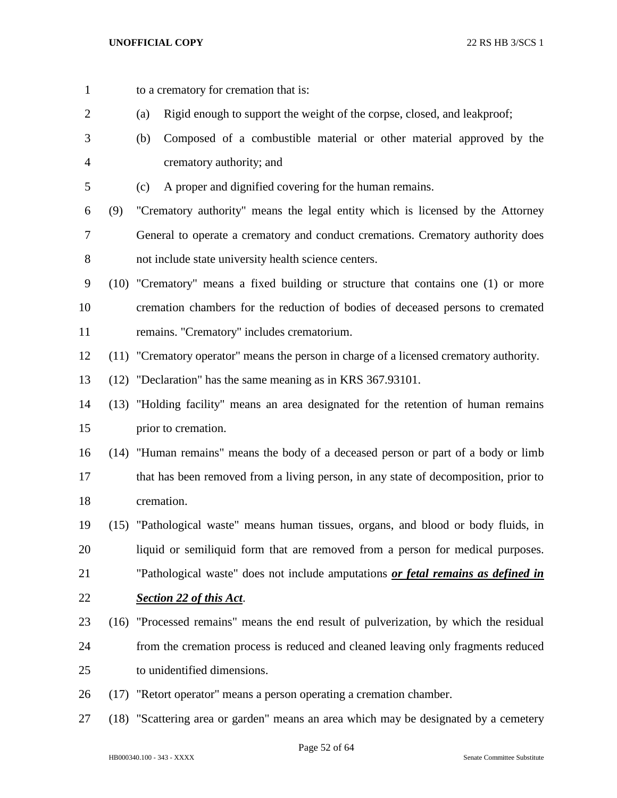to a crematory for cremation that is:

 (a) Rigid enough to support the weight of the corpse, closed, and leakproof; (b) Composed of a combustible material or other material approved by the crematory authority; and (c) A proper and dignified covering for the human remains. (9) "Crematory authority" means the legal entity which is licensed by the Attorney General to operate a crematory and conduct cremations. Crematory authority does not include state university health science centers. (10) "Crematory" means a fixed building or structure that contains one (1) or more cremation chambers for the reduction of bodies of deceased persons to cremated remains. "Crematory" includes crematorium. (11) "Crematory operator" means the person in charge of a licensed crematory authority. (12) "Declaration" has the same meaning as in KRS 367.93101. (13) "Holding facility" means an area designated for the retention of human remains prior to cremation. (14) "Human remains" means the body of a deceased person or part of a body or limb that has been removed from a living person, in any state of decomposition, prior to cremation. (15) "Pathological waste" means human tissues, organs, and blood or body fluids, in liquid or semiliquid form that are removed from a person for medical purposes. "Pathological waste" does not include amputations *or fetal remains as defined in Section 22 of this Act*. (16) "Processed remains" means the end result of pulverization, by which the residual from the cremation process is reduced and cleaned leaving only fragments reduced to unidentified dimensions. (17) "Retort operator" means a person operating a cremation chamber. (18) "Scattering area or garden" means an area which may be designated by a cemetery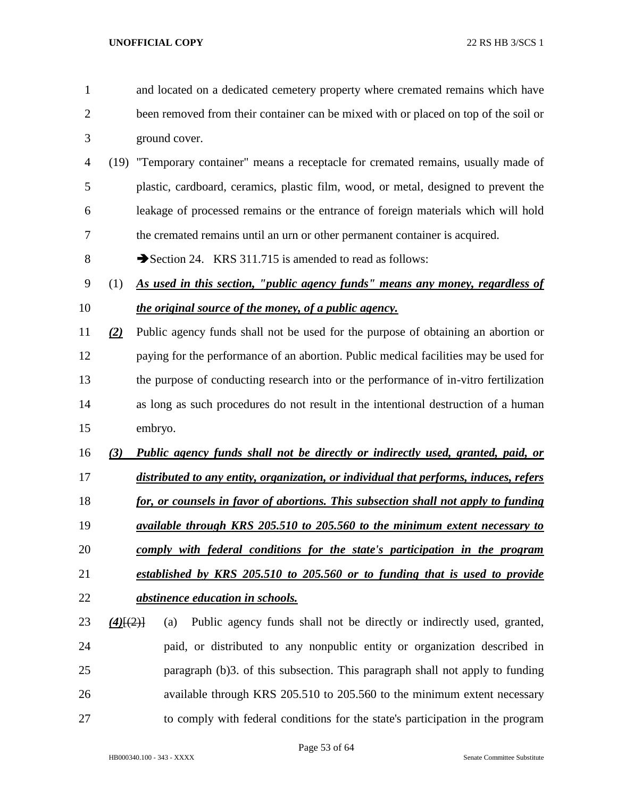- and located on a dedicated cemetery property where cremated remains which have been removed from their container can be mixed with or placed on top of the soil or ground cover.
- (19) "Temporary container" means a receptacle for cremated remains, usually made of plastic, cardboard, ceramics, plastic film, wood, or metal, designed to prevent the leakage of processed remains or the entrance of foreign materials which will hold the cremated remains until an urn or other permanent container is acquired.
- 8 Section 24. KRS 311.715 is amended to read as follows:
- (1) *As used in this section, "public agency funds" means any money, regardless of the original source of the money, of a public agency.*
- *(2)* Public agency funds shall not be used for the purpose of obtaining an abortion or paying for the performance of an abortion. Public medical facilities may be used for the purpose of conducting research into or the performance of in-vitro fertilization as long as such procedures do not result in the intentional destruction of a human embryo.
- *(3) Public agency funds shall not be directly or indirectly used, granted, paid, or*
- *distributed to any entity, organization, or individual that performs, induces, refers*
- *for, or counsels in favor of abortions. This subsection shall not apply to funding*
- *available through KRS 205.510 to 205.560 to the minimum extent necessary to comply with federal conditions for the state's participation in the program*
- *established by KRS 205.510 to 205.560 or to funding that is used to provide*
- *abstinence education in schools.*
- *(4)*[(2)] (a) Public agency funds shall not be directly or indirectly used, granted, paid, or distributed to any nonpublic entity or organization described in paragraph (b)3. of this subsection. This paragraph shall not apply to funding available through KRS 205.510 to 205.560 to the minimum extent necessary to comply with federal conditions for the state's participation in the program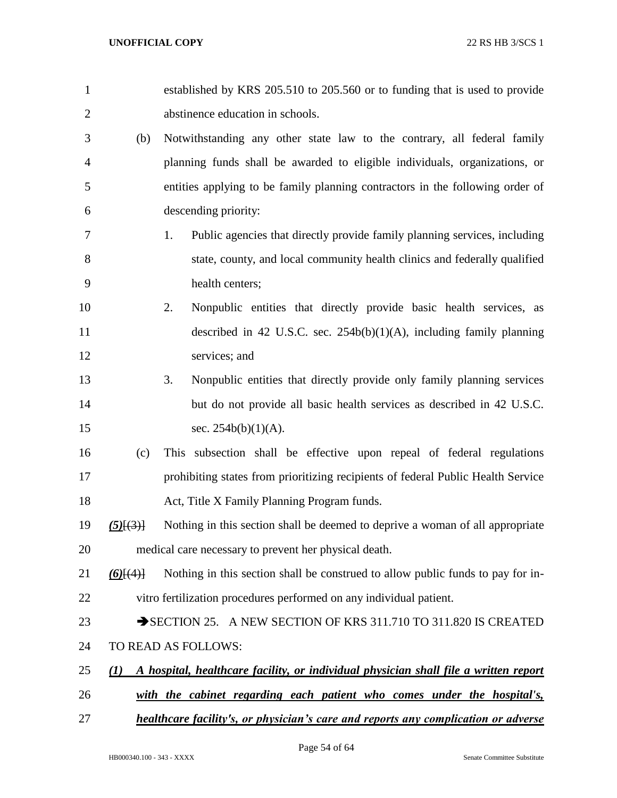| $\mathbf{1}$   |                  | established by KRS 205.510 to 205.560 or to funding that is used to provide          |
|----------------|------------------|--------------------------------------------------------------------------------------|
| $\overline{c}$ |                  | abstinence education in schools.                                                     |
| 3              | (b)              | Notwithstanding any other state law to the contrary, all federal family              |
| 4              |                  | planning funds shall be awarded to eligible individuals, organizations, or           |
| 5              |                  | entities applying to be family planning contractors in the following order of        |
| 6              |                  | descending priority:                                                                 |
| 7              |                  | Public agencies that directly provide family planning services, including<br>1.      |
| 8              |                  | state, county, and local community health clinics and federally qualified            |
| 9              |                  | health centers;                                                                      |
| 10             |                  | 2.<br>Nonpublic entities that directly provide basic health services, as             |
| 11             |                  | described in 42 U.S.C. sec. $254b(b)(1)(A)$ , including family planning              |
| 12             |                  | services; and                                                                        |
| 13             |                  | 3.<br>Nonpublic entities that directly provide only family planning services         |
| 14             |                  | but do not provide all basic health services as described in 42 U.S.C.               |
| 15             |                  | sec. $254b(b)(1)(A)$ .                                                               |
| 16             | (c)              | This subsection shall be effective upon repeal of federal regulations                |
| 17             |                  | prohibiting states from prioritizing recipients of federal Public Health Service     |
| 18             |                  | Act, Title X Family Planning Program funds.                                          |
| 19             | $(5)$ $\{3\}$    | Nothing in this section shall be deemed to deprive a woman of all appropriate        |
| 20             |                  | medical care necessary to prevent her physical death.                                |
| 21             | $(6)$ $(4)$      | Nothing in this section shall be construed to allow public funds to pay for in-      |
| 22             |                  | vitro fertilization procedures performed on any individual patient.                  |
| 23             |                  | SECTION 25. A NEW SECTION OF KRS 311.710 TO 311.820 IS CREATED                       |
| 24             |                  | TO READ AS FOLLOWS:                                                                  |
| 25             | $\mathcal{L}(I)$ | A hospital, healthcare facility, or individual physician shall file a written report |
| 26             |                  | with the cabinet regarding each patient who comes under the hospital's,              |
| 27             |                  | healthcare facility's, or physician's care and reports any complication or adverse   |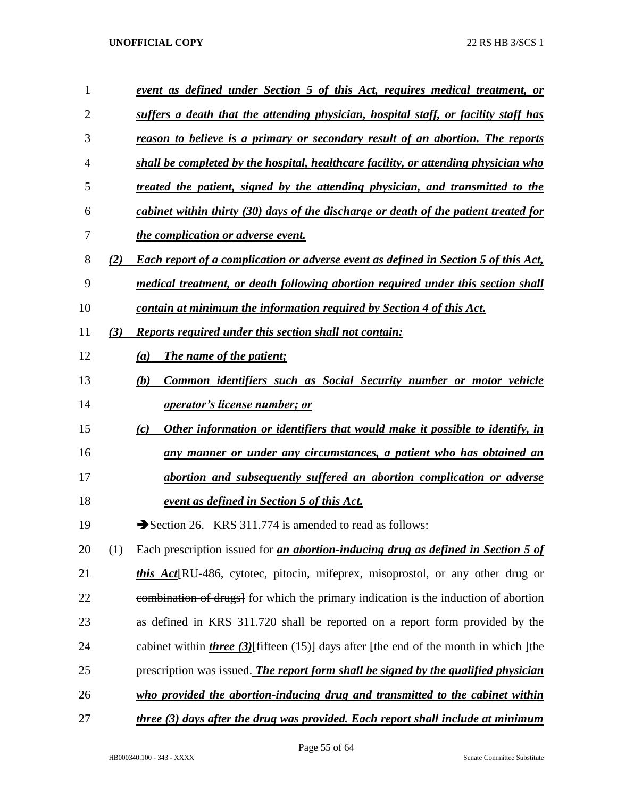| $\mathbf{1}$ |     | event as defined under Section 5 of this Act, requires medical treatment, or                   |
|--------------|-----|------------------------------------------------------------------------------------------------|
| 2            |     | suffers a death that the attending physician, hospital staff, or facility staff has            |
| 3            |     | reason to believe is a primary or secondary result of an abortion. The reports                 |
| 4            |     | shall be completed by the hospital, healthcare facility, or attending physician who            |
| 5            |     | treated the patient, signed by the attending physician, and transmitted to the                 |
| 6            |     | cabinet within thirty (30) days of the discharge or death of the patient treated for           |
| 7            |     | <i>the complication or adverse event.</i>                                                      |
| 8            | (2) | <b>Each report of a complication or adverse event as defined in Section 5 of this Act,</b>     |
| 9            |     | medical treatment, or death following abortion required under this section shall               |
| 10           |     | contain at minimum the information required by Section 4 of this Act.                          |
| 11           | (3) | Reports required under this section shall not contain:                                         |
| 12           |     | The name of the patient;<br>(a)                                                                |
| 13           |     | (b)<br>Common identifiers such as Social Security number or motor vehicle                      |
| 14           |     | <i>operator's license number; or</i>                                                           |
| 15           |     | Other information or identifiers that would make it possible to identify, in<br>(c)            |
| 16           |     | any manner or under any circumstances, a patient who has obtained an                           |
| 17           |     | abortion and subsequently suffered an abortion complication or adverse                         |
| 18           |     | <u>event as defined in Section 5 of this Act.</u>                                              |
| 19           |     | Section 26. KRS 311.774 is amended to read as follows:                                         |
| 20           | (1) | Each prescription issued for <i>an abortion-inducing drug as defined in Section 5 of</i>       |
| 21           |     | <i>this Act</i> RU-486, cytotec, pitocin, mifeprex, misoprostol, or any other drug or          |
| 22           |     | estimation of drugs <sup>1</sup> for which the primary indication is the induction of abortion |
| 23           |     | as defined in KRS 311.720 shall be reported on a report form provided by the                   |
| 24           |     | cabinet within <i>three</i> (3) Hifteen (15) days after fthe end of the month in which lthe    |
| 25           |     | prescription was issued. The report form shall be signed by the qualified physician            |
| 26           |     | who provided the abortion-inducing drug and transmitted to the cabinet within                  |
| 27           |     | three (3) days after the drug was provided. Each report shall include at minimum               |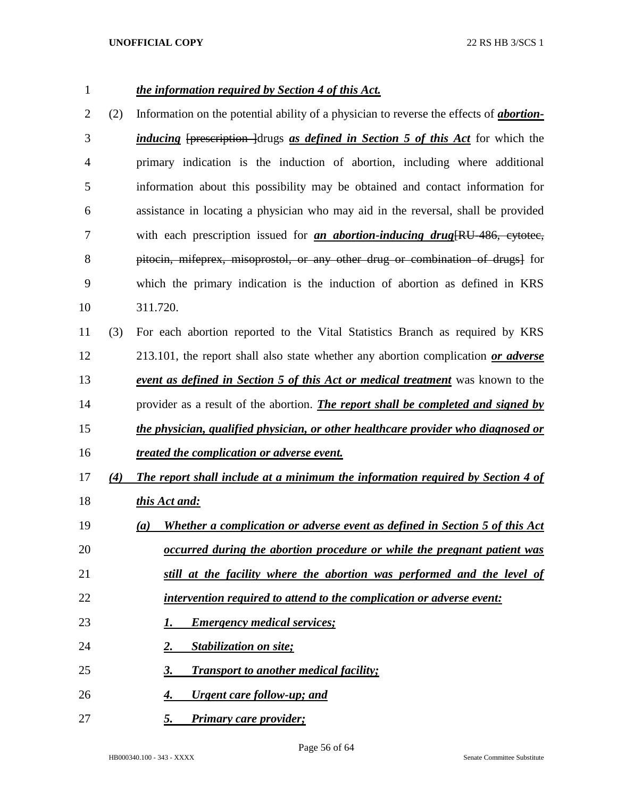# *the information required by Section 4 of this Act.*

- (2) Information on the potential ability of a physician to reverse the effects of *abortion- inducing* [prescription ]drugs *as defined in Section 5 of this Act* for which the primary indication is the induction of abortion, including where additional information about this possibility may be obtained and contact information for assistance in locating a physician who may aid in the reversal, shall be provided with each prescription issued for *an abortion-inducing drug*[RU-486, cytotec, pitocin, mifeprex, misoprostol, or any other drug or combination of drugs] for which the primary indication is the induction of abortion as defined in KRS 311.720.
- (3) For each abortion reported to the Vital Statistics Branch as required by KRS 213.101, the report shall also state whether any abortion complication *or adverse event as defined in Section 5 of this Act or medical treatment* was known to the provider as a result of the abortion. *The report shall be completed and signed by the physician, qualified physician, or other healthcare provider who diagnosed or*
- *treated the complication or adverse event.*
- *(4) The report shall include at a minimum the information required by Section 4 of this Act and:*
- *(a) Whether a complication or adverse event as defined in Section 5 of this Act occurred during the abortion procedure or while the pregnant patient was still at the facility where the abortion was performed and the level of*
- *intervention required to attend to the complication or adverse event:*
- 
- *1. Emergency medical services;*
- *2. Stabilization on site;*
- *3. Transport to another medical facility;*
- *4. Urgent care follow-up; and*
- *5. Primary care provider;*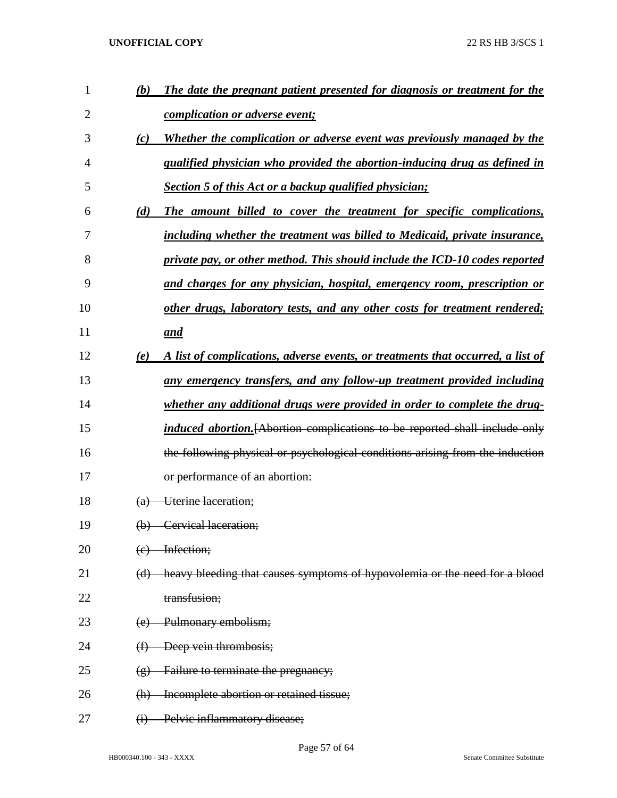| $\mathbf{1}$ | (b)               | The date the pregnant patient presented for diagnosis or treatment for the         |
|--------------|-------------------|------------------------------------------------------------------------------------|
| 2            |                   | <i>complication or adverse event;</i>                                              |
| 3            | (c)               | Whether the complication or adverse event was previously managed by the            |
| 4            |                   | qualified physician who provided the abortion-inducing drug as defined in          |
| 5            |                   | Section 5 of this Act or a backup qualified physician;                             |
| 6            | (d)               | The amount billed to cover the treatment for specific complications,               |
| 7            |                   | including whether the treatment was billed to Medicaid, private insurance,         |
| 8            |                   | private pay, or other method. This should include the ICD-10 codes reported        |
| 9            |                   | and charges for any physician, hospital, emergency room, prescription or           |
| 10           |                   | other drugs, laboratory tests, and any other costs for treatment rendered;         |
| 11           |                   | and                                                                                |
| 12           | (e)               | A list of complications, adverse events, or treatments that occurred, a list of    |
| 13           |                   | any emergency transfers, and any follow-up treatment provided including            |
| 14           |                   | whether any additional drugs were provided in order to complete the drug-          |
| 15           |                   | <i>induced abortion.</i> [Abortion complications to be reported shall include only |
| 16           |                   | the following physical or psychological conditions arising from the induction      |
| 17           |                   | or performance of an abortion:                                                     |
| 18           | $\Theta$          | Uterine laceration;                                                                |
| 19           |                   | (b) Cervical laceration;                                                           |
| 20           |                   | (e) Infection;                                                                     |
| 21           |                   | (d) heavy bleeding that causes symptoms of hypovolemia or the need for a blood     |
| 22           |                   | transfusion;                                                                       |
| 23           |                   | (e) Pulmonary embolism;                                                            |
| 24           |                   | $(f)$ Deep vein thrombosis;                                                        |
| 25           | $\left( g\right)$ | <b>Failure to terminate the pregnancy;</b>                                         |
| 26           | (h)               | Incomplete abortion or retained tissue;                                            |
| 27           | $\Theta$          | Pelvic inflammatory disease;                                                       |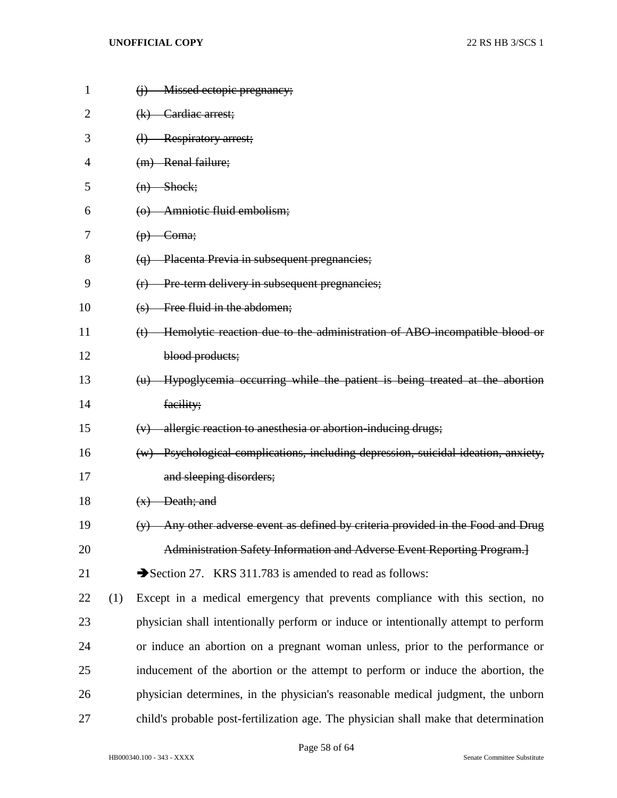| 1  |     | $(i)$ Missed ectopic pregnancy;                                                      |
|----|-----|--------------------------------------------------------------------------------------|
| 2  |     | (k) Cardiac arrest;                                                                  |
| 3  |     | (l) Respiratory arrest;                                                              |
| 4  |     | (m) Renal failure;                                                                   |
| 5  |     | $(n)$ Shock;                                                                         |
| 6  |     | (o) Amniotic fluid embolism;                                                         |
| 7  |     | $(p)$ Coma;                                                                          |
| 8  |     | (q) Placenta Previa in subsequent pregnancies;                                       |
| 9  |     | $(r)$ Pre term delivery in subsequent pregnancies;                                   |
| 10 |     | (s) Free fluid in the abdomen;                                                       |
| 11 |     | (t) Hemolytic reaction due to the administration of ABO-incompatible blood or        |
| 12 |     | blood products;                                                                      |
| 13 |     | (u) Hypoglycemia occurring while the patient is being treated at the abortion        |
| 14 |     | facility;                                                                            |
| 15 |     | $(v)$ allergic reaction to anesthesia or abortion-inducing drugs;                    |
| 16 |     | (w) Psychological complications, including depression, suicidal ideation, anxiety,   |
| 17 |     | and sleeping disorders;                                                              |
| 18 |     | $(x)$ Death; and                                                                     |
| 19 |     | (y) Any other adverse event as defined by criteria provided in the Food and Drug     |
| 20 |     | Administration Safety Information and Adverse Event Reporting Program.               |
| 21 |     | Section 27. KRS 311.783 is amended to read as follows:                               |
| 22 | (1) | Except in a medical emergency that prevents compliance with this section, no         |
| 23 |     | physician shall intentionally perform or induce or intentionally attempt to perform  |
| 24 |     | or induce an abortion on a pregnant woman unless, prior to the performance or        |
| 25 |     | inducement of the abortion or the attempt to perform or induce the abortion, the     |
| 26 |     | physician determines, in the physician's reasonable medical judgment, the unborn     |
| 27 |     | child's probable post-fertilization age. The physician shall make that determination |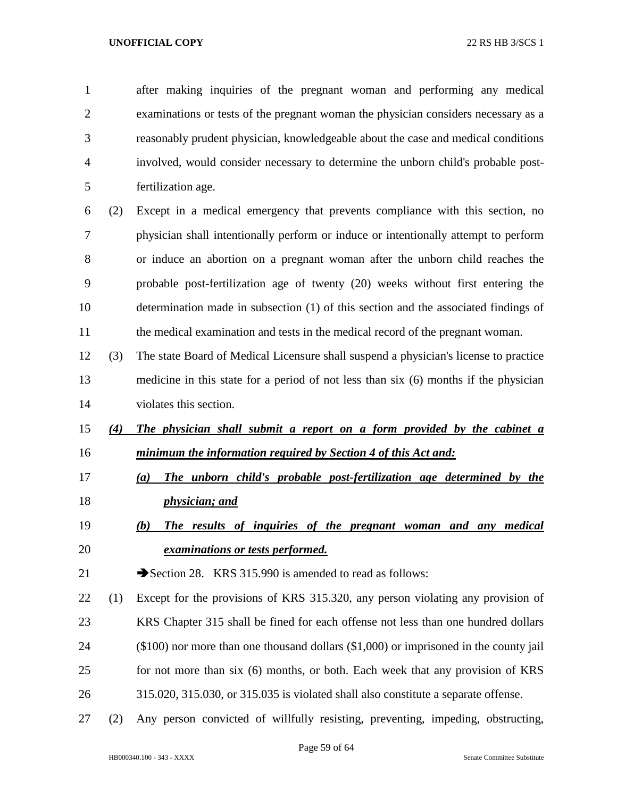after making inquiries of the pregnant woman and performing any medical examinations or tests of the pregnant woman the physician considers necessary as a reasonably prudent physician, knowledgeable about the case and medical conditions involved, would consider necessary to determine the unborn child's probable post- fertilization age. (2) Except in a medical emergency that prevents compliance with this section, no physician shall intentionally perform or induce or intentionally attempt to perform or induce an abortion on a pregnant woman after the unborn child reaches the probable post-fertilization age of twenty (20) weeks without first entering the determination made in subsection (1) of this section and the associated findings of 11 the medical examination and tests in the medical record of the pregnant woman. (3) The state Board of Medical Licensure shall suspend a physician's license to practice medicine in this state for a period of not less than six (6) months if the physician violates this section. *(4) The physician shall submit a report on a form provided by the cabinet a minimum the information required by Section 4 of this Act and: (a) The unborn child's probable post-fertilization age determined by the physician; and (b) The results of inquiries of the pregnant woman and any medical examinations or tests performed.* 21 Section 28. KRS 315.990 is amended to read as follows: (1) Except for the provisions of KRS 315.320, any person violating any provision of KRS Chapter 315 shall be fined for each offense not less than one hundred dollars (\$100) nor more than one thousand dollars (\$1,000) or imprisoned in the county jail for not more than six (6) months, or both. Each week that any provision of KRS 315.020, 315.030, or 315.035 is violated shall also constitute a separate offense. (2) Any person convicted of willfully resisting, preventing, impeding, obstructing,

Page 59 of 64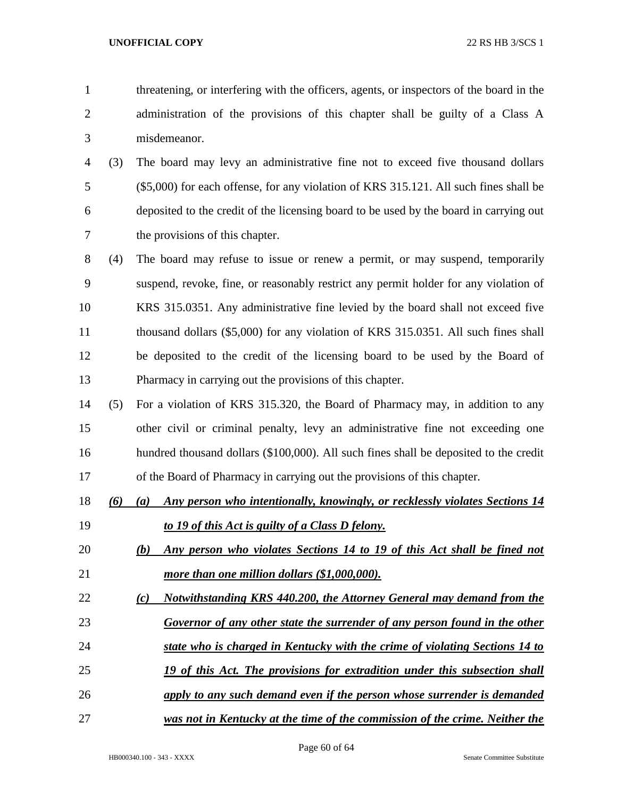- threatening, or interfering with the officers, agents, or inspectors of the board in the administration of the provisions of this chapter shall be guilty of a Class A misdemeanor.
- (3) The board may levy an administrative fine not to exceed five thousand dollars (\$5,000) for each offense, for any violation of KRS 315.121. All such fines shall be deposited to the credit of the licensing board to be used by the board in carrying out the provisions of this chapter.
- (4) The board may refuse to issue or renew a permit, or may suspend, temporarily suspend, revoke, fine, or reasonably restrict any permit holder for any violation of KRS 315.0351. Any administrative fine levied by the board shall not exceed five thousand dollars (\$5,000) for any violation of KRS 315.0351. All such fines shall be deposited to the credit of the licensing board to be used by the Board of Pharmacy in carrying out the provisions of this chapter.
- (5) For a violation of KRS 315.320, the Board of Pharmacy may, in addition to any other civil or criminal penalty, levy an administrative fine not exceeding one hundred thousand dollars (\$100,000). All such fines shall be deposited to the credit of the Board of Pharmacy in carrying out the provisions of this chapter.
- *(6) (a) Any person who intentionally, knowingly, or recklessly violates Sections 14 to 19 of this Act is guilty of a Class D felony.*
- *(b) Any person who violates Sections 14 to 19 of this Act shall be fined not more than one million dollars (\$1,000,000).*
- *(c) Notwithstanding KRS 440.200, the Attorney General may demand from the*
- *Governor of any other state the surrender of any person found in the other*
- *state who is charged in Kentucky with the crime of violating Sections 14 to*
- *19 of this Act. The provisions for extradition under this subsection shall*
- *apply to any such demand even if the person whose surrender is demanded*
- *was not in Kentucky at the time of the commission of the crime. Neither the*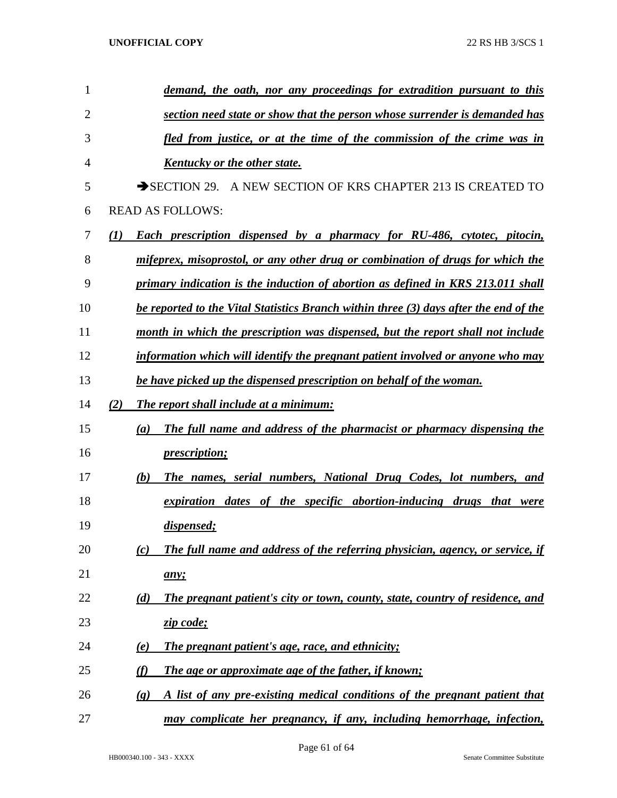| 1  | demand, the oath, nor any proceedings for extradition pursuant to this                                   |
|----|----------------------------------------------------------------------------------------------------------|
| 2  | section need state or show that the person whose surrender is demanded has                               |
| 3  | fled from justice, or at the time of the commission of the crime was in                                  |
| 4  | <b>Kentucky or the other state.</b>                                                                      |
| 5  | $\rightarrow$ SECTION 29.<br>A NEW SECTION OF KRS CHAPTER 213 IS CREATED TO                              |
| 6  | <b>READ AS FOLLOWS:</b>                                                                                  |
| 7  | (I)<br>Each prescription dispensed by a pharmacy for RU-486, cytotec, pitocin,                           |
| 8  | mifeprex, misoprostol, or any other drug or combination of drugs for which the                           |
| 9  | primary indication is the induction of abortion as defined in KRS 213.011 shall                          |
| 10 | be reported to the Vital Statistics Branch within three (3) days after the end of the                    |
| 11 | month in which the prescription was dispensed, but the report shall not include                          |
| 12 | information which will identify the pregnant patient involved or anyone who may                          |
| 13 | be have picked up the dispensed prescription on behalf of the woman.                                     |
| 14 | (2)<br><b>The report shall include at a minimum:</b>                                                     |
| 15 | The full name and address of the pharmacist or pharmacy dispensing the<br>(a)                            |
| 16 | <i>prescription;</i>                                                                                     |
| 17 | The names, serial numbers, National Drug Codes, lot numbers, and<br>(b)                                  |
| 18 | expiration dates of the specific abortion-inducing drugs that were                                       |
| 19 | dispensed;                                                                                               |
| 20 | The full name and address of the referring physician, agency, or service, if<br>(c)                      |
| 21 | any;                                                                                                     |
| 22 | (d)<br>The pregnant patient's city or town, county, state, country of residence, and                     |
| 23 | zip code;                                                                                                |
| 24 | <b>The pregnant patient's age, race, and ethnicity;</b><br>(e)                                           |
| 25 | (f)<br>The age or approximate age of the father, if known;                                               |
| 26 | A list of any pre-existing medical conditions of the pregnant patient that<br>$\left( \mathbf{g}\right)$ |
| 27 | may complicate her pregnancy, if any, including hemorrhage, infection,                                   |
|    |                                                                                                          |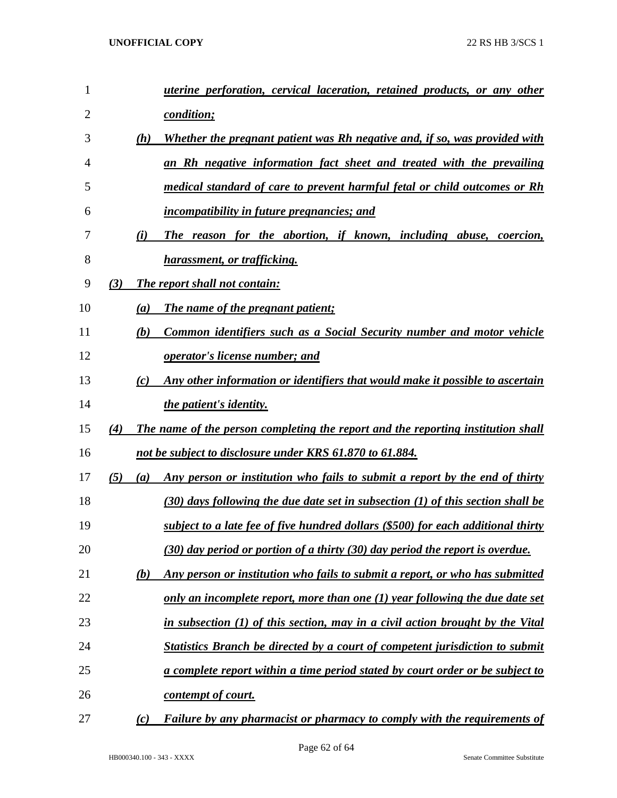| 1  |     |                  | <i>uterine perforation, cervical laceration, retained products, or any other</i>    |
|----|-----|------------------|-------------------------------------------------------------------------------------|
| 2  |     |                  | <i>condition;</i>                                                                   |
| 3  |     | (h)              | Whether the pregnant patient was Rh negative and, if so, was provided with          |
| 4  |     |                  | an Rh negative information fact sheet and treated with the prevailing               |
| 5  |     |                  | medical standard of care to prevent harmful fetal or child outcomes or Rh           |
| 6  |     |                  | <i>incompatibility in future pregnancies; and</i>                                   |
| 7  |     | (i)              | The reason for the abortion, if known, including abuse, coercion,                   |
| 8  |     |                  | harassment, or trafficking.                                                         |
| 9  | (3) |                  | <b>The report shall not contain:</b>                                                |
| 10 |     | $\left(a\right)$ | <b>The name of the pregnant patient;</b>                                            |
| 11 |     | (b)              | Common identifiers such as a Social Security number and motor vehicle               |
| 12 |     |                  | <i>operator's license number; and</i>                                               |
| 13 |     | (c)              | Any other information or identifiers that would make it possible to ascertain       |
| 14 |     |                  | <i>the patient's identity.</i>                                                      |
| 15 | (4) |                  | The name of the person completing the report and the reporting institution shall    |
| 16 |     |                  | not be subject to disclosure under KRS 61.870 to 61.884.                            |
| 17 | (5) | (a)              | Any person or institution who fails to submit a report by the end of thirty         |
| 18 |     |                  | $(30)$ days following the due date set in subsection (1) of this section shall be   |
| 19 |     |                  | subject to a late fee of five hundred dollars (\$500) for each additional thirty    |
| 20 |     |                  | (30) day period or portion of a thirty (30) day period the report is overdue.       |
| 21 |     | (b)              | Any person or institution who fails to submit a report, or who has submitted        |
| 22 |     |                  | only an incomplete report, more than one $(1)$ year following the due date set      |
| 23 |     |                  | in subsection (1) of this section, may in a civil action brought by the Vital       |
| 24 |     |                  | <b>Statistics Branch be directed by a court of competent jurisdiction to submit</b> |
| 25 |     |                  | a complete report within a time period stated by court order or be subject to       |
| 26 |     |                  | contempt of court.                                                                  |
| 27 |     | (c)              | <b>Failure by any pharmacist or pharmacy to comply with the requirements of</b>     |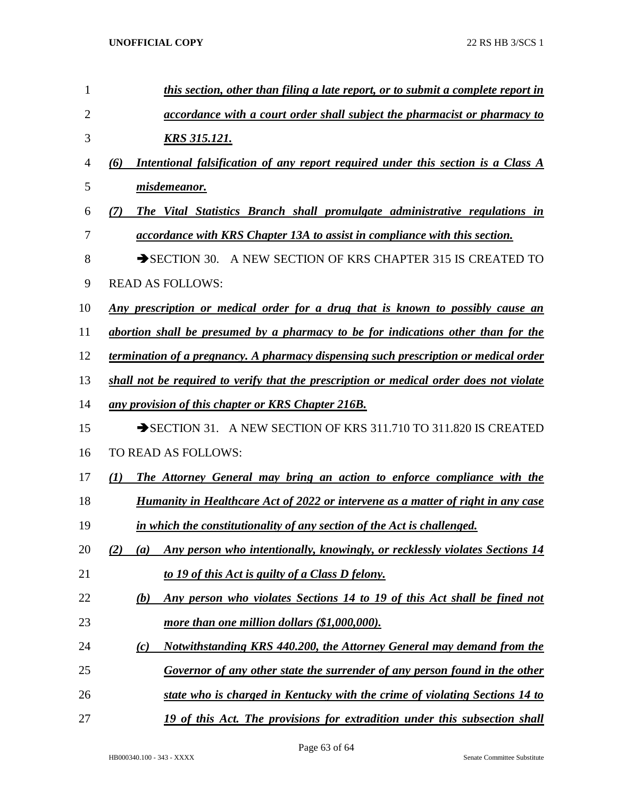| 1              | this section, other than filing a late report, or to submit a complete report in          |
|----------------|-------------------------------------------------------------------------------------------|
| $\overline{2}$ | <i>accordance with a court order shall subject the pharmacist or pharmacy to</i>          |
| 3              | <u>KRS 315.121.</u>                                                                       |
| 4              | Intentional falsification of any report required under this section is a Class A<br>(6)   |
| 5              | misdemeanor.                                                                              |
| 6              | The Vital Statistics Branch shall promulgate administrative regulations in<br>(7)         |
| 7              | <i>accordance with KRS Chapter 13A to assist in compliance with this section.</i>         |
| 8              | SECTION 30. A NEW SECTION OF KRS CHAPTER 315 IS CREATED TO                                |
| 9              | <b>READ AS FOLLOWS:</b>                                                                   |
| 10             | <u>Any prescription or medical order for a drug that is known to possibly cause an</u>    |
| 11             | abortion shall be presumed by a pharmacy to be for indications other than for the         |
| 12             | termination of a pregnancy. A pharmacy dispensing such prescription or medical order      |
| 13             | shall not be required to verify that the prescription or medical order does not violate   |
| 14             | any provision of this chapter or KRS Chapter 216B.                                        |
| 15             | SECTION 31. A NEW SECTION OF KRS 311.710 TO 311.820 IS CREATED                            |
| 16             | <b>TO READ AS FOLLOWS:</b>                                                                |
| 17             | The Attorney General may bring an action to enforce compliance with the<br>(I)            |
| 18             | <b>Humanity in Healthcare Act of 2022 or intervene as a matter of right in any case</b>   |
| 19             | in which the constitutionality of any section of the Act is challenged.                   |
| 20             | Any person who intentionally, knowingly, or recklessly violates Sections 14<br>(2)<br>(a) |
| 21             | to 19 of this Act is guilty of a Class D felony.                                          |
| 22             | Any person who violates Sections 14 to 19 of this Act shall be fined not<br>(b)           |
| 23             | more than one million dollars (\$1,000,000).                                              |
| 24             | Notwithstanding KRS 440.200, the Attorney General may demand from the<br>(c)              |
| 25             | Governor of any other state the surrender of any person found in the other                |
| 26             | state who is charged in Kentucky with the crime of violating Sections 14 to               |
| 27             | 19 of this Act. The provisions for extradition under this subsection shall                |